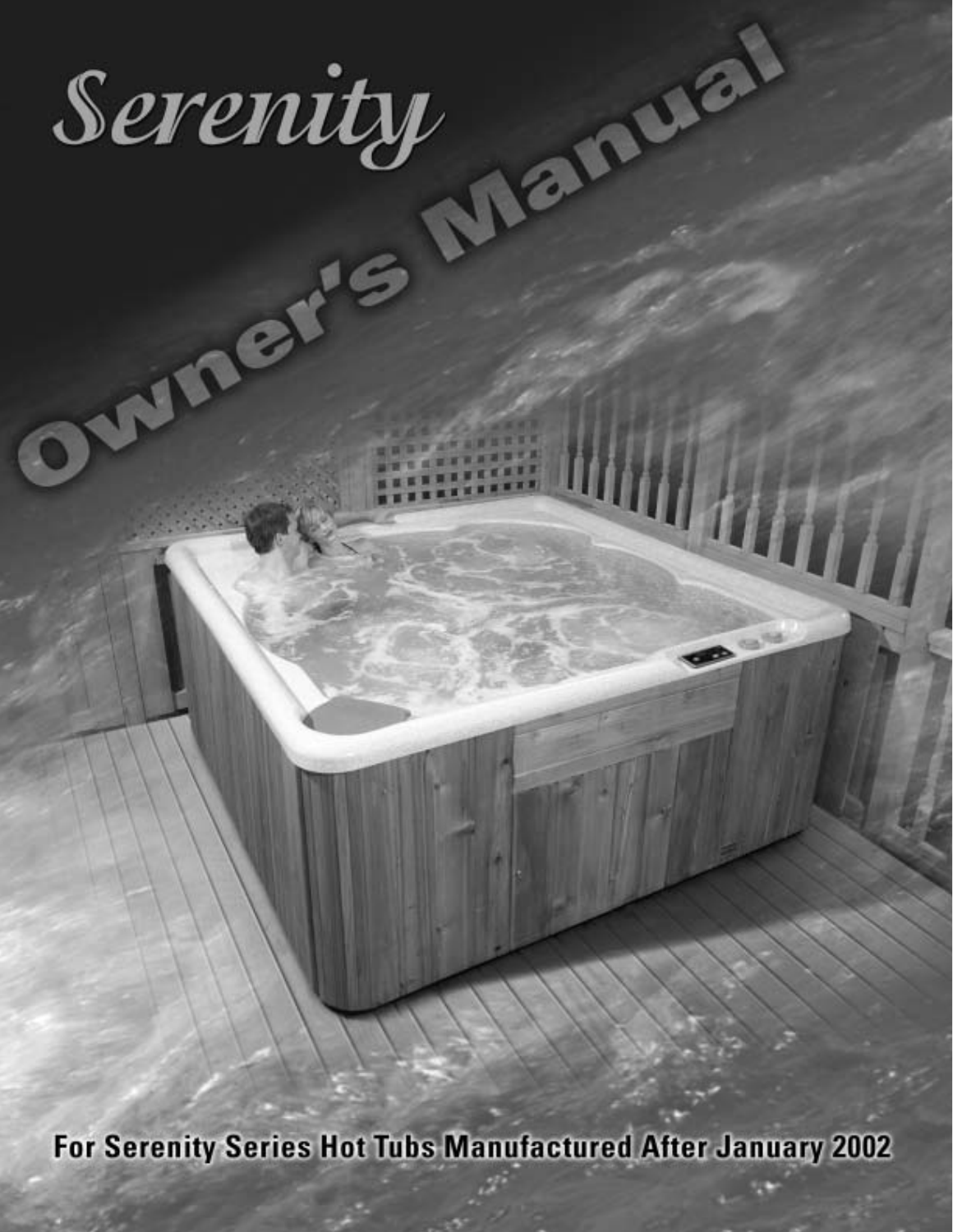

For Serenity Series Hot Tubs Manufactured After January 2002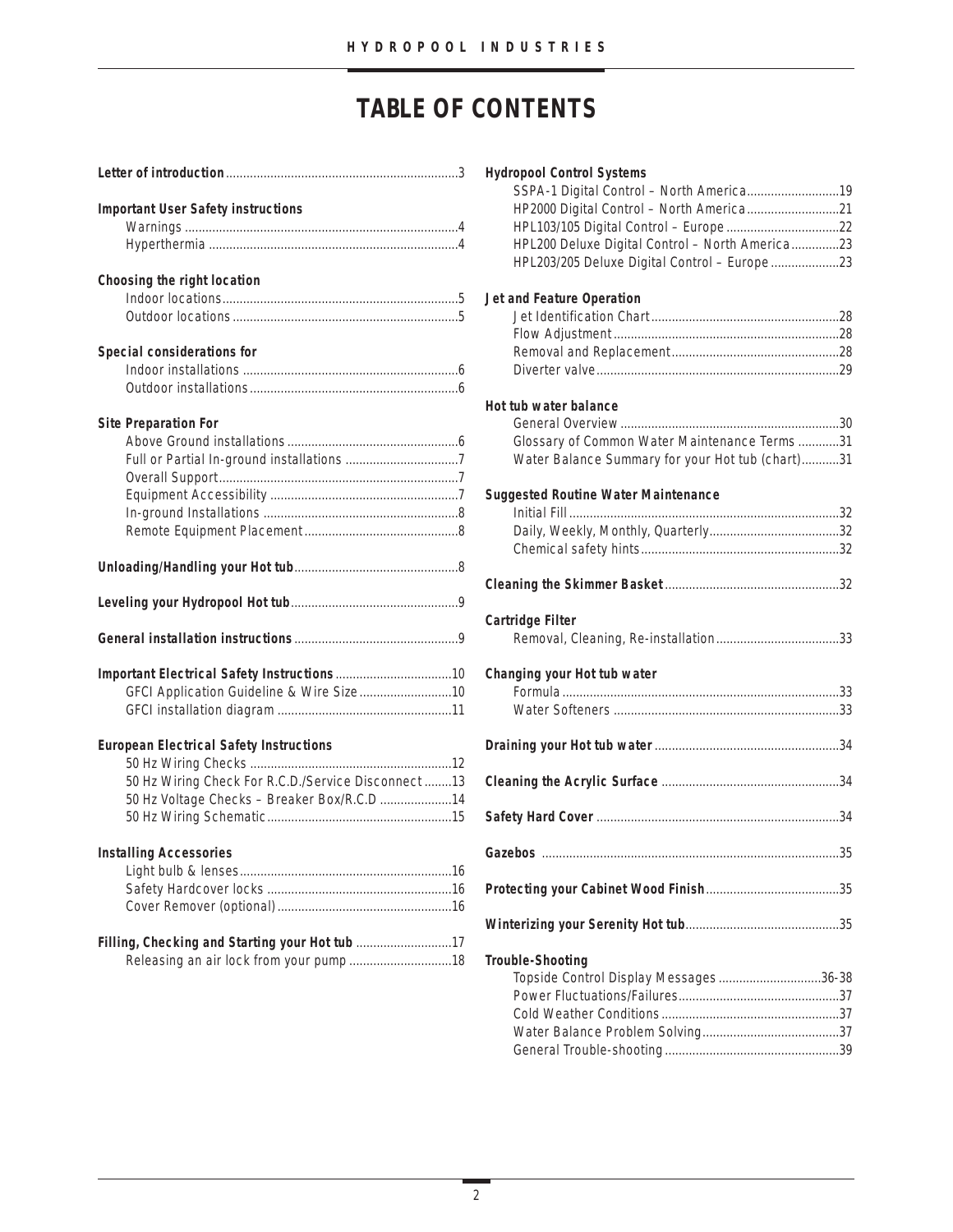# **TABLE OF CONTENTS**

| <b>Important User Safety instructions</b>            |  |
|------------------------------------------------------|--|
|                                                      |  |
|                                                      |  |
| Choosing the right location                          |  |
|                                                      |  |
|                                                      |  |
| Special considerations for                           |  |
|                                                      |  |
|                                                      |  |
| <b>Site Preparation For</b>                          |  |
|                                                      |  |
|                                                      |  |
|                                                      |  |
|                                                      |  |
|                                                      |  |
|                                                      |  |
|                                                      |  |
|                                                      |  |
|                                                      |  |
|                                                      |  |
| GFCI Application Guideline & Wire Size10             |  |
|                                                      |  |
| <b>European Electrical Safety Instructions</b>       |  |
|                                                      |  |
| 50 Hz Wiring Check For R.C.D./Service Disconnect  13 |  |
| 50 Hz Voltage Checks - Breaker Box/R.C.D 14          |  |
|                                                      |  |
| <b>Installing Accessories</b>                        |  |
|                                                      |  |
|                                                      |  |
|                                                      |  |
| Filling, Checking and Starting your Hot tub 17       |  |
|                                                      |  |
|                                                      |  |

| <b>Hydropool Control Systems</b>                 |  |
|--------------------------------------------------|--|
| SSPA-1 Digital Control - North America19         |  |
| HP2000 Digital Control - North America21         |  |
|                                                  |  |
| HPL200 Deluxe Digital Control - North America23  |  |
| HPL203/205 Deluxe Digital Control - Europe23     |  |
|                                                  |  |
| Jet and Feature Operation                        |  |
|                                                  |  |
|                                                  |  |
|                                                  |  |
|                                                  |  |
|                                                  |  |
| Hot tub water balance                            |  |
|                                                  |  |
| Glossary of Common Water Maintenance Terms 31    |  |
| Water Balance Summary for your Hot tub (chart)31 |  |
| <b>Suggested Routine Water Maintenance</b>       |  |
|                                                  |  |
|                                                  |  |
|                                                  |  |
|                                                  |  |
|                                                  |  |
| Cartridge Filter                                 |  |
|                                                  |  |
|                                                  |  |
| Changing your Hot tub water                      |  |
|                                                  |  |
|                                                  |  |
|                                                  |  |
|                                                  |  |
|                                                  |  |
|                                                  |  |
|                                                  |  |
|                                                  |  |
|                                                  |  |
|                                                  |  |
| <b>Trouble-Shooting</b>                          |  |
| Topside Control Display Messages36-38            |  |
|                                                  |  |
|                                                  |  |
|                                                  |  |
|                                                  |  |
|                                                  |  |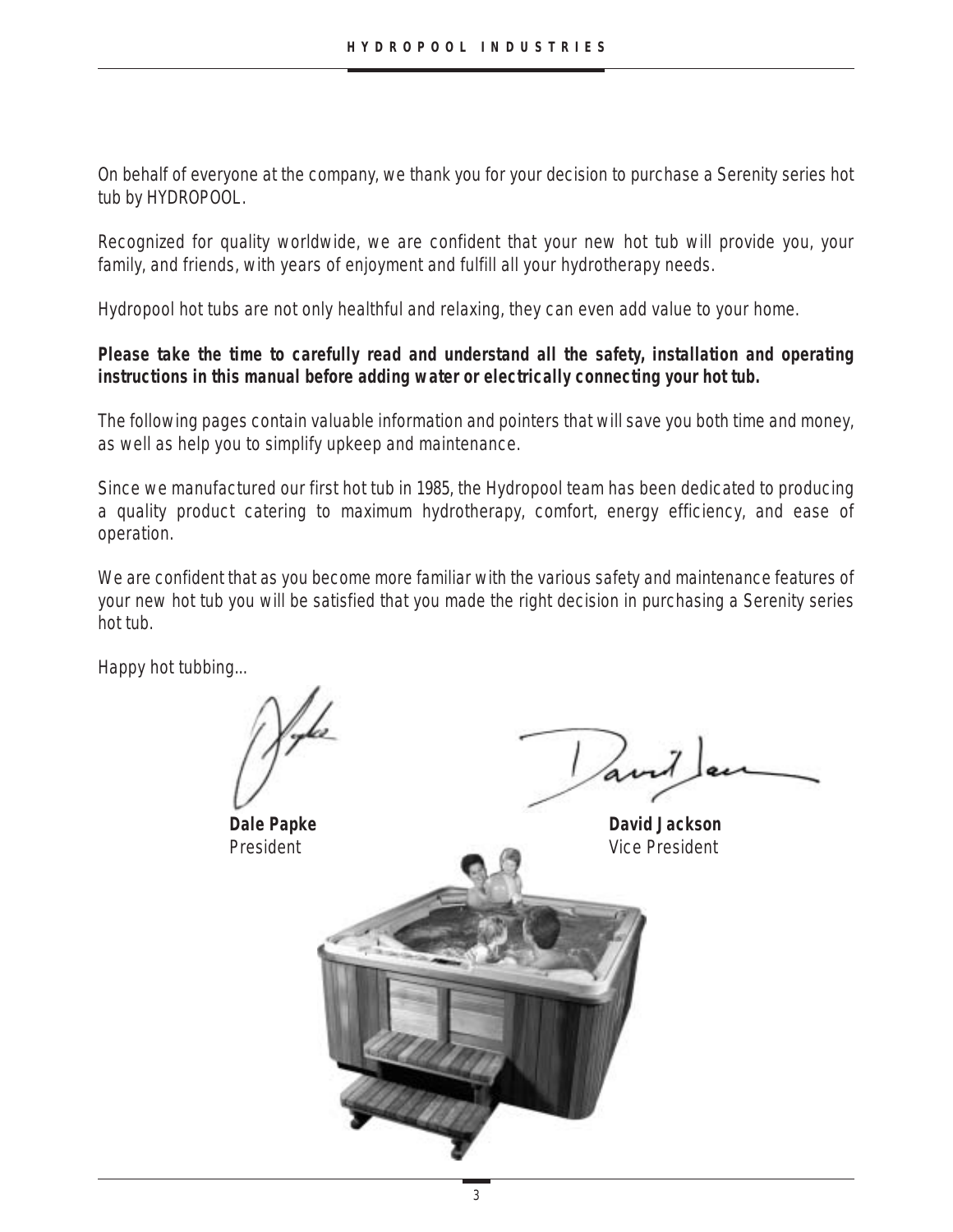On behalf of everyone at the company, we thank you for your decision to purchase a Serenity series hot tub by HYDROPOOL.

Recognized for quality worldwide, we are confident that your new hot tub will provide you, your family, and friends, with years of enjoyment and fulfill all your hydrotherapy needs.

Hydropool hot tubs are not only healthful and relaxing, they can even add value to your home.

# **Please take the time to carefully read and understand all the safety, installation and operating instructions in this manual before adding water or electrically connecting your hot tub.**

The following pages contain valuable information and pointers that will save you both time and money, as well as help you to simplify upkeep and maintenance.

Since we manufactured our first hot tub in 1985, the Hydropool team has been dedicated to producing a quality product catering to maximum hydrotherapy, comfort, energy efficiency, and ease of operation.

We are confident that as you become more familiar with the various safety and maintenance features of your new hot tub you will be satisfied that you made the right decision in purchasing a Serenity series hot tub.

Happy hot tubbing...

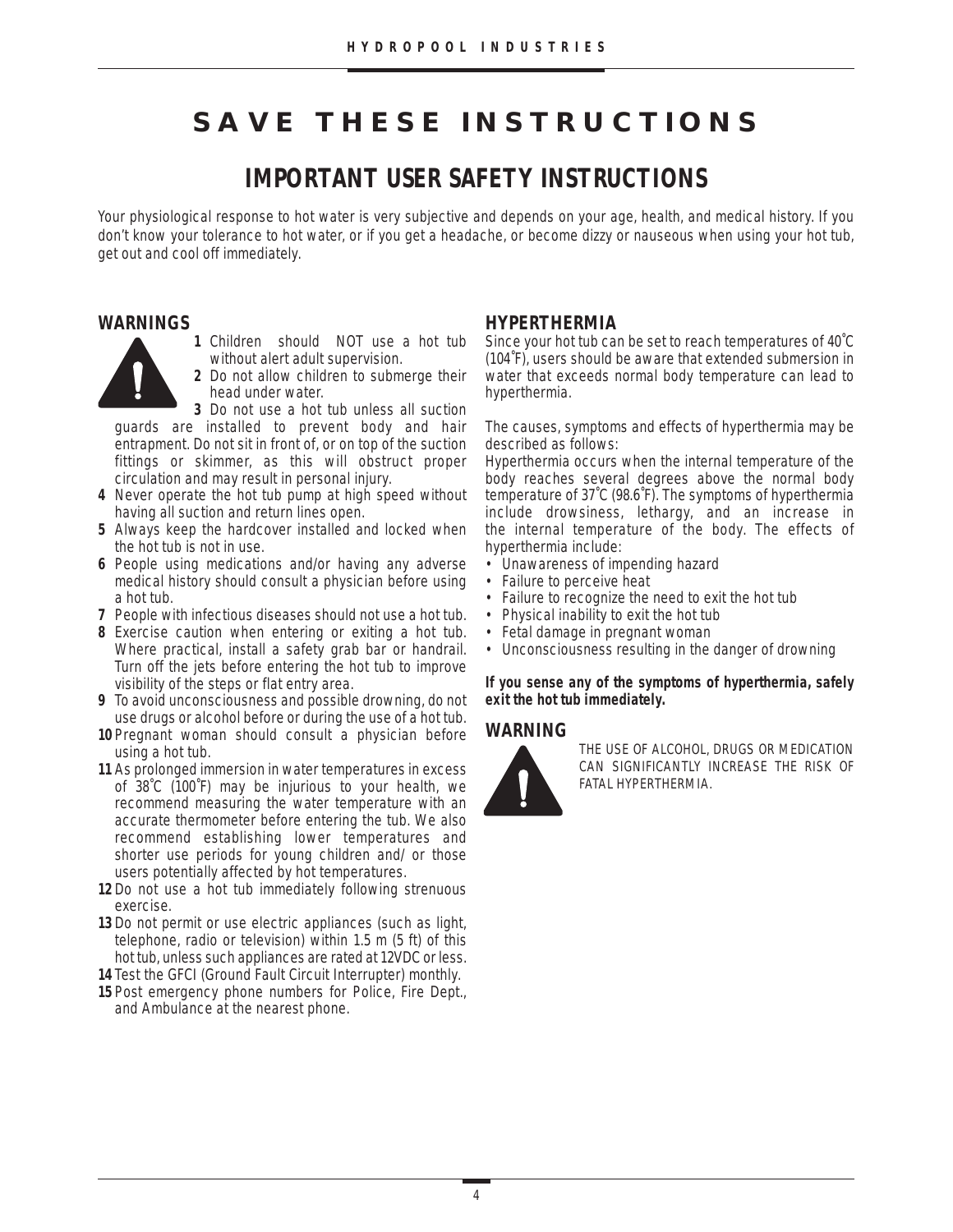# **SAVE THESE INSTRUCTIONS**

# **IMPORTANT USER SAFETY INSTRUCTIONS**

Your physiological response to hot water is very subjective and depends on your age, health, and medical history. If you don't know your tolerance to hot water, or if you get a headache, or become dizzy or nauseous when using your hot tub, get out and cool off immediately.

#### **WARNINGS**

- 
- **1** Children should NOT use a hot tub without alert adult supervision.
	- **2** Do not allow children to submerge their head under water.

**3** Do not use a hot tub unless all suction guards are installed to prevent body and hair entrapment. Do not sit in front of, or on top of the suction fittings or skimmer, as this will obstruct proper circulation and may result in personal injury.

- **4** Never operate the hot tub pump at high speed without having all suction and return lines open.
- **5** Always keep the hardcover installed and locked when the hot tub is not in use.
- **6** People using medications and/or having any adverse medical history should consult a physician before using a hot tub.
- **7** People with infectious diseases should not use a hot tub.
- **8** Exercise caution when entering or exiting a hot tub. Where practical, install a safety grab bar or handrail. Turn off the jets before entering the hot tub to improve visibility of the steps or flat entry area.
- **9** To avoid unconsciousness and possible drowning, do not use drugs or alcohol before or during the use of a hot tub.
- **10** Pregnant woman should consult a physician before using a hot tub.
- **11** As prolonged immersion in water temperatures in excess of 38˚C (100˚F) may be injurious to your health, we recommend measuring the water temperature with an accurate thermometer before entering the tub. We also recommend establishing lower temperatures and shorter use periods for young children and/ or those users potentially affected by hot temperatures.
- **12** Do not use a hot tub immediately following strenuous exercise.
- **13** Do not permit or use electric appliances (such as light, telephone, radio or television) within 1.5 m (5 ft) of this hot tub, unless such appliances are rated at 12VDC or less.
- **14** Test the GFCI (Ground Fault Circuit Interrupter) monthly.
- **15** Post emergency phone numbers for Police, Fire Dept., and Ambulance at the nearest phone.

#### **HYPERTHERMIA**

Since your hot tub can be set to reach temperatures of 40˚C (104˚F), users should be aware that extended submersion in water that exceeds normal body temperature can lead to hyperthermia.

The causes, symptoms and effects of hyperthermia may be described as follows:

Hyperthermia occurs when the internal temperature of the body reaches several degrees above the normal body temperature of 37˚C (98.6˚F). The symptoms of hyperthermia include drowsiness, lethargy, and an increase in the internal temperature of the body. The effects of hyperthermia include:

- Unawareness of impending hazard
- Failure to perceive heat<br>• Failure to recognize the
- Failure to recognize the need to exit the hot tub
- Physical inability to exit the hot tub
- Fetal damage in pregnant woman
- Unconsciousness resulting in the danger of drowning

**If you sense any of the symptoms of hyperthermia, safely exit the hot tub immediately.**

#### **WARNING**



THE USE OF ALCOHOL, DRUGS OR MEDICATION CAN SIGNIFICANTLY INCREASE THE RISK OF FATAL HYPERTHERMIA.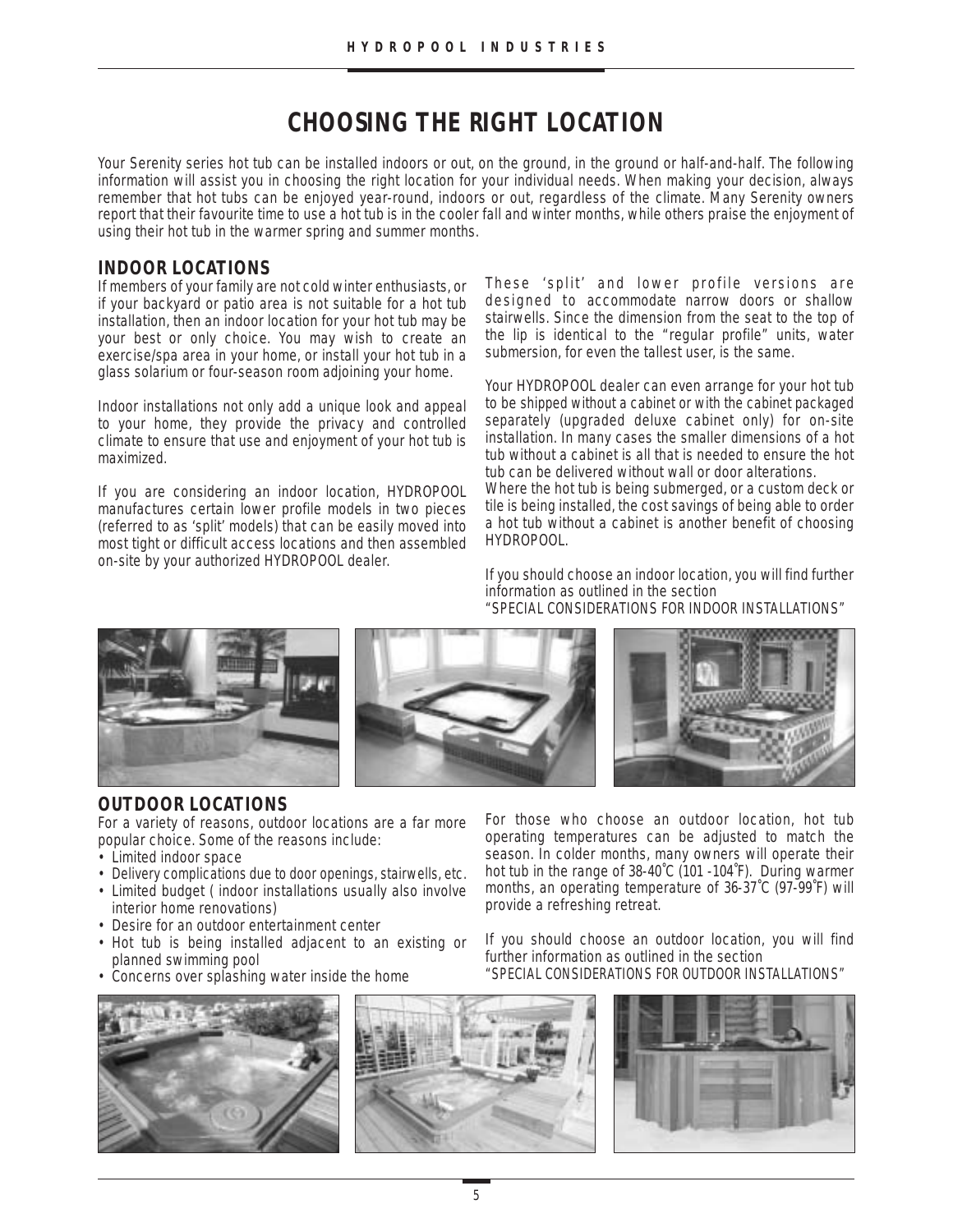# **CHOOSING THE RIGHT LOCATION**

Your Serenity series hot tub can be installed indoors or out, on the ground, in the ground or half-and-half. The following information will assist you in choosing the right location for your individual needs. When making your decision, always remember that hot tubs can be enjoyed year-round, indoors or out, regardless of the climate. Many Serenity owners report that their favourite time to use a hot tub is in the cooler fall and winter months, while others praise the enjoyment of using their hot tub in the warmer spring and summer months.

# **INDOOR LOCATIONS**

If members of your family are not cold winter enthusiasts, or if your backyard or patio area is not suitable for a hot tub installation, then an indoor location for your hot tub may be your best or only choice. You may wish to create an exercise/spa area in your home, or install your hot tub in a glass solarium or four-season room adjoining your home.

Indoor installations not only add a unique look and appeal to your home, they provide the privacy and controlled climate to ensure that use and enjoyment of your hot tub is maximized.

If you are considering an indoor location, HYDROPOOL manufactures certain lower profile models in two pieces (referred to as 'split' models) that can be easily moved into most tight or difficult access locations and then assembled on-site by your authorized HYDROPOOL dealer.

These 'split' and lower profile versions are designed to accommodate narrow doors or shallow stairwells. Since the dimension from the seat to the top of the lip is identical to the "regular profile" units, water submersion, for even the tallest user, is the same.

Your HYDROPOOL dealer can even arrange for your hot tub to be shipped without a cabinet or with the cabinet packaged separately (upgraded deluxe cabinet only) for on-site installation. In many cases the smaller dimensions of a hot tub without a cabinet is all that is needed to ensure the hot tub can be delivered without wall or door alterations. Where the hot tub is being submerged, or a custom deck or

tile is being installed, the cost savings of being able to order a hot tub without a cabinet is another benefit of choosing HYDROPOOL.

If you should choose an indoor location, you will find further information as outlined in the section "SPECIAL CONSIDERATIONS FOR INDOOR INSTALLATIONS"







# **OUTDOOR LOCATIONS**

For a variety of reasons, outdoor locations are a far more popular choice. Some of the reasons include:

- Limited indoor space
- Delivery complications due to door openings, stairwells, etc.
- Limited budget ( indoor installations usually also involve interior home renovations)
- Desire for an outdoor entertainment center
- Hot tub is being installed adjacent to an existing or planned swimming pool
- Concerns over splashing water inside the home

For those who choose an outdoor location, hot tub operating temperatures can be adjusted to match the season. In colder months, many owners will operate their hot tub in the range of 38-40˚C (101 -104˚F). During warmer months, an operating temperature of 36-37˚C (97-99˚F) will provide a refreshing retreat.

If you should choose an outdoor location, you will find further information as outlined in the section "SPECIAL CONSIDERATIONS FOR OUTDOOR INSTALLATIONS"



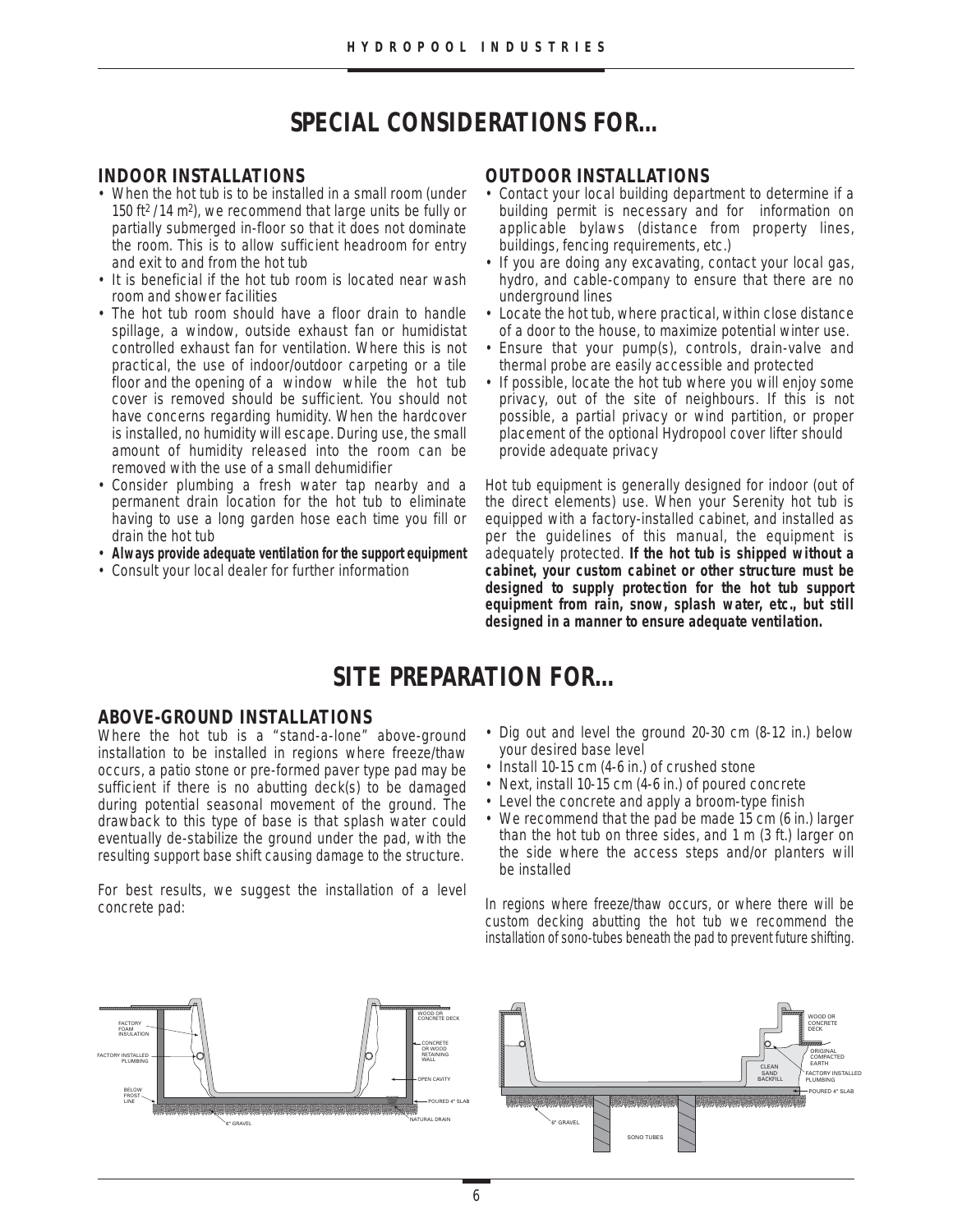# **SPECIAL CONSIDERATIONS FOR…**

#### **INDOOR INSTALLATIONS**

- When the hot tub is to be installed in a small room (under 150 ft<sup>2</sup>/14 m<sup>2</sup>), we recommend that large units be fully or partially submerged in-floor so that it does not dominate the room. This is to allow sufficient headroom for entry and exit to and from the hot tub
- It is beneficial if the hot tub room is located near wash room and shower facilities
- The hot tub room should have a floor drain to handle spillage, a window, outside exhaust fan or humidistat controlled exhaust fan for ventilation. Where this is not practical, the use of indoor/outdoor carpeting or a tile floor and the opening of a window while the hot tub cover is removed should be sufficient. You should not have concerns regarding humidity. When the hardcover is installed, no humidity will escape. During use, the small amount of humidity released into the room can be removed with the use of a small dehumidifier
- Consider plumbing a fresh water tap nearby and a permanent drain location for the hot tub to eliminate having to use a long garden hose each time you fill or drain the hot tub
- **Always provide adequate ventilation for the support equipment**
- Consult your local dealer for further information

#### **OUTDOOR INSTALLATIONS**

- Contact your local building department to determine if a building permit is necessary and for information on applicable bylaws (distance from property lines, buildings, fencing requirements, etc.)
- If you are doing any excavating, contact your local gas, hydro, and cable-company to ensure that there are no underground lines
- Locate the hot tub, where practical, within close distance of a door to the house, to maximize potential winter use.
- Ensure that your pump(s), controls, drain-valve and thermal probe are easily accessible and protected
- If possible, locate the hot tub where you will enjoy some privacy, out of the site of neighbours. If this is not possible, a partial privacy or wind partition, or proper placement of the optional Hydropool cover lifter should provide adequate privacy

Hot tub equipment is generally designed for indoor (out of the direct elements) use. When your Serenity hot tub is equipped with a factory-installed cabinet, and installed as per the guidelines of this manual, the equipment is adequately protected. **If the hot tub is shipped without a cabinet, your custom cabinet or other structure must be designed to supply protection for the hot tub support equipment from rain, snow, splash water, etc., but still designed in a manner to ensure adequate ventilation.**

# **SITE PREPARATION FOR…**

#### **ABOVE-GROUND INSTALLATIONS**

Where the hot tub is a "stand-a-lone" above-ground installation to be installed in regions where freeze/thaw occurs, a patio stone or pre-formed paver type pad may be sufficient if there is no abutting deck(s) to be damaged during potential seasonal movement of the ground. The drawback to this type of base is that splash water could eventually de-stabilize the ground under the pad, with the resulting support base shift causing damage to the structure.

For best results, we suggest the installation of a level concrete pad:

- Dig out and level the ground 20-30 cm (8-12 in.) below your desired base level
- Install 10-15 cm (4-6 in.) of crushed stone
- Next, install 10-15 cm (4-6 in.) of poured concrete
- Level the concrete and apply a broom-type finish
- We recommend that the pad be made 15 cm (6 in.) larger than the hot tub on three sides, and 1 m (3 ft.) larger on the side where the access steps and/or planters will be installed

In regions where freeze/thaw occurs, or where there will be custom decking abutting the hot tub we recommend the installation of sono-tubes beneath the pad to prevent future shifting.

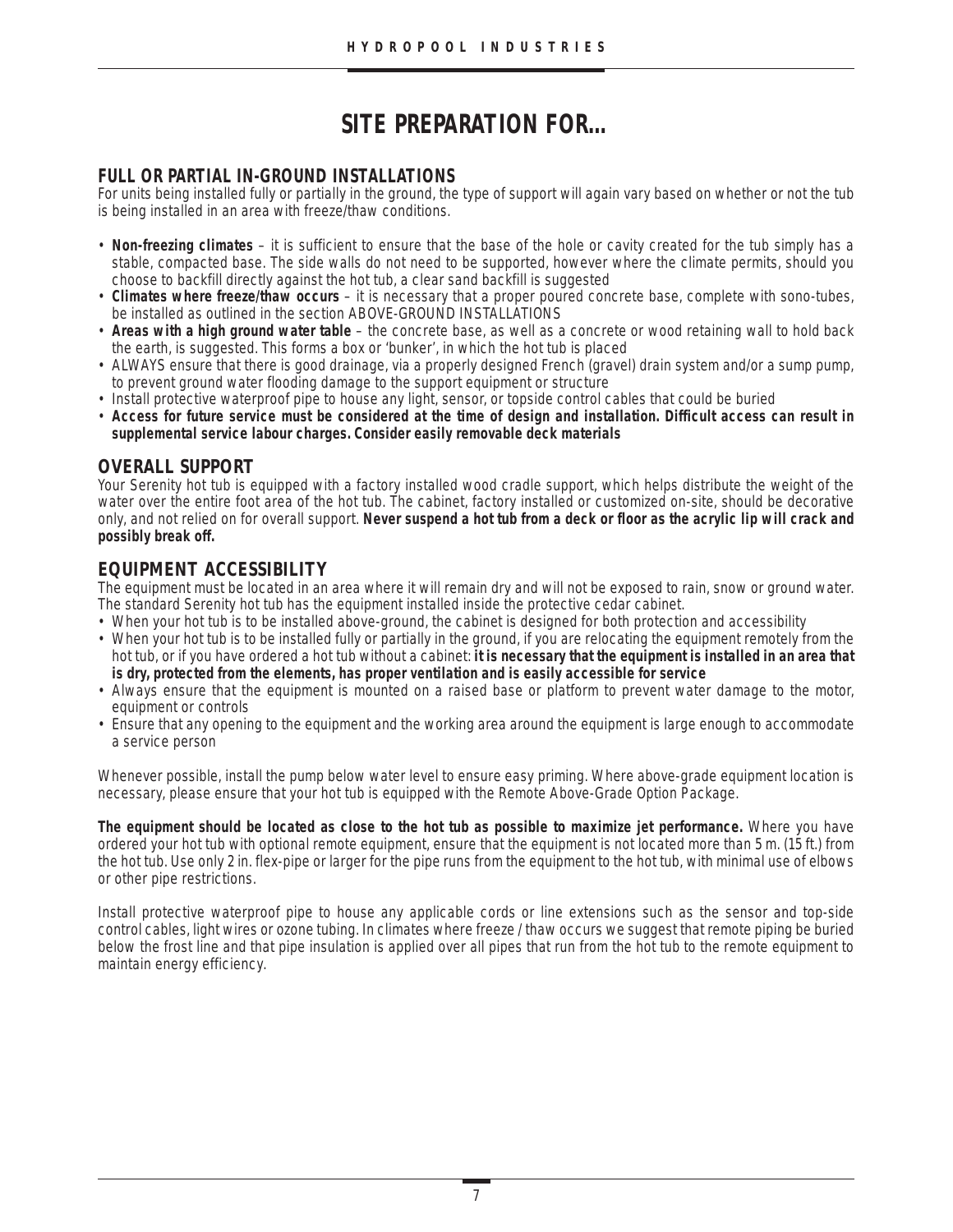# **SITE PREPARATION FOR…**

# **FULL OR PARTIAL IN-GROUND INSTALLATIONS**

For units being installed fully or partially in the ground, the type of support will again vary based on whether or not the tub is being installed in an area with freeze/thaw conditions.

- **Non-freezing climates** it is sufficient to ensure that the base of the hole or cavity created for the tub simply has a stable, compacted base. The side walls do not need to be supported, however where the climate permits, should you choose to backfill directly against the hot tub, a clear sand backfill is suggested
- **Climates where freeze/thaw occurs** it is necessary that a proper poured concrete base, complete with sono-tubes, be installed as outlined in the section ABOVE-GROUND INSTALLATIONS
- **Areas with a high ground water table** the concrete base, as well as a concrete or wood retaining wall to hold back the earth, is suggested. This forms a box or 'bunker', in which the hot tub is placed
- ALWAYS ensure that there is good drainage, via a properly designed French (gravel) drain system and/or a sump pump, to prevent ground water flooding damage to the support equipment or structure
- Install protective waterproof pipe to house any light, sensor, or topside control cables that could be buried
- **Access for future service must be considered at the time of design and installation. Difficult access can result in supplemental service labour charges. Consider easily removable deck materials**

### **OVERALL SUPPORT**

Your Serenity hot tub is equipped with a factory installed wood cradle support, which helps distribute the weight of the water over the entire foot area of the hot tub. The cabinet, factory installed or customized on-site, should be decorative only, and not relied on for overall support. **Never suspend a hot tub from a deck or floor as the acrylic lip will crack and possibly break off.**

# **EQUIPMENT ACCESSIBILITY**

The equipment must be located in an area where it will remain dry and will not be exposed to rain, snow or ground water. The standard Serenity hot tub has the equipment installed inside the protective cedar cabinet.

- When your hot tub is to be installed above-ground, the cabinet is designed for both protection and accessibility
- When your hot tub is to be installed fully or partially in the ground, if you are relocating the equipment remotely from the hot tub, or if you have ordered a hot tub without a cabinet: **it is necessary that the equipment is installed in an area that is dry, protected from the elements, has proper ventilation and is easily accessible for service**
- Always ensure that the equipment is mounted on a raised base or platform to prevent water damage to the motor, equipment or controls
- Ensure that any opening to the equipment and the working area around the equipment is large enough to accommodate a service person

Whenever possible, install the pump below water level to ensure easy priming. Where above-grade equipment location is necessary, please ensure that your hot tub is equipped with the Remote Above-Grade Option Package.

**The equipment should be located as close to the hot tub as possible to maximize jet performance.** Where you have ordered your hot tub with optional remote equipment, ensure that the equipment is not located more than 5 m. (15 ft.) from the hot tub. Use only 2 in. flex-pipe or larger for the pipe runs from the equipment to the hot tub, with minimal use of elbows or other pipe restrictions.

Install protective waterproof pipe to house any applicable cords or line extensions such as the sensor and top-side control cables, light wires or ozone tubing. In climates where freeze / thaw occurs we suggest that remote piping be buried below the frost line and that pipe insulation is applied over all pipes that run from the hot tub to the remote equipment to maintain energy efficiency.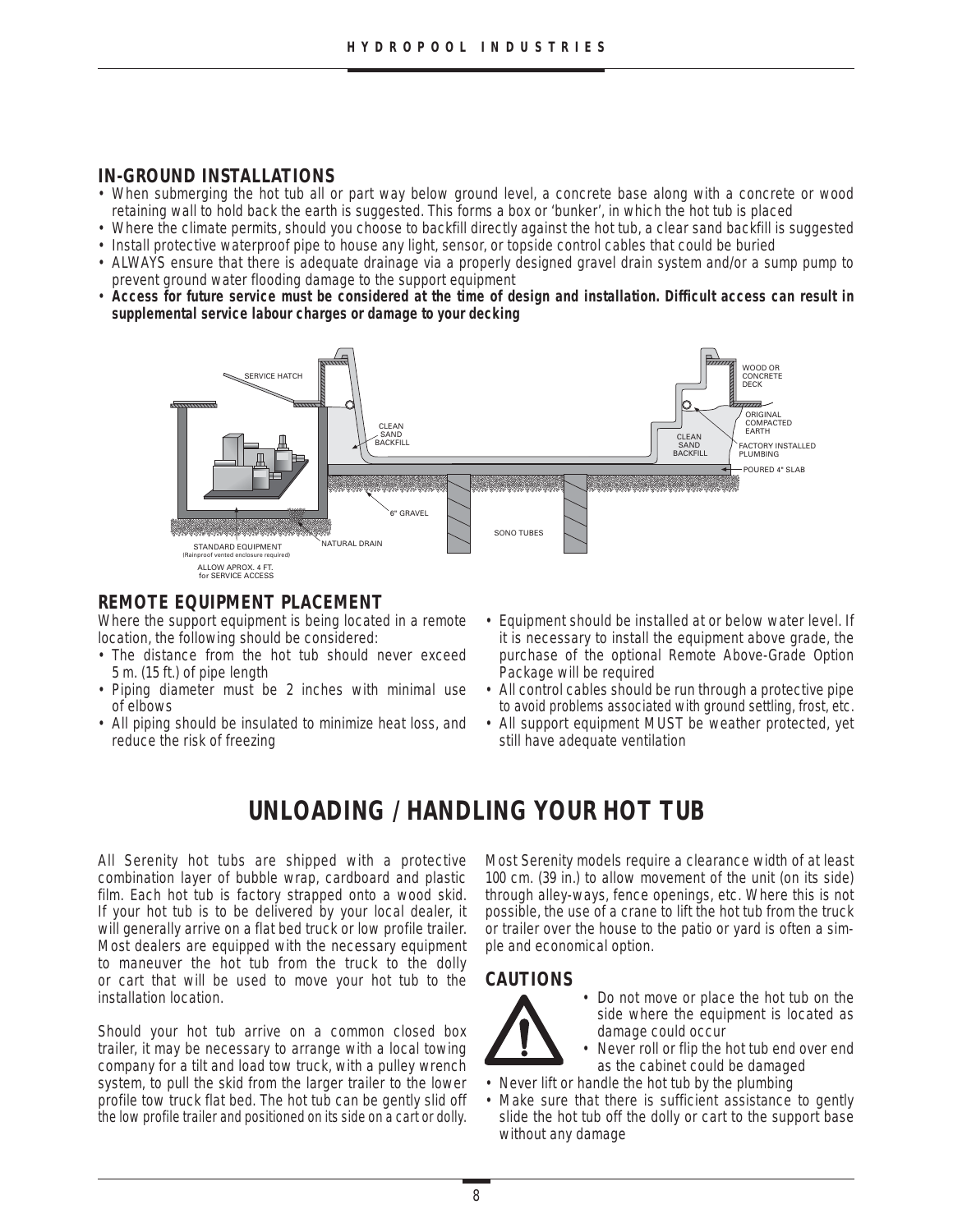# **IN-GROUND INSTALLATIONS**

- When submerging the hot tub all or part way below ground level, a concrete base along with a concrete or wood retaining wall to hold back the earth is suggested. This forms a box or 'bunker', in which the hot tub is placed
- Where the climate permits, should you choose to backfill directly against the hot tub, a clear sand backfill is suggested • Install protective waterproof pipe to house any light, sensor, or topside control cables that could be buried
- ALWAYS ensure that there is adequate drainage via a properly designed gravel drain system and/or a sump pump to prevent ground water flooding damage to the support equipment
- **Access for future service must be considered at the time of design and installation. Difficult access can result in supplemental service labour charges or damage to your decking**



# **REMOTE EQUIPMENT PLACEMENT**

Where the support equipment is being located in a remote location, the following should be considered:

- The distance from the hot tub should never exceed 5 m. (15 ft.) of pipe length
- Piping diameter must be 2 inches with minimal use of elbows
- All piping should be insulated to minimize heat loss, and reduce the risk of freezing
- Equipment should be installed at or below water level. If it is necessary to install the equipment above grade, the purchase of the optional Remote Above-Grade Option Package will be required
- All control cables should be run through a protective pipe to avoid problems associated with ground settling, frost, etc.
- All support equipment MUST be weather protected, yet still have adequate ventilation

# **UNLOADING / HANDLING YOUR HOT TUB**

All Serenity hot tubs are shipped with a protective combination layer of bubble wrap, cardboard and plastic film. Each hot tub is factory strapped onto a wood skid. If your hot tub is to be delivered by your local dealer, it will generally arrive on a flat bed truck or low profile trailer. Most dealers are equipped with the necessary equipment to maneuver the hot tub from the truck to the dolly or cart that will be used to move your hot tub to the installation location.

Should your hot tub arrive on a common closed box trailer, it may be necessary to arrange with a local towing company for a tilt and load tow truck, with a pulley wrench system, to pull the skid from the larger trailer to the lower profile tow truck flat bed. The hot tub can be gently slid off the low profile trailer and positioned on its side on a cart or dolly.

Most Serenity models require a clearance width of at least 100 cm. (39 in.) to allow movement of the unit (on its side) through alley-ways, fence openings, etc. Where this is not possible, the use of a crane to lift the hot tub from the truck or trailer over the house to the patio or yard is often a simple and economical option.

## **CAUTIONS**



• Do not move or place the hot tub on the side where the equipment is located as damage could occur

- Never roll or flip the hot tub end over end as the cabinet could be damaged
- Never lift or handle the hot tub by the plumbing
- Make sure that there is sufficient assistance to gently slide the hot tub off the dolly or cart to the support base without any damage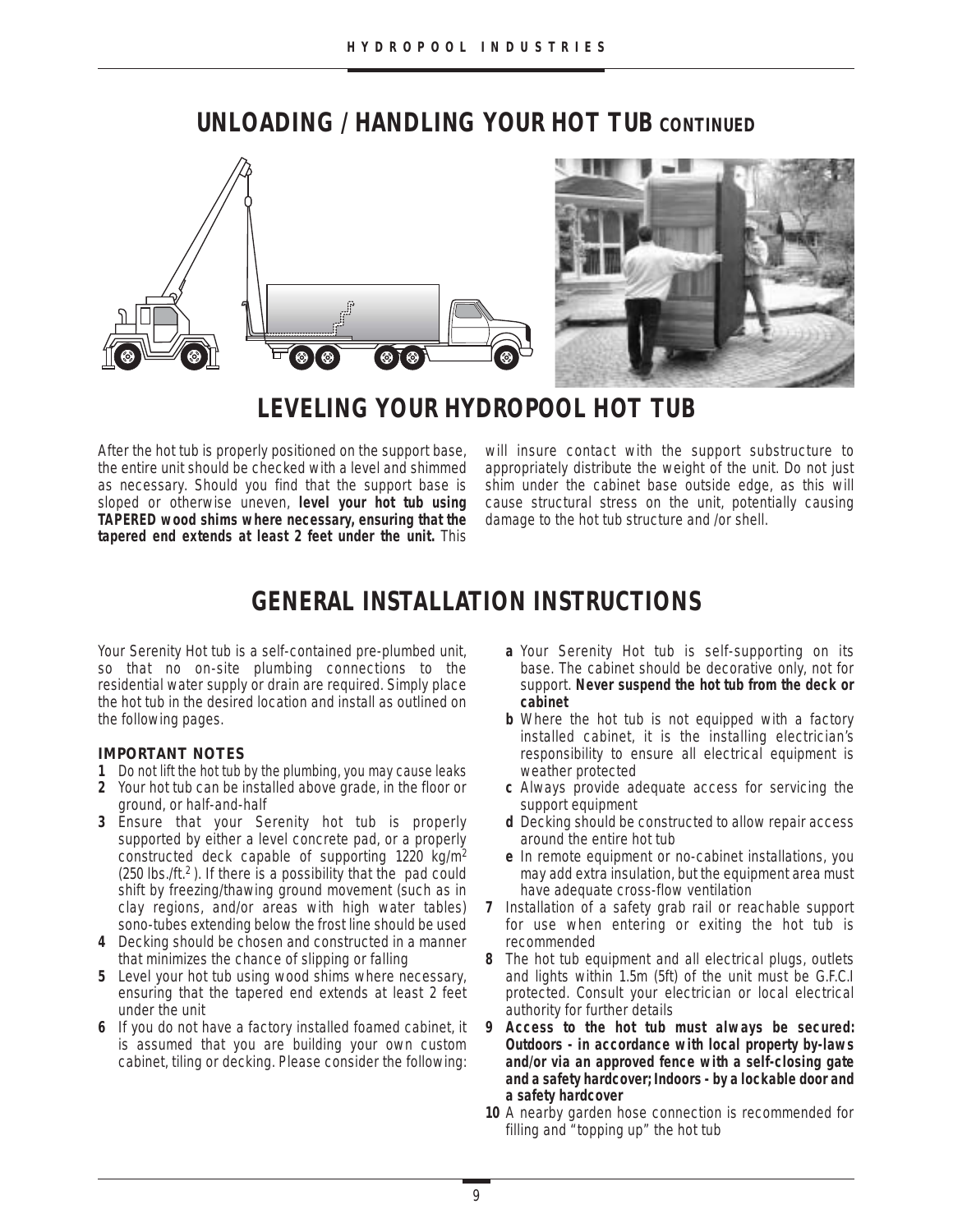# **UNLOADING / HANDLING YOUR HOT TUB CONTINUED**



# **LEVELING YOUR HYDROPOOL HOT TUB**

After the hot tub is properly positioned on the support base, the entire unit should be checked with a level and shimmed as necessary. Should you find that the support base is sloped or otherwise uneven, **level your hot tub using TAPERED wood shims where necessary, ensuring that the tapered end extends at least 2 feet under the unit.** This

will insure contact with the support substructure to appropriately distribute the weight of the unit. Do not just shim under the cabinet base outside edge, as this will cause structural stress on the unit, potentially causing damage to the hot tub structure and /or shell.

# **GENERAL INSTALLATION INSTRUCTIONS**

Your Serenity Hot tub is a self-contained pre-plumbed unit, so that no on-site plumbing connections to the residential water supply or drain are required. Simply place the hot tub in the desired location and install as outlined on the following pages.

#### **IMPORTANT NOTES**

- **1** Do not lift the hot tub by the plumbing, you may cause leaks
- **2** Your hot tub can be installed above grade, in the floor or ground, or half-and-half
- **3** Ensure that your Serenity hot tub is properly supported by either a level concrete pad, or a properly constructed deck capable of supporting 1220 kg/m2 (250 lbs./ft.2 ). If there is a possibility that the pad could shift by freezing/thawing ground movement (such as in clay regions, and/or areas with high water tables) sono-tubes extending below the frost line should be used
- **4** Decking should be chosen and constructed in a manner that minimizes the chance of slipping or falling
- **5** Level your hot tub using wood shims where necessary, ensuring that the tapered end extends at least 2 feet under the unit
- **6** If you do not have a factory installed foamed cabinet, it is assumed that you are building your own custom cabinet, tiling or decking. Please consider the following:
- **a** Your Serenity Hot tub is self-supporting on its base. The cabinet should be decorative only, not for support. **Never suspend the hot tub from the deck or cabinet**
- **b** Where the hot tub is not equipped with a factory installed cabinet, it is the installing electrician's responsibility to ensure all electrical equipment is weather protected
- **c** Always provide adequate access for servicing the support equipment
- **d** Decking should be constructed to allow repair access around the entire hot tub
- **e** In remote equipment or no-cabinet installations, you may add extra insulation, but the equipment area must have adequate cross-flow ventilation
- **7** Installation of a safety grab rail or reachable support for use when entering or exiting the hot tub is recommended
- **8** The hot tub equipment and all electrical plugs, outlets and lights within 1.5m (5ft) of the unit must be G.F.C.I protected. Consult your electrician or local electrical authority for further details
- **9 Access to the hot tub must always be secured: Outdoors - in accordance with local property by-laws and/or via an approved fence with a self-closing gate and a safety hardcover; Indoors - by a lockable door and a safety hardcover**
- **10** A nearby garden hose connection is recommended for filling and "topping up" the hot tub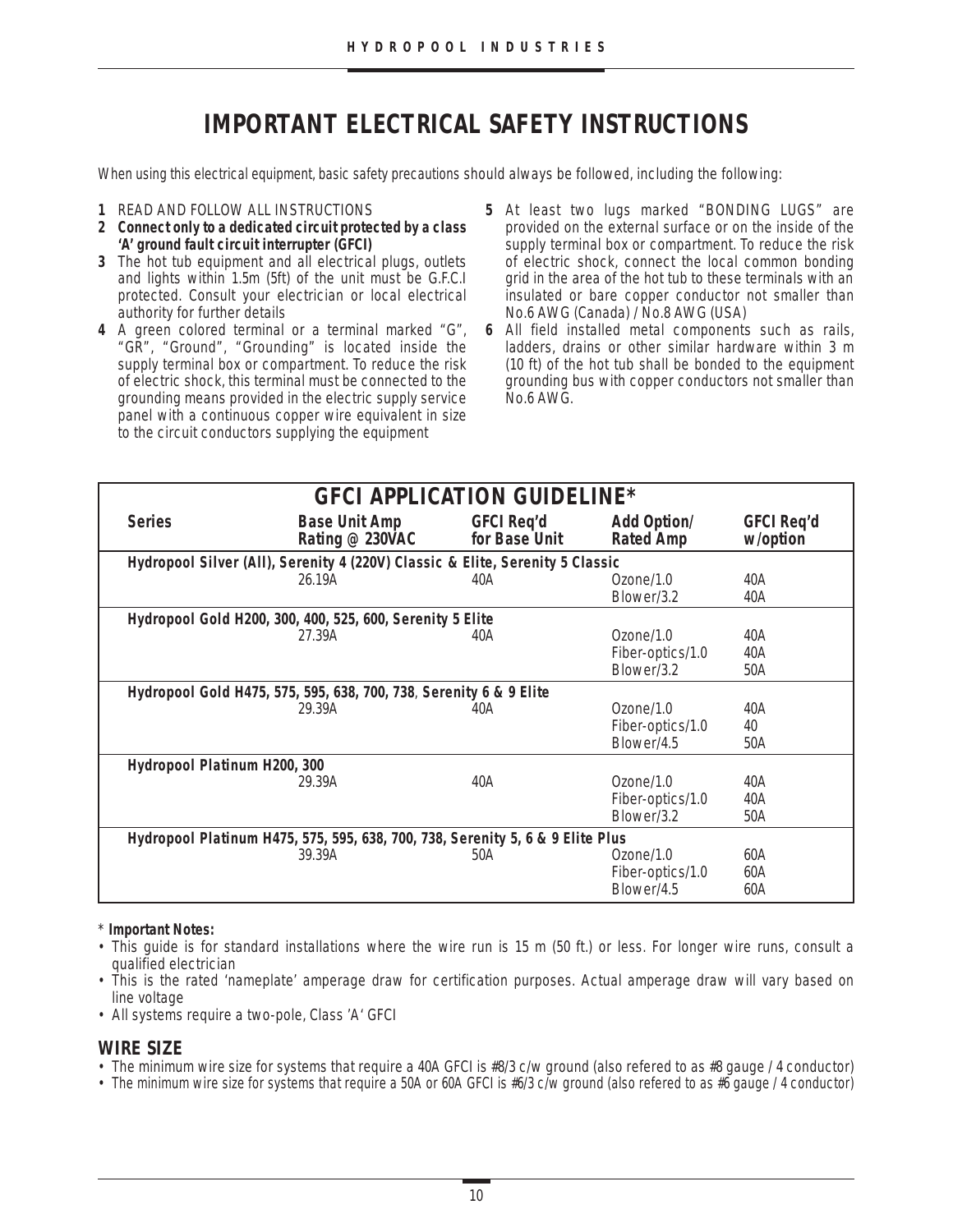# **IMPORTANT ELECTRICAL SAFETY INSTRUCTIONS**

When using this electrical equipment, basic safety precautions should always be followed, including the following:

- **1** READ AND FOLLOW ALL INSTRUCTIONS
- **2 Connect only to a dedicated circuit protected by a class 'A' ground fault circuit interrupter (GFCI)**
- **3** The hot tub equipment and all electrical plugs, outlets and lights within 1.5m (5ft) of the unit must be G.F.C.I protected. Consult your electrician or local electrical authority for further details
- **4** A green colored terminal or a terminal marked "G", "GR", "Ground", "Grounding" is located inside the supply terminal box or compartment. To reduce the risk of electric shock, this terminal must be connected to the grounding means provided in the electric supply service panel with a continuous copper wire equivalent in size to the circuit conductors supplying the equipment
- **5** At least two lugs marked "BONDING LUGS" are provided on the external surface or on the inside of the supply terminal box or compartment. To reduce the risk of electric shock, connect the local common bonding grid in the area of the hot tub to these terminals with an insulated or bare copper conductor not smaller than No.6 AWG (Canada) / No.8 AWG (USA)
- **6** All field installed metal components such as rails, ladders, drains or other similar hardware within 3 m (10 ft) of the hot tub shall be bonded to the equipment grounding bus with copper conductors not smaller than No.6 AWG.

| <b>GFCI APPLICATION GUIDELINE*</b>                                             |                                                                    |                                    |                                        |                               |  |
|--------------------------------------------------------------------------------|--------------------------------------------------------------------|------------------------------------|----------------------------------------|-------------------------------|--|
| <b>Series</b>                                                                  | <b>Base Unit Amp</b><br>Rating @ 230VAC                            | <b>GFCI Req'd</b><br>for Base Unit | <b>Add Option/</b><br><b>Rated Amp</b> | <b>GFCI Req'd</b><br>w/option |  |
| Hydropool Silver (All), Serenity 4 (220V) Classic & Elite, Serenity 5 Classic  |                                                                    |                                    |                                        |                               |  |
|                                                                                | 26.19A                                                             | 40A                                | Ozone/1.0                              | 40A                           |  |
|                                                                                |                                                                    |                                    | Blower/3.2                             | 40A                           |  |
|                                                                                | Hydropool Gold H200, 300, 400, 525, 600, Serenity 5 Elite          |                                    |                                        |                               |  |
|                                                                                | 27.39A                                                             | 40A                                | Ozone/1.0                              | 40A                           |  |
|                                                                                |                                                                    |                                    | Fiber-optics/1.0                       | 40A                           |  |
|                                                                                |                                                                    |                                    | Blower/3.2                             | 50A                           |  |
|                                                                                | Hydropool Gold H475, 575, 595, 638, 700, 738, Serenity 6 & 9 Elite |                                    |                                        |                               |  |
|                                                                                | 29.39A                                                             | 40A                                | Ozone/1.0                              | 40A                           |  |
|                                                                                |                                                                    |                                    | Fiber-optics/1.0                       | 40                            |  |
|                                                                                |                                                                    |                                    | Blower/4.5                             | 50A                           |  |
| Hydropool Platinum H200, 300                                                   |                                                                    |                                    |                                        |                               |  |
|                                                                                | 29.39A                                                             | 40A                                | Ozone/1.0                              | 40A                           |  |
|                                                                                |                                                                    |                                    | Fiber-optics/1.0                       | 40A                           |  |
|                                                                                |                                                                    |                                    | Blower/3.2                             | 50A                           |  |
| Hydropool Platinum H475, 575, 595, 638, 700, 738, Serenity 5, 6 & 9 Elite Plus |                                                                    |                                    |                                        |                               |  |
|                                                                                | 39.39A                                                             | 50A                                | Ozone/1.0                              | 60A                           |  |
|                                                                                |                                                                    |                                    | Fiber-optics/1.0                       | 60A                           |  |
|                                                                                |                                                                    |                                    | Blower/4.5                             | 60A                           |  |

#### \* **Important Notes:**

- This guide is for standard installations where the wire run is 15 m (50 ft.) or less. For longer wire runs, consult a qualified electrician
- This is the rated 'nameplate' amperage draw for certification purposes. Actual amperage draw will vary based on line voltage
- All systems require a two-pole, Class 'A' GFCI

#### **WIRE SIZE**

- The *minimum* wire size for systems that require a 40A GFCI is #8/3 c/w ground (also refered to as #8 gauge / 4 conductor)
- The *minimum* wire size for systems that require a 50A or 60A GFCI is #6/3 c/w ground (also refered to as #6 gauge / 4 conductor)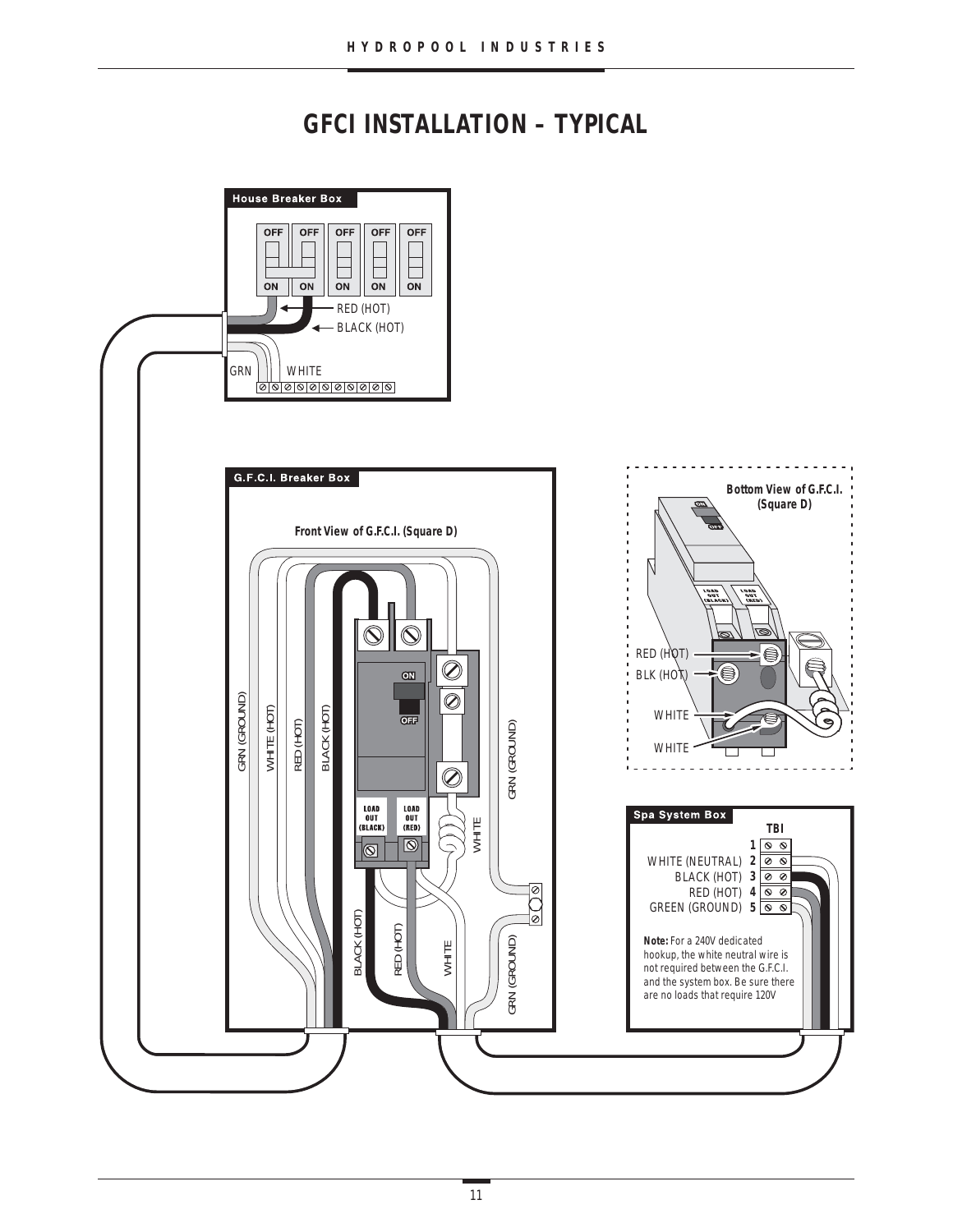# **GFCI INSTALLATION – TYPICAL**

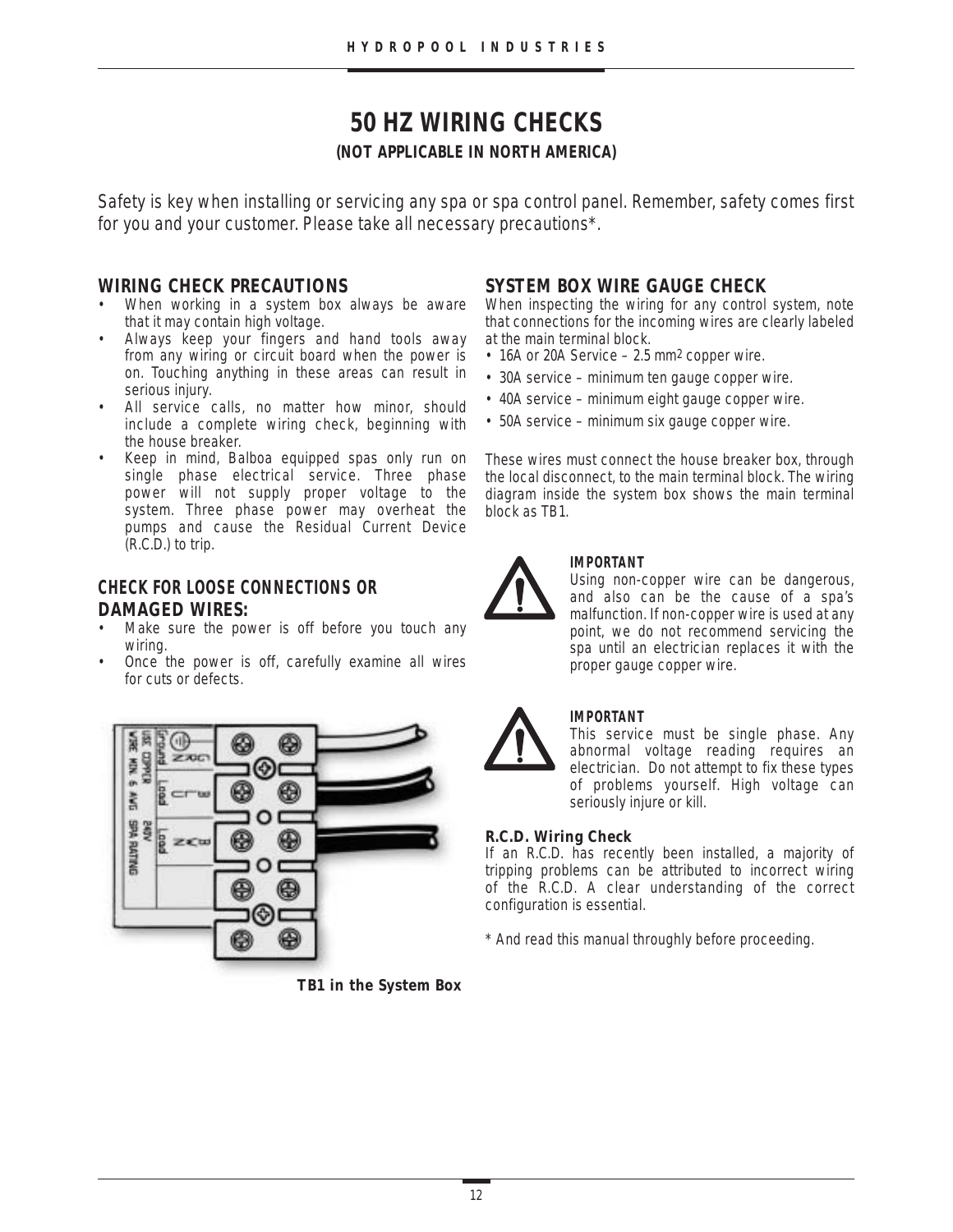# **50 HZ WIRING CHECKS**

#### **(NOT APPLICABLE IN NORTH AMERICA)**

Safety is key when installing or servicing any spa or spa control panel. Remember, safety comes first for you and your customer. Please take all necessary precautions\*.

#### **WIRING CHECK PRECAUTIONS**

- When working in a system box always be aware that it may contain high voltage.
- Always keep your fingers and hand tools away from any wiring or circuit board when the power is on. Touching anything in these areas can result in serious injury.
- All service calls, no matter how minor, should include a complete wiring check, beginning with the house breaker.
- Keep in mind, Balboa equipped spas only run on single phase electrical service. Three phase power will not supply proper voltage to the system. Three phase power may overheat the pumps and cause the Residual Current Device (R.C.D.) to trip.

# **CHECK FOR LOOSE CONNECTIONS OR DAMAGED WIRES:**

- Make sure the power is off before you touch any wiring.
- Once the power is off, carefully examine all wires for cuts or defects.



**TB1 in the System Box**

# **SYSTEM BOX WIRE GAUGE CHECK**

When inspecting the wiring for any control system, note that connections for the incoming wires are clearly labeled at the main terminal block.

- 16A or 20A Service 2.5 mm<sup>2</sup> copper wire.
- 30A service minimum ten gauge copper wire.
- 40A service minimum eight gauge copper wire.
- 50A service minimum six gauge copper wire.

These wires must connect the house breaker box, through the local disconnect, to the main terminal block. The wiring diagram inside the system box shows the main terminal block as TB1.



#### **IMPORTANT**

Using non-copper wire can be dangerous, and also can be the cause of a spa's malfunction. If non-copper wire is used at any point, we do not recommend servicing the spa until an electrician replaces it with the proper gauge copper wire.



### **IMPORTANT**

This service must be single phase. Any abnormal voltage reading requires an electrician. Do not attempt to fix these types of problems yourself. High voltage can seriously injure or kill.

#### **R.C.D. Wiring Check**

If an R.C.D. has recently been installed, a majority of tripping problems can be attributed to incorrect wiring of the R.C.D. A clear understanding of the correct configuration is essential.

\* And read this manual throughly before proceeding.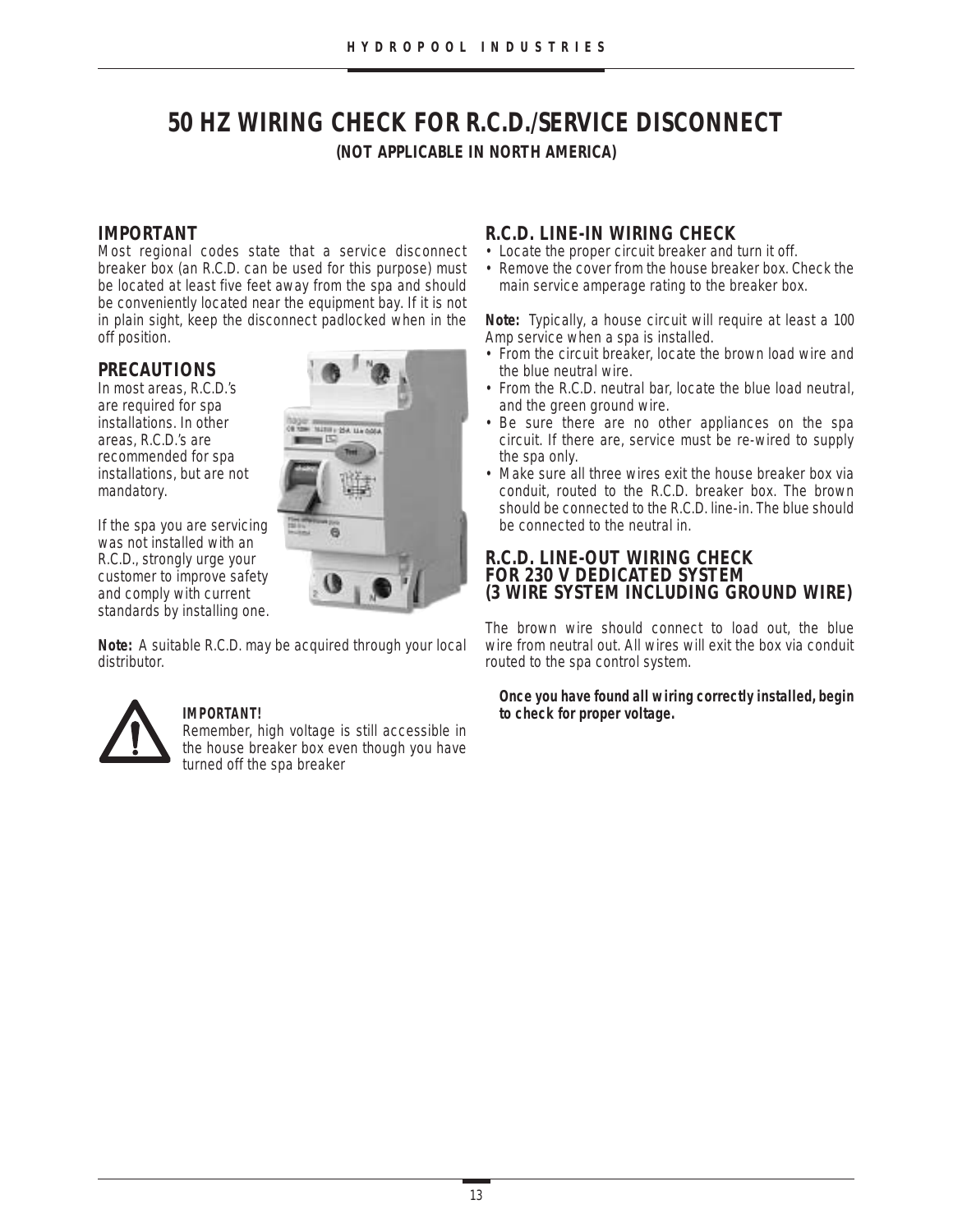# **50 HZ WIRING CHECK FOR R.C.D./SERVICE DISCONNECT (NOT APPLICABLE IN NORTH AMERICA)**

### **IMPORTANT**

Most regional codes state that a service disconnect breaker box (an R.C.D. can be used for this purpose) must be located at least five feet away from the spa and should be conveniently located near the equipment bay. If it is not in plain sight, keep the disconnect padlocked when in the off position.

### **PRECAUTIONS**

In most areas, R.C.D.'s are required for spa installations. In other areas, R.C.D.'s are recommended for spa installations, but are not mandatory.

If the spa you are servicing was not installed with an R.C.D., strongly urge your customer to improve safety and comply with current standards by installing one.

**Note:** A suitable R.C.D. may be acquired through your local distributor.



#### **IMPORTANT!**

Remember, high voltage is still accessible in the house breaker box even though you have turned off the spa breaker

# **R.C.D. LINE-IN WIRING CHECK**

- Locate the proper circuit breaker and turn it off.
- Remove the cover from the house breaker box. Check the main service amperage rating to the breaker box.

**Note:** Typically, a house circuit will require at least a 100 Amp service when a spa is installed.

- From the circuit breaker, locate the brown load wire and the blue neutral wire.
- From the R.C.D. neutral bar, locate the blue load neutral, and the green ground wire.
- Be sure there are no other appliances on the spa circuit. If there are, service must be re-wired to supply the spa only.
- Make sure all three wires exit the house breaker box via conduit, routed to the R.C.D. breaker box. The brown should be connected to the R.C.D. line-in. The blue should be connected to the neutral in.

#### **R.C.D. LINE-OUT WIRING CHECK FOR 230 V DEDICATED SYSTEM (3 WIRE SYSTEM INCLUDING GROUND WIRE)**

The brown wire should connect to load out, the blue wire from neutral out. All wires will exit the box via conduit routed to the spa control system.

**Once you have found all wiring correctly installed, begin to check for proper voltage.**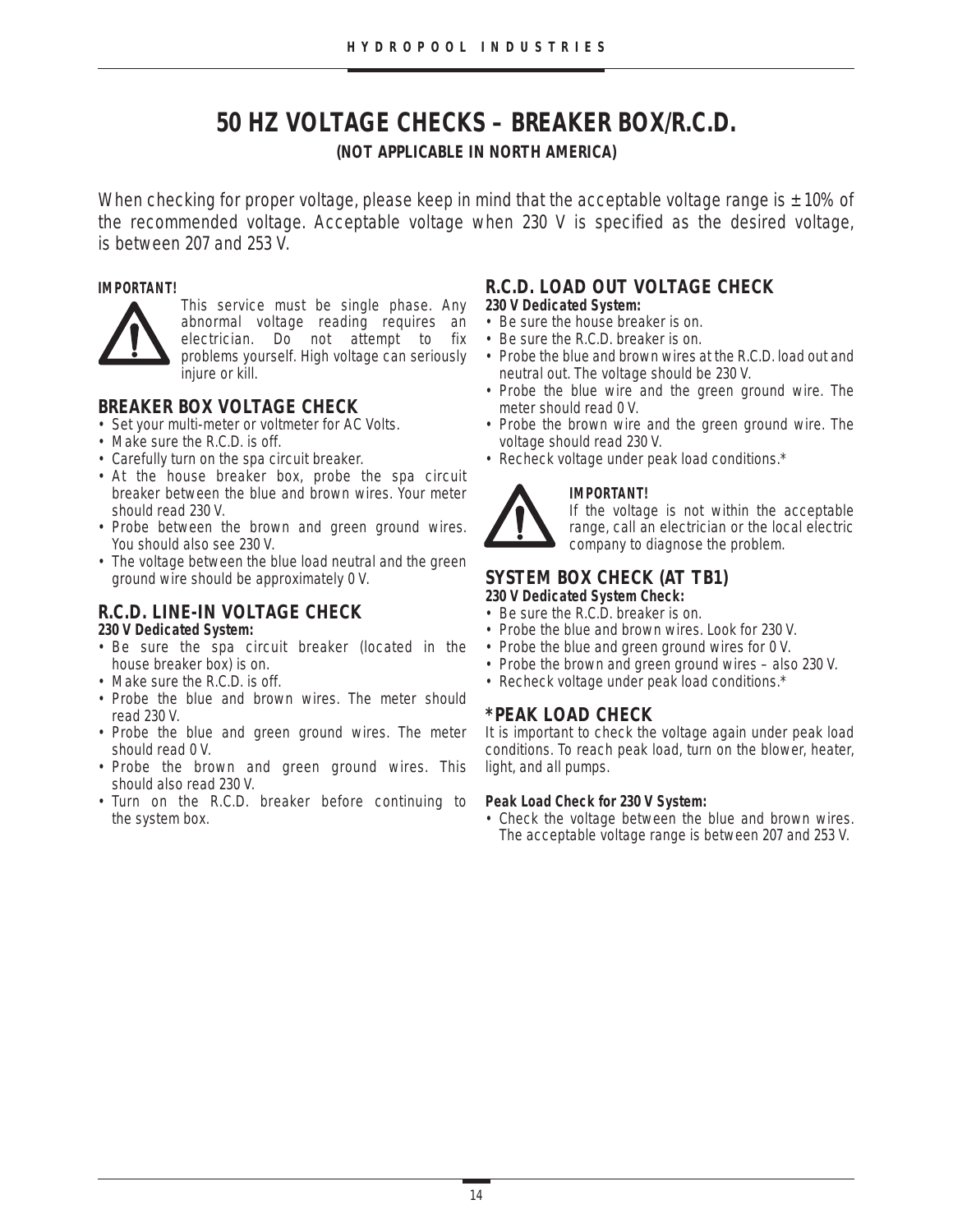# **50 HZ VOLTAGE CHECKS – BREAKER BOX/R.C.D.**

#### **(NOT APPLICABLE IN NORTH AMERICA)**

When checking for proper voltage, please keep in mind that the acceptable voltage range is  $\pm$  10% of the recommended voltage. Acceptable voltage when 230 V is specified as the desired voltage, is between 207 and 253 V.

#### **IMPORTANT!**



This service must be single phase. Any abnormal voltage reading requires an electrician. Do not attempt to fix problems yourself. High voltage can seriously iniure or kill.

# **BREAKER BOX VOLTAGE CHECK**

- Set your multi-meter or voltmeter for AC Volts.
- Make sure the R.C.D. is off.
- Carefully turn on the spa circuit breaker.
- At the house breaker box, probe the spa circuit breaker between the blue and brown wires. Your meter should read 230 V.
- Probe between the brown and green ground wires. You should also see 230 V.
- The voltage between the blue load neutral and the green ground wire should be approximately 0 V.

# **R.C.D. LINE-IN VOLTAGE CHECK**

#### **230 V Dedicated System:**

- Be sure the spa circuit breaker (located in the house breaker box) is on.
- Make sure the R.C.D. is off.
- Probe the blue and brown wires. The meter should read 230 V.
- Probe the blue and green ground wires. The meter should read 0 V.
- Probe the brown and green ground wires. This should also read 230 V.
- Turn on the R.C.D. breaker before continuing to the system box.

# **R.C.D. LOAD OUT VOLTAGE CHECK**

- **230 V Dedicated System:**
- Be sure the house breaker is on.
- Be sure the R.C.D. breaker is on.
- Probe the blue and brown wires at the R.C.D. load out and neutral out. The voltage should be 230 V.
- Probe the blue wire and the green ground wire. The meter should read 0 V.
- Probe the brown wire and the green ground wire. The voltage should read 230 V.
- Recheck voltage under peak load conditions.\*

#### **IMPORTANT!**

If the voltage is not within the acceptable range, call an electrician or the local electric company to diagnose the problem.

#### **SYSTEM BOX CHECK (AT TB1) 230 V Dedicated System Check:**

- Be sure the R.C.D. breaker is on.
- Probe the blue and brown wires. Look for 230 V.
- Probe the blue and green ground wires for 0 V.
- Probe the brown and green ground wires also 230 V.
- Recheck voltage under peak load conditions.\*

# **\*PEAK LOAD CHECK**

It is important to check the voltage again under peak load conditions. To reach peak load, turn on the blower, heater, light, and all pumps.

#### **Peak Load Check for 230 V System:**

• Check the voltage between the blue and brown wires. The acceptable voltage range is between 207 and 253 V.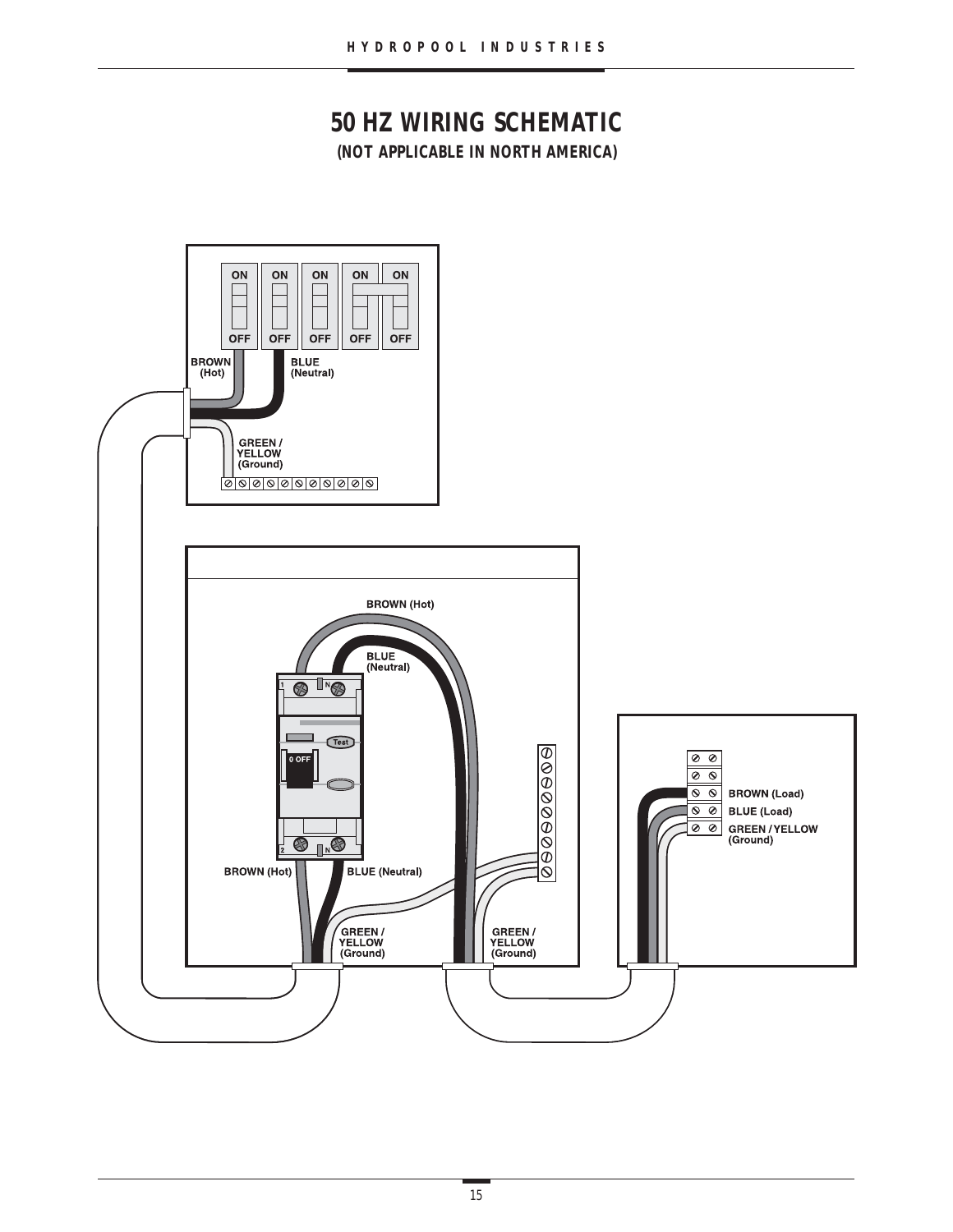# **50 HZ WIRING SCHEMATIC (NOT APPLICABLE IN NORTH AMERICA)**

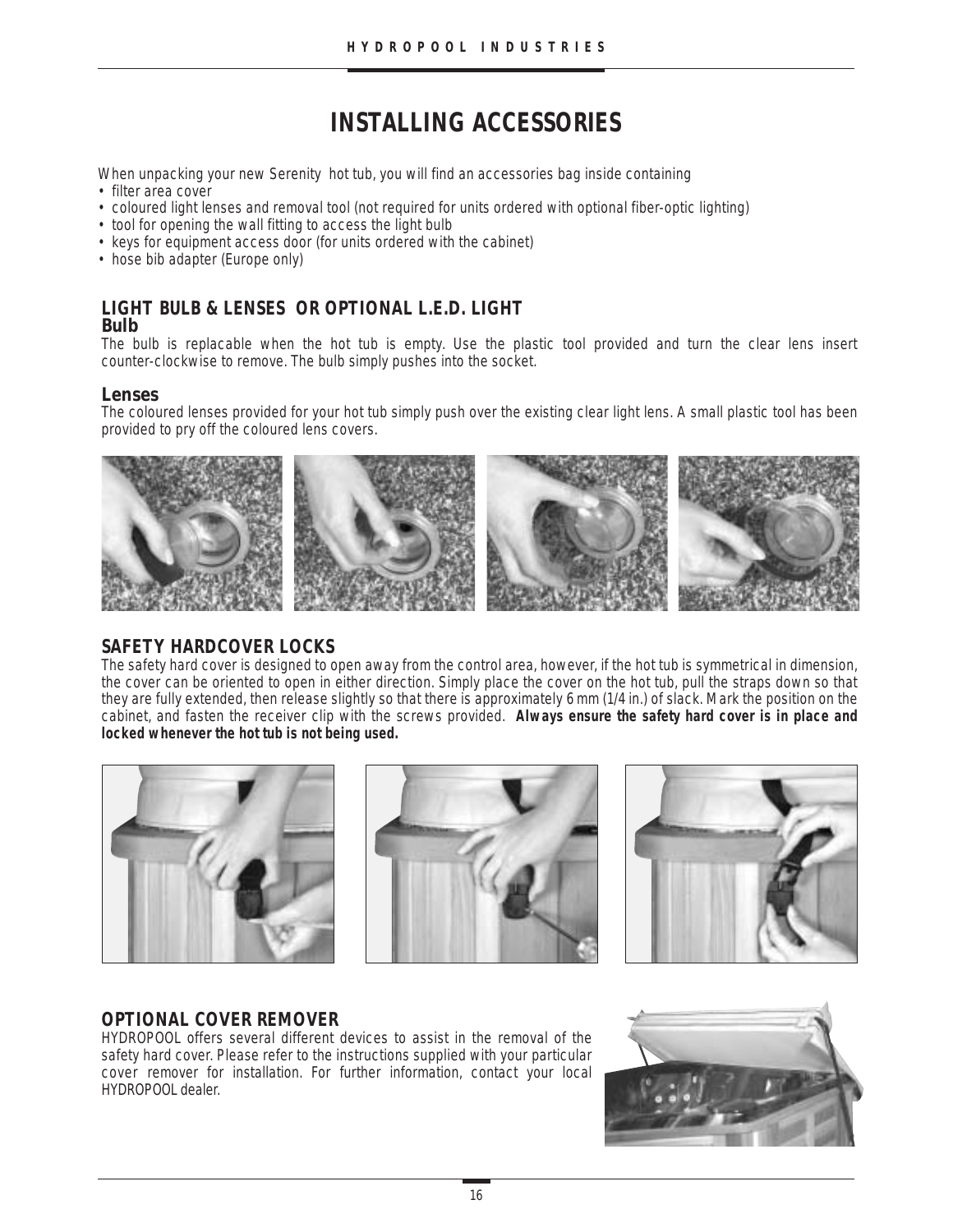# **INSTALLING ACCESSORIES**

When unpacking your new Serenity hot tub, you will find an accessories bag inside containing

- filter area cover
- coloured light lenses and removal tool (not required for units ordered with optional fiber-optic lighting)
- tool for opening the wall fitting to access the light bulb
- keys for equipment access door (for units ordered with the cabinet)
- hose bib adapter (Europe only)

### **LIGHT BULB & LENSES OR OPTIONAL L.E.D. LIGHT Bulb**

The bulb is replacable when the hot tub is empty. Use the plastic tool provided and turn the clear lens insert counter-clockwise to remove. The bulb simply pushes into the socket.

#### **Lenses**

The coloured lenses provided for your hot tub simply push over the existing clear light lens. A small plastic tool has been provided to pry off the coloured lens covers.



### **SAFETY HARDCOVER LOCKS**

The safety hard cover is designed to open away from the control area, however, if the hot tub is symmetrical in dimension, the cover can be oriented to open in either direction. Simply place the cover on the hot tub, pull the straps down so that they are fully extended, then release slightly so that there is approximately 6 mm (1/4 in.) of slack. Mark the position on the cabinet, and fasten the receiver clip with the screws provided. **Always ensure the safety hard cover is in place and locked whenever the hot tub is not being used.**







# **OPTIONAL COVER REMOVER**

HYDROPOOL offers several different devices to assist in the removal of the safety hard cover. Please refer to the instructions supplied with your particular cover remover for installation. For further information, contact your local HYDROPOOL dealer.

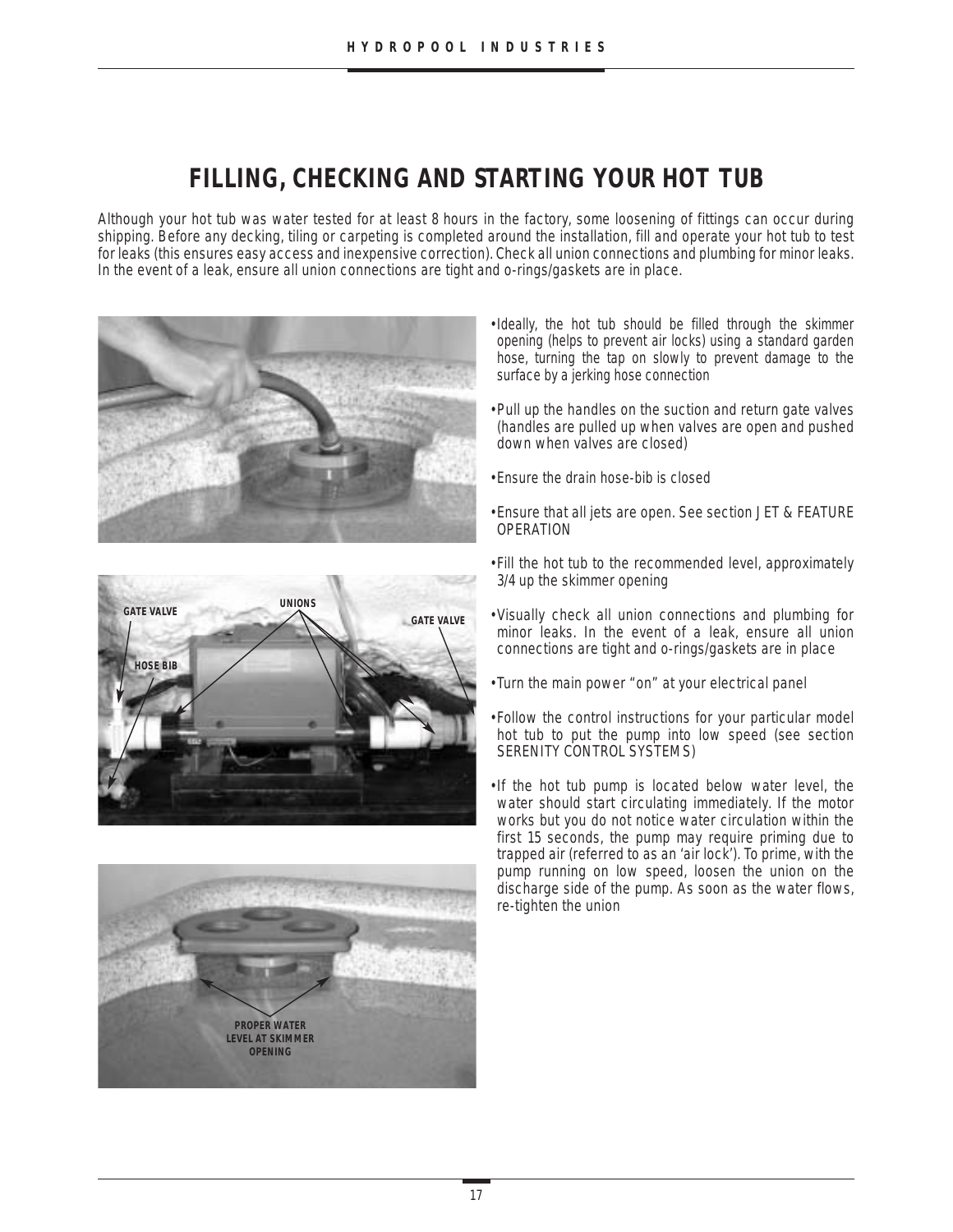# **FILLING, CHECKING AND STARTING YOUR HOT TUB**

Although your hot tub was water tested for at least 8 hours in the factory, some loosening of fittings can occur during shipping. Before any decking, tiling or carpeting is completed around the installation, fill and operate your hot tub to test for leaks (this ensures easy access and inexpensive correction). Check all union connections and plumbing for minor leaks. In the event of a leak, ensure all union connections are tight and o-rings/gaskets are in place.







- •Ideally, the hot tub should be filled through the skimmer opening (helps to prevent air locks) using a standard garden hose, turning the tap on slowly to prevent damage to the surface by a jerking hose connection
- •Pull up the handles on the suction and return gate valves (handles are pulled up when valves are open and pushed down when valves are closed)
- •Ensure the drain hose-bib is closed
- •Ensure that all jets are open. See section JET & FEATURE OPERATION
- Fill the hot tub to the recommended level, approximately 3/4 up the skimmer opening
- Visually check all union connections and plumbing for minor leaks. In the event of a leak, ensure all union connections are tight and o-rings/gaskets are in place
- Turn the main power "on" at your electrical panel
- Follow the control instructions for your particular model hot tub to put the pump into low speed (see section SERENITY CONTROL SYSTEMS)
- •If the hot tub pump is located below water level, the water should start circulating immediately. If the motor works but you do not notice water circulation within the first 15 seconds, the pump may require priming due to trapped air (referred to as an 'air lock'). To prime, with the pump running on low speed, loosen the union on the discharge side of the pump. As soon as the water flows, re-tighten the union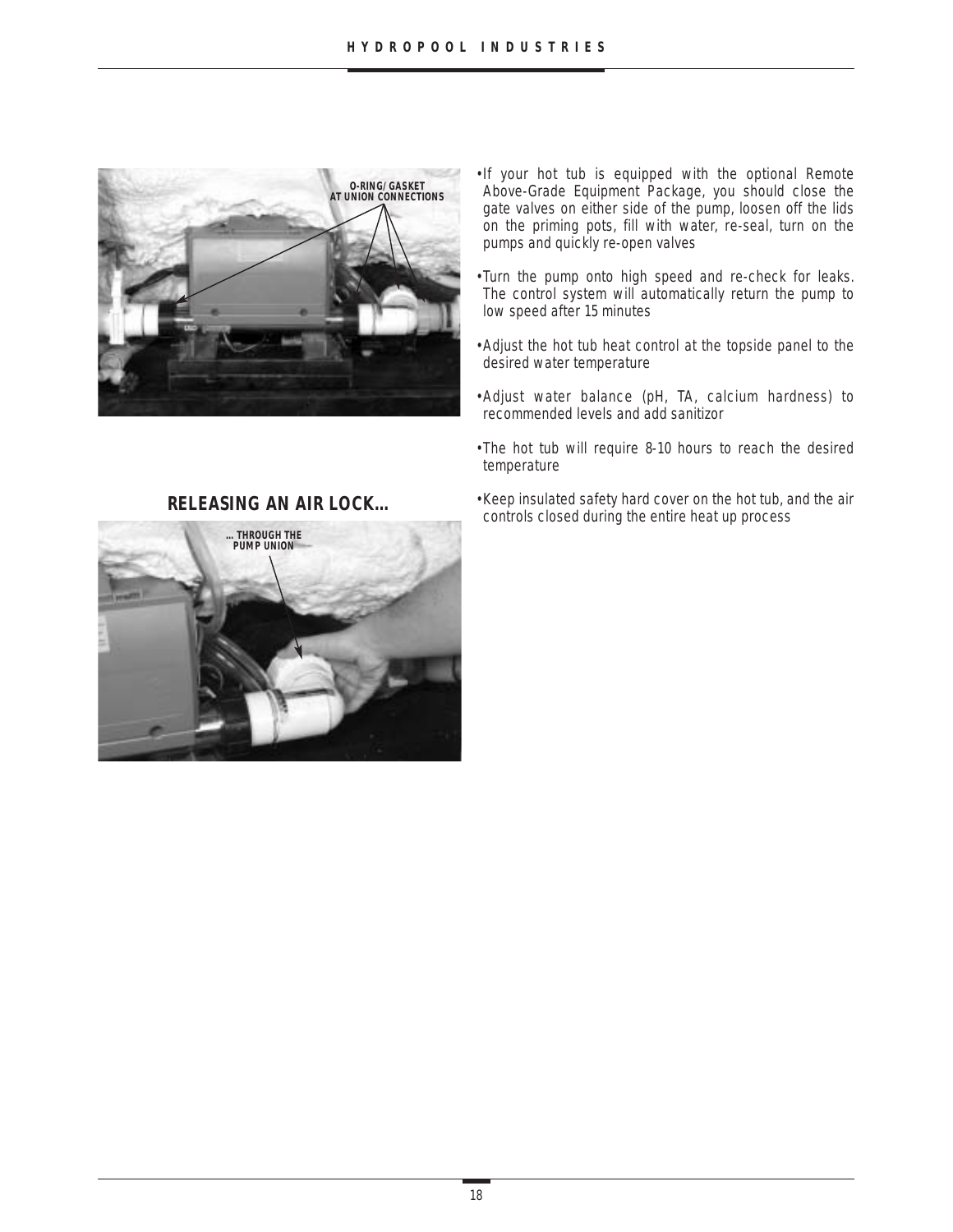

- •If your hot tub is equipped with the optional Remote Above-Grade Equipment Package, you should close the gate valves on either side of the pump, loosen off the lids on the priming pots, fill with water, re-seal, turn on the pumps and quickly re-open valves
- Turn the pump onto high speed and re-check for leaks. The control system will automatically return the pump to low speed after 15 minutes
- •Adjust the hot tub heat control at the topside panel to the desired water temperature
- •Adjust water balance (pH, TA, calcium hardness) to recommended levels and add sanitizor
- •The hot tub will require 8-10 hours to reach the desired temperature
- •Keep insulated safety hard cover on the hot tub, and the air controls closed during the entire heat up process



### **RELEASING AN AIR LOCK…**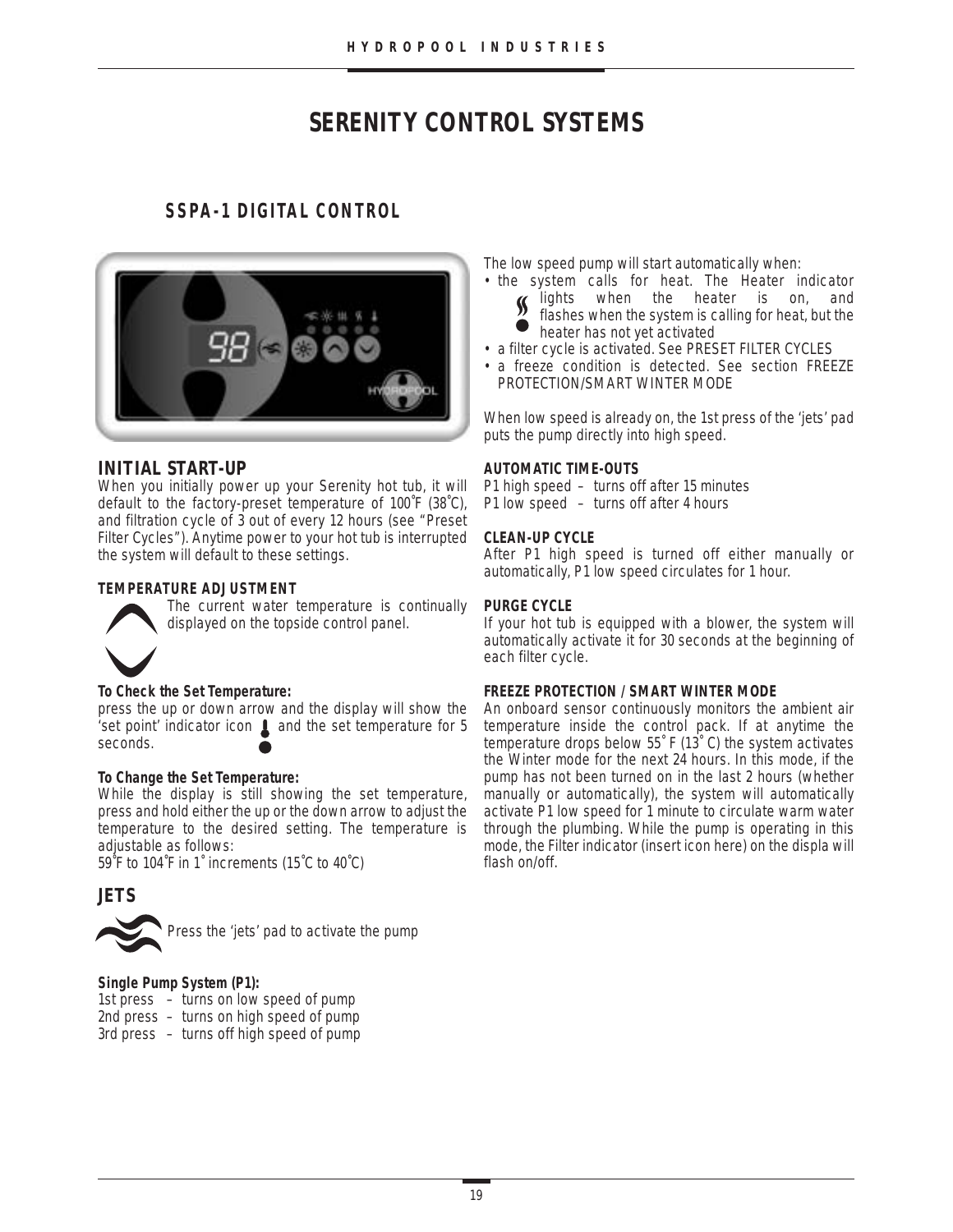# **SERENITY CONTROL SYSTEMS**

# **SSPA-1 DIGITAL CONTROL**



### **INITIAL START-UP**

When you initially power up your Serenity hot tub, it will default to the factory-preset temperature of 100˚F (38˚C), and filtration cycle of 3 out of every 12 hours (see "Preset Filter Cycles"). Anytime power to your hot tub is interrupted the system will default to these settings.

#### **TEMPERATURE ADJUSTMENT** The current water temperature is continually



#### **To Check the Set Temperature:**

press the up or down arrow and the display will show the 'set point' indicator icon  $\blacksquare$  and the set temperature for 5 seconds.

displayed on the topside control panel.

#### **To Change the Set Temperature:**

While the display is still showing the set temperature, press and hold either the up or the down arrow to adjust the temperature to the desired setting. The temperature is adjustable as follows:

59˚F to 104˚F in 1˚ increments (15˚C to 40˚C)

# **JETS**



Press the 'jets' pad to activate the pump

#### **Single Pump System (P1):**

- 1st press turns on low speed of pump
- 2nd press turns on high speed of pump
- 3rd press turns off high speed of pump

The low speed pump will start automatically when:

- the system calls for heat. The Heater indicator lights when the heater is on, and flashes when the system is calling for heat, but the
	- heater has not yet activated
- a filter cycle is activated. See PRESET FILTER CYCLES
- a freeze condition is detected. See section FREEZE PROTECTION/SMART WINTER MODE

When low speed is already on, the 1st press of the 'jets' pad puts the pump directly into high speed.

#### **AUTOMATIC TIME-OUTS**

P1 high speed – turns off after 15 minutes P1 low speed – turns off after 4 hours

#### **CLEAN-UP CYCLE**

After P1 high speed is turned off either manually or automatically, P1 low speed circulates for 1 hour.

#### **PURGE CYCLE**

If your hot tub is equipped with a blower, the system will automatically activate it for 30 seconds at the beginning of each filter cycle.

#### **FREEZE PROTECTION / SMART WINTER MODE**

An onboard sensor continuously monitors the ambient air temperature inside the control pack. If at anytime the temperature drops below 55˚ F (13˚ C) the system activates the Winter mode for the next 24 hours. In this mode, if the pump has not been turned on in the last 2 hours (whether manually or automatically), the system will automatically activate P1 low speed for 1 minute to circulate warm water through the plumbing. While the pump is operating in this mode, the Filter indicator (insert icon here) on the displa will flash on/off.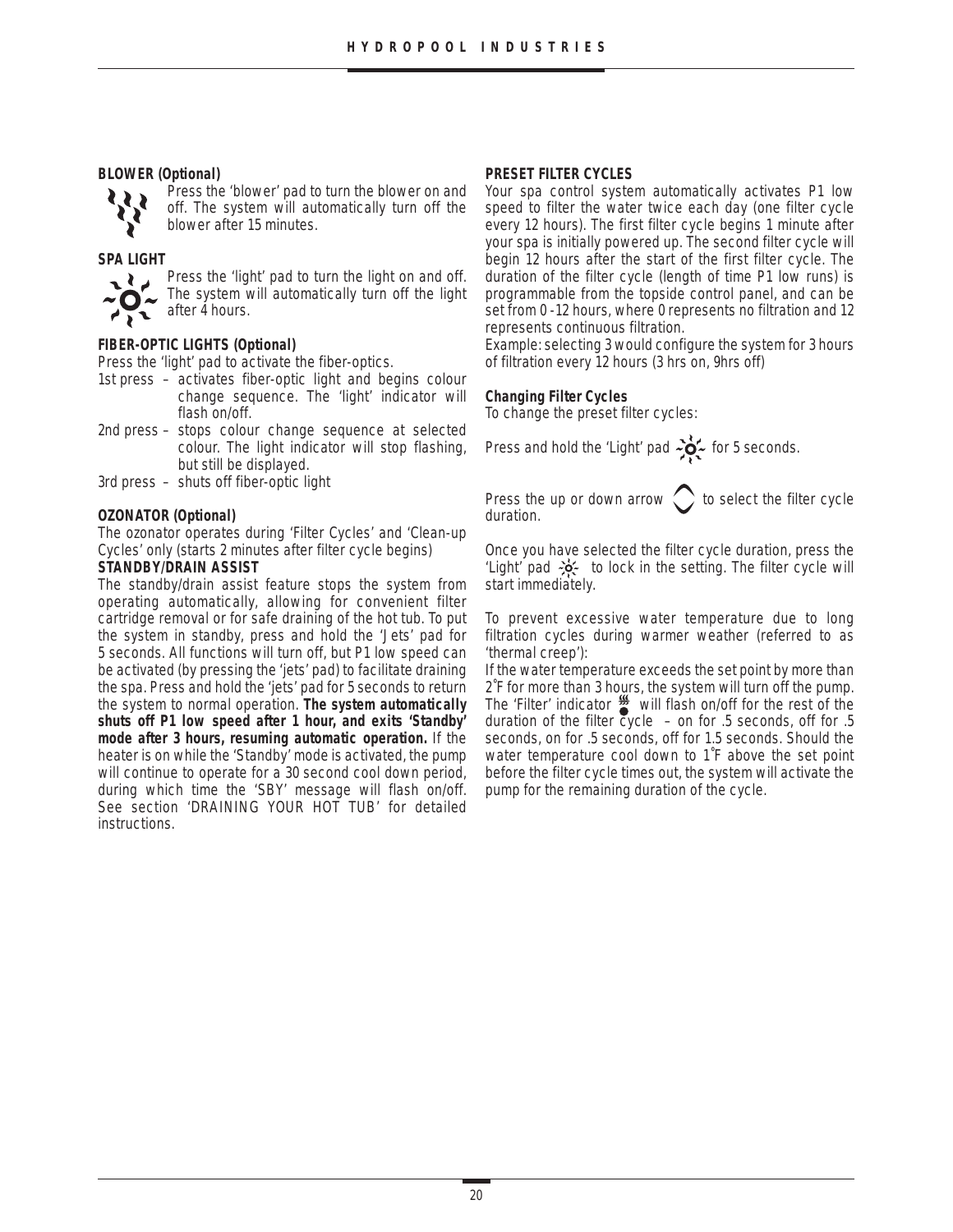#### **BLOWER (Optional)**



Press the 'blower' pad to turn the blower on and off. The system will automatically turn off the blower after 15 minutes.

#### **SPA LIGHT**



Press the 'light' pad to turn the light on and off. The system will automatically turn off the light  $\overline{a}$  after 4 hours.

#### **FIBER-OPTIC LIGHTS (Optional)**

Press the 'light' pad to activate the fiber-optics.

- 1st press activates fiber-optic light and begins colour change sequence. The 'light' indicator will flash on/off.
- 2nd press stops colour change sequence at selected colour. The light indicator will stop flashing, but still be displayed.
- 3rd press shuts off fiber-optic light

#### **OZONATOR (Optional)**

The ozonator operates during 'Filter Cycles' and 'Clean-up Cycles' only (starts 2 minutes after filter cycle begins)

#### **STANDBY/DRAIN ASSIST**

The standby/drain assist feature stops the system from operating automatically, allowing for convenient filter cartridge removal or for safe draining of the hot tub. To put the system in standby, press and hold the 'Jets' pad for 5 seconds. All functions will turn off, but P1 low speed can be activated (by pressing the 'jets' pad) to facilitate draining the spa. Press and hold the 'jets' pad for 5 seconds to return the system to normal operation. **The system automatically shuts off P1 low speed after 1 hour, and exits 'Standby' mode after 3 hours, resuming automatic operation.** If the heater is on while the 'Standby' mode is activated, the pump will continue to operate for a 30 second cool down period, during which time the 'SBY' message will flash on/off. See section 'DRAINING YOUR HOT TUB' for detailed instructions.

#### **PRESET FILTER CYCLES**

Your spa control system automatically activates P1 low speed to filter the water twice each day (one filter cycle every 12 hours). The first filter cycle begins 1 minute after your spa is initially powered up. The second filter cycle will begin 12 hours after the start of the first filter cycle. The duration of the filter cycle (length of time P1 low runs) is programmable from the topside control panel, and can be set from 0 -12 hours, where 0 represents no filtration and 12 represents continuous filtration.

Example: selecting 3 would configure the system for 3 hours of filtration every 12 hours (3 hrs on, 9hrs off)

#### **Changing Filter Cycles**

To change the preset filter cycles:

Press and hold the 'Light' pad  $\frac{1}{2}$  for 5 seconds.

Press the up or down arrow  $\bigcirc$  to select the filter cycle duration.

Once you have selected the filter cycle duration, press the 'Light' pad  $\frac{1}{2}$  to lock in the setting. The filter cycle will start immediately.

To prevent excessive water temperature due to long filtration cycles during warmer weather (referred to as 'thermal creep'):

If the water temperature exceeds the set point by more than 2˚F for more than 3 hours, the system will turn off the pump. The 'Filter' indicator  $\frac{1}{2}$  will flash on/off for the rest of the duration of the filter cycle  $-$  on for .5 seconds, off for .5 seconds, on for .5 seconds, off for 1.5 seconds. Should the water temperature cool down to 1˚F above the set point before the filter cycle times out, the system will activate the pump for the remaining duration of the cycle.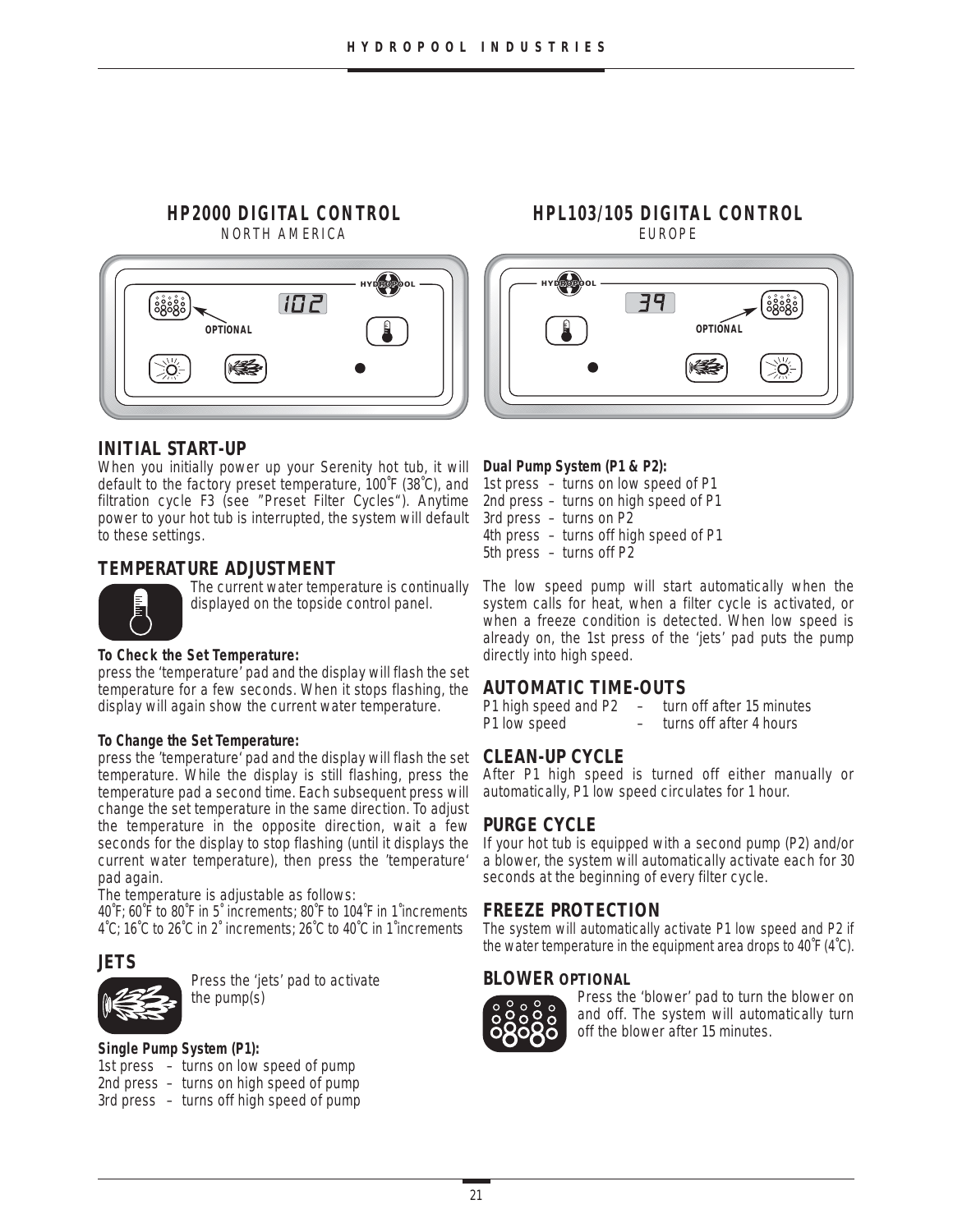#### **HP2000 DIGITAL CONTROL** NORTH AMERICA



# **HPL103/105 DIGITAL CONTROL** EUROPE



### **INITIAL START-UP**

When you initially power up your Serenity hot tub, it will default to the factory preset temperature, 100˚F (38˚C), and filtration cycle F3 (see "Preset Filter Cycles"). Anytime power to your hot tub is interrupted, the system will default to these settings.

### **TEMPERATURE ADJUSTMENT**



The current water temperature is continually displayed on the topside control panel.

#### **To Check the Set Temperature:**

press the 'temperature' pad and the display will flash the set temperature for a few seconds. When it stops flashing, the display will again show the current water temperature.

#### **To Change the Set Temperature:**

press the 'temperature' pad and the display will flash the set temperature. While the display is still flashing, press the temperature pad a second time. Each subsequent press will change the set temperature in the same direction. To adjust the temperature in the opposite direction, wait a few seconds for the display to stop flashing (until it displays the current water temperature), then press the 'temperature' pad again.

The temperature is adjustable as follows:

40˚F; 60˚F to 80˚F in 5˚ increments; 80˚F to 104˚F in 1˚increments 4˚C; 16˚C to 26˚C in 2˚ increments; 26˚C to 40˚C in 1˚increments

#### **JETS**



Press the 'jets' pad to activate the pump(s)

#### **Single Pump System (P1):**

- 1st press turns on low speed of pump
- 2nd press turns on high speed of pump
- 3rd press turns off high speed of pump

#### **Dual Pump System (P1 & P2):**

1st press – turns on low speed of P1 2nd press – turns on high speed of P1 3rd press – turns on P2 4th press – turns off high speed of P1 5th press – turns off P2

The low speed pump will start automatically when the system calls for heat, when a filter cycle is activated, or when a freeze condition is detected. When low speed is already on, the 1st press of the 'jets' pad puts the pump directly into high speed.

### **AUTOMATIC TIME-OUTS**

```
P1 high speed and P2 – turn off after 15 minutes
P1 low speed – turns off after 4 hours
```
### **CLEAN-UP CYCLE**

After P1 high speed is turned off either manually or automatically, P1 low speed circulates for 1 hour.

### **PURGE CYCLE**

If your hot tub is equipped with a second pump (P2) and/or a blower, the system will automatically activate each for 30 seconds at the beginning of every filter cycle.

#### **FREEZE PROTECTION**

The system will automatically activate P1 low speed and P2 if the water temperature in the equipment area drops to 40˚F (4˚C).

#### **BLOWER OPTIONAL**



Press the 'blower' pad to turn the blower on and off. The system will automatically turn off the blower after 15 minutes.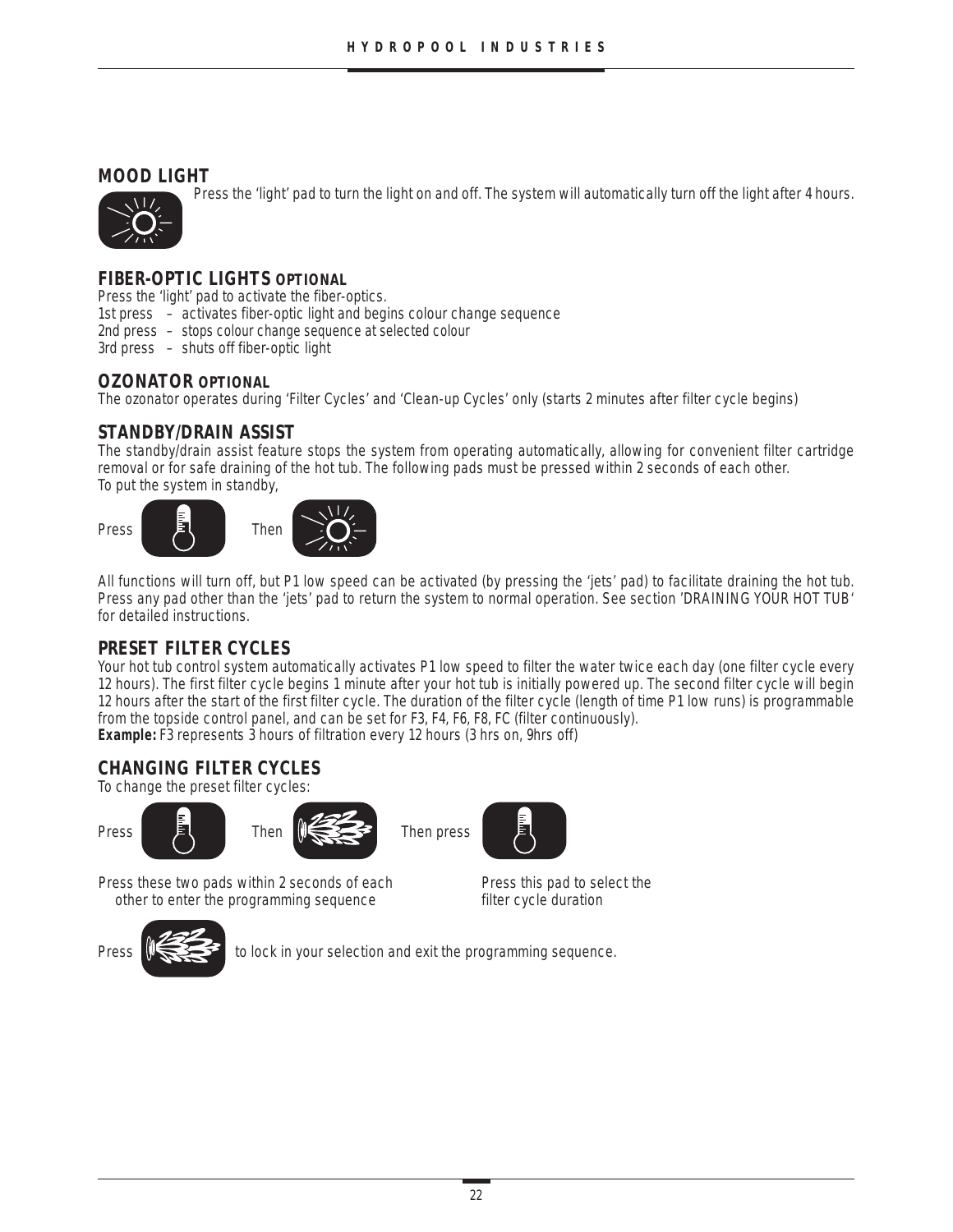# **MOOD LIGHT**

Press the 'light' pad to turn the light on and off. The system will automatically turn off the light after 4 hours.



# **FIBER-OPTIC LIGHTS OPTIONAL**

Press the 'light' pad to activate the fiber-optics.

- 1st press activates fiber-optic light and begins colour change sequence
- 2nd press stops colour change sequence at selected colour

3rd press – shuts off fiber-optic light

#### **OZONATOR OPTIONAL**

The ozonator operates during 'Filter Cycles' and 'Clean-up Cycles' only (starts 2 minutes after filter cycle begins)

#### **STANDBY/DRAIN ASSIST**

The standby/drain assist feature stops the system from operating automatically, allowing for convenient filter cartridge removal or for safe draining of the hot tub. The following pads must be pressed within 2 seconds of each other. To put the system in standby,



All functions will turn off, but P1 low speed can be activated (by pressing the 'jets' pad) to facilitate draining the hot tub. Press any pad other than the 'jets' pad to return the system to normal operation. See section 'DRAINING YOUR HOT TUB' for detailed instructions.

### **PRESET FILTER CYCLES**

Your hot tub control system automatically activates P1 low speed to filter the water twice each day (one filter cycle every 12 hours). The first filter cycle begins 1 minute after your hot tub is initially powered up. The second filter cycle will begin 12 hours after the start of the first filter cycle. The duration of the filter cycle (length of time P1 low runs) is programmable from the topside control panel, and can be set for F3, F4, F6, F8, FC (filter continuously). **Example:** F3 represents 3 hours of filtration every 12 hours (3 hrs on, 9hrs off)

# **CHANGING FILTER CYCLES**

To change the preset filter cycles:







Press these two pads within 2 seconds of each<br>
other to enter the programming sequence<br>
Filter cycle duration other to enter the programming sequence



Press  $\mathbb{R}$  to lock in your selection and exit the programming sequence.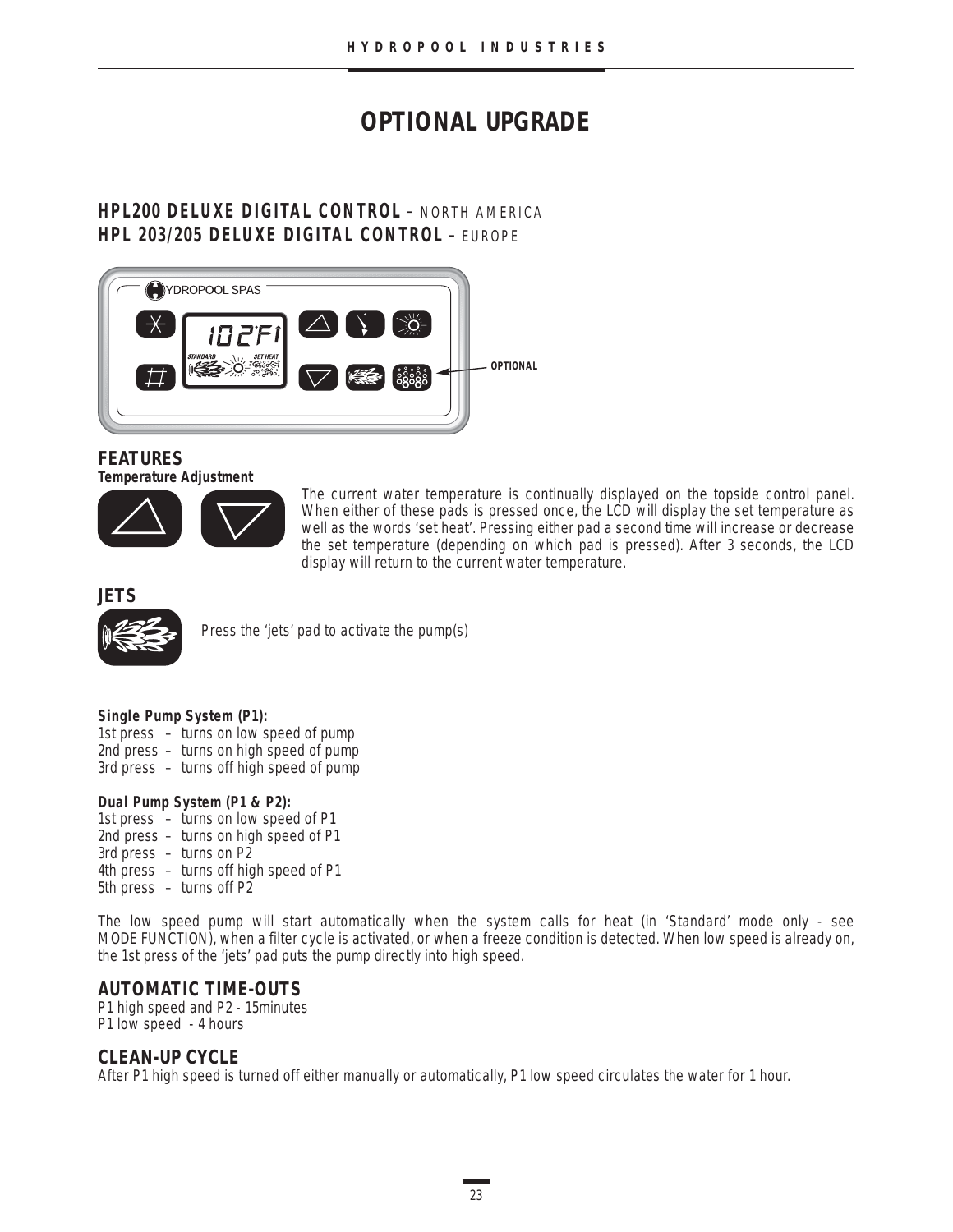# **OPTIONAL UPGRADE**

# **HPL200 DELUXE DIGITAL CONTROL** – NORTH AMERICA **HPL 203/205 DELUXE DIGITAL CONTROL** – EUROPE



#### **FEATURES Temperature Adjustment**



The current water temperature is continually displayed on the topside control panel. When either of these pads is pressed once, the LCD will display the set temperature as well as the words 'set heat'. Pressing either pad a second time will increase or decrease the set temperature (depending on which pad is pressed). After 3 seconds, the LCD display will return to the current water temperature.

#### **JETS**



Press the 'jets' pad to activate the pump(s)

#### **Single Pump System (P1):**

- 1st press turns on low speed of pump
- 2nd press turns on high speed of pump
- 3rd press turns off high speed of pump

#### **Dual Pump System (P1 & P2):**

- 1st press turns on low speed of P1 2nd press – turns on high speed of P1
- 3rd press turns on P2
- 4th press turns off high speed of P1
- 5th press turns off P2

The low speed pump will start automatically when the system calls for heat (in 'Standard' mode only - see MODE FUNCTION), when a filter cycle is activated, or when a freeze condition is detected. When low speed is already on, the 1st press of the 'jets' pad puts the pump directly into high speed.

### **AUTOMATIC TIME-OUTS**

P1 high speed and P2 - 15minutes P1 low speed - 4 hours

### **CLEAN-UP CYCLE**

After P1 high speed is turned off either manually or automatically, P1 low speed circulates the water for 1 hour.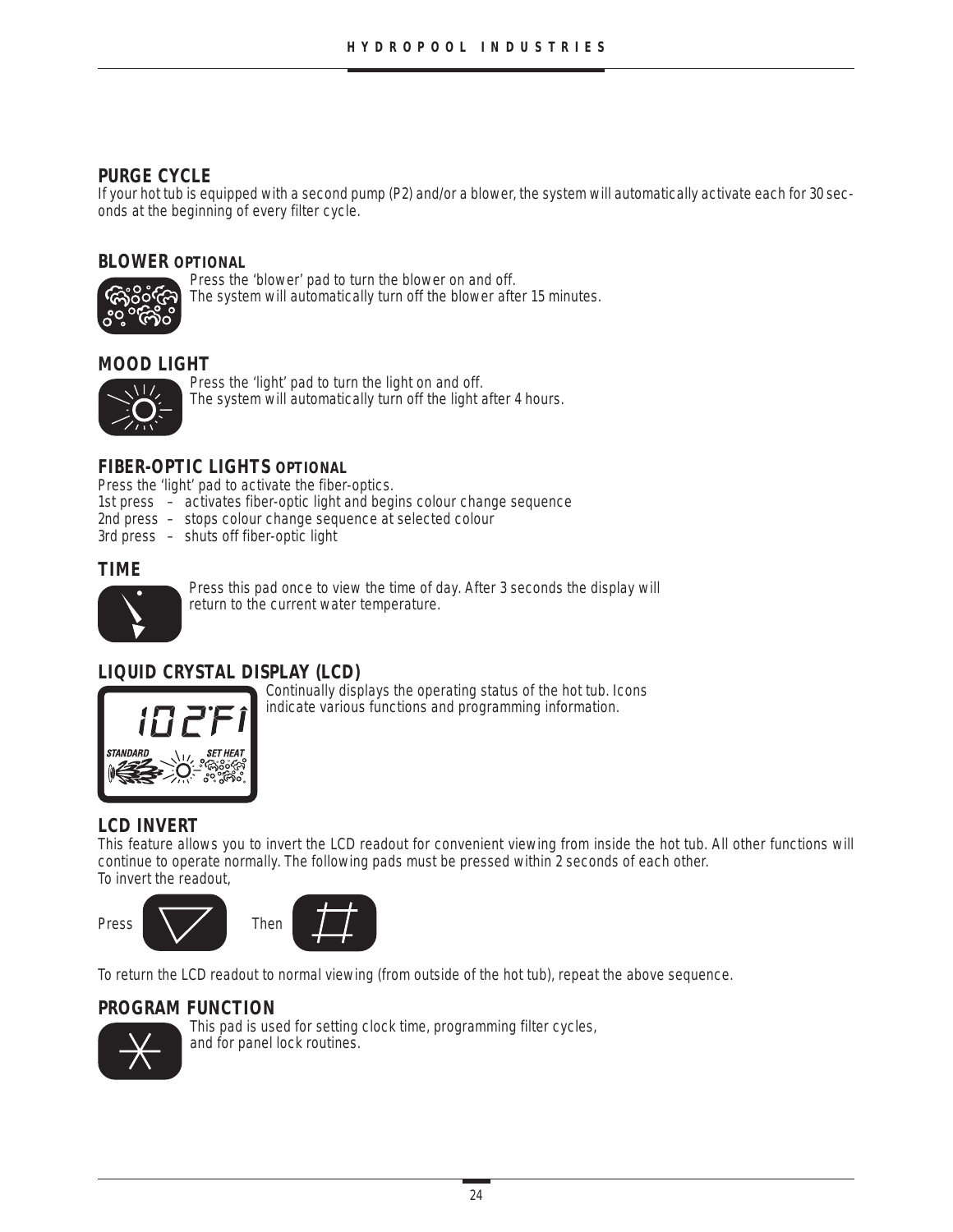# **PURGE CYCLE**

If your hot tub is equipped with a second pump (P2) and/or a blower, the system will automatically activate each for 30 seconds at the beginning of every filter cycle.

#### **BLOWER OPTIONAL**



Press the 'blower' pad to turn the blower on and off. The system will automatically turn off the blower after 15 minutes.

# **MOOD LIGHT**



Press the 'light' pad to turn the light on and off. The system will automatically turn off the light after 4 hours.

### **FIBER-OPTIC LIGHTS OPTIONAL**

Press the 'light' pad to activate the fiber-optics.

- 1st press activates fiber-optic light and begins colour change sequence
- 2nd press stops colour change sequence at selected colour
- 3rd press shuts off fiber-optic light

#### **TIME**



Press this pad once to view the time of day. After 3 seconds the display will return to the current water temperature.

### **LIQUID CRYSTAL DISPLAY (LCD)**



Continually displays the operating status of the hot tub. Icons indicate various functions and programming information.

### **LCD INVERT**

This feature allows you to invert the LCD readout for convenient viewing from inside the hot tub. All other functions will continue to operate normally. The following pads must be pressed within 2 seconds of each other. To invert the readout,





To return the LCD readout to normal viewing (from outside of the hot tub), repeat the above sequence.

### **PROGRAM FUNCTION**



This pad is used for setting clock time, programming filter cycles, and for panel lock routines.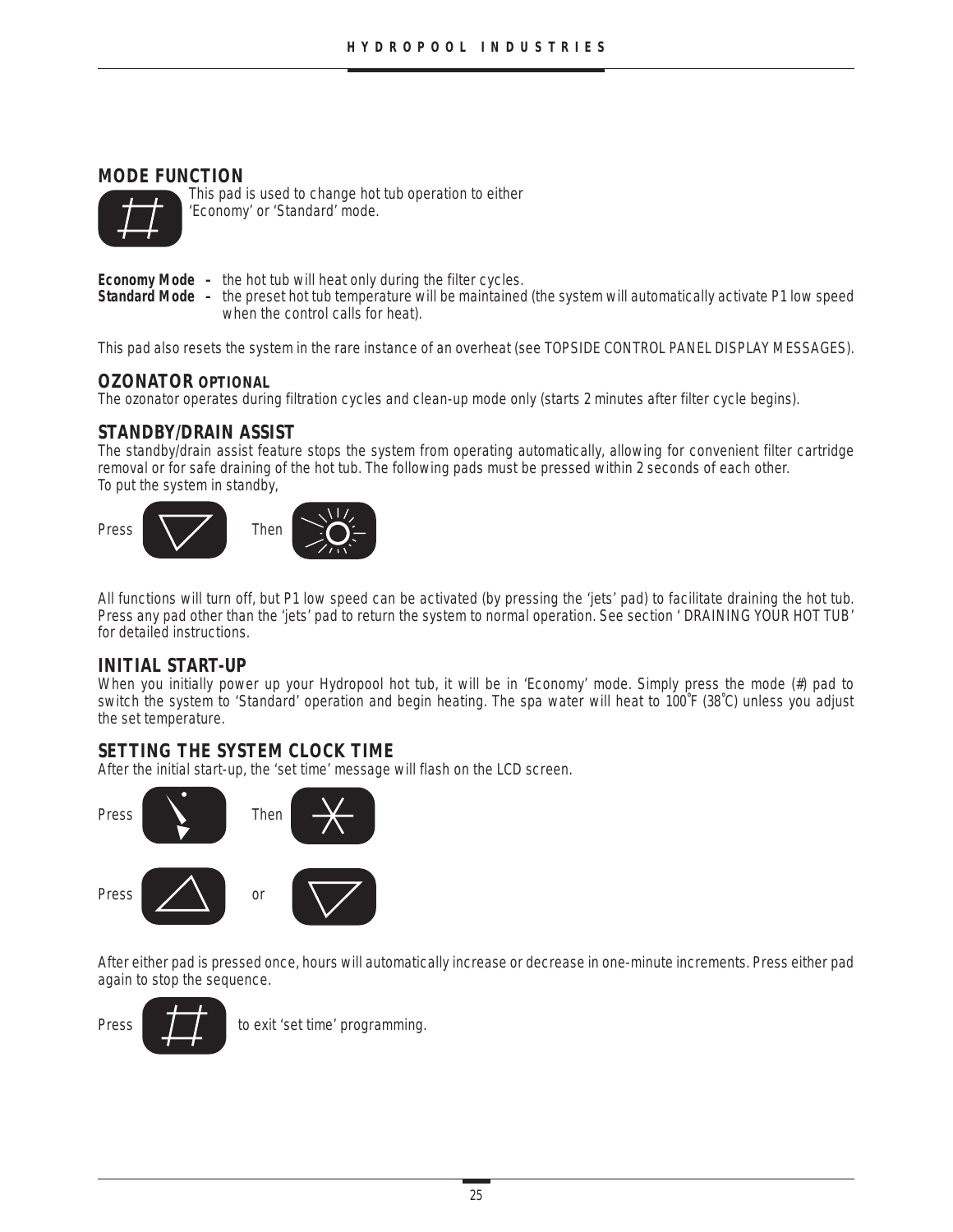# **MODE FUNCTION**



This pad is used to change hot tub operation to either 'Economy' or 'Standard' mode.

- **Economy Mode** the hot tub will heat only during the filter cycles.
- **Standard Mode –** the preset hot tub temperature will be maintained (the system will automatically activate P1 low speed when the control calls for heat).

This pad also resets the system in the rare instance of an overheat (see TOPSIDE CONTROL PANEL DISPLAY MESSAGES).

#### **OZONATOR OPTIONAL**

The ozonator operates during filtration cycles and clean-up mode only (starts 2 minutes after filter cycle begins).

#### **STANDBY/DRAIN ASSIST**

The standby/drain assist feature stops the system from operating automatically, allowing for convenient filter cartridge removal or for safe draining of the hot tub. The following pads must be pressed within 2 seconds of each other. To put the system in standby,



All functions will turn off, but P1 low speed can be activated (by pressing the 'jets' pad) to facilitate draining the hot tub. Press any pad other than the 'jets' pad to return the system to normal operation. See section ' DRAINING YOUR HOT TUB' for detailed instructions.

#### **INITIAL START-UP**

When you initially power up your Hydropool hot tub, it will be in 'Economy' mode. Simply press the mode (#) pad to switch the system to 'Standard' operation and begin heating. The spa water will heat to 100˚F (38˚C) unless you adjust the set temperature.

### **SETTING THE SYSTEM CLOCK TIME**

After the initial start-up, the 'set time' message will flash on the LCD screen.



After either pad is pressed once, hours will automatically increase or decrease in one-minute increments. Press either pad again to stop the sequence.

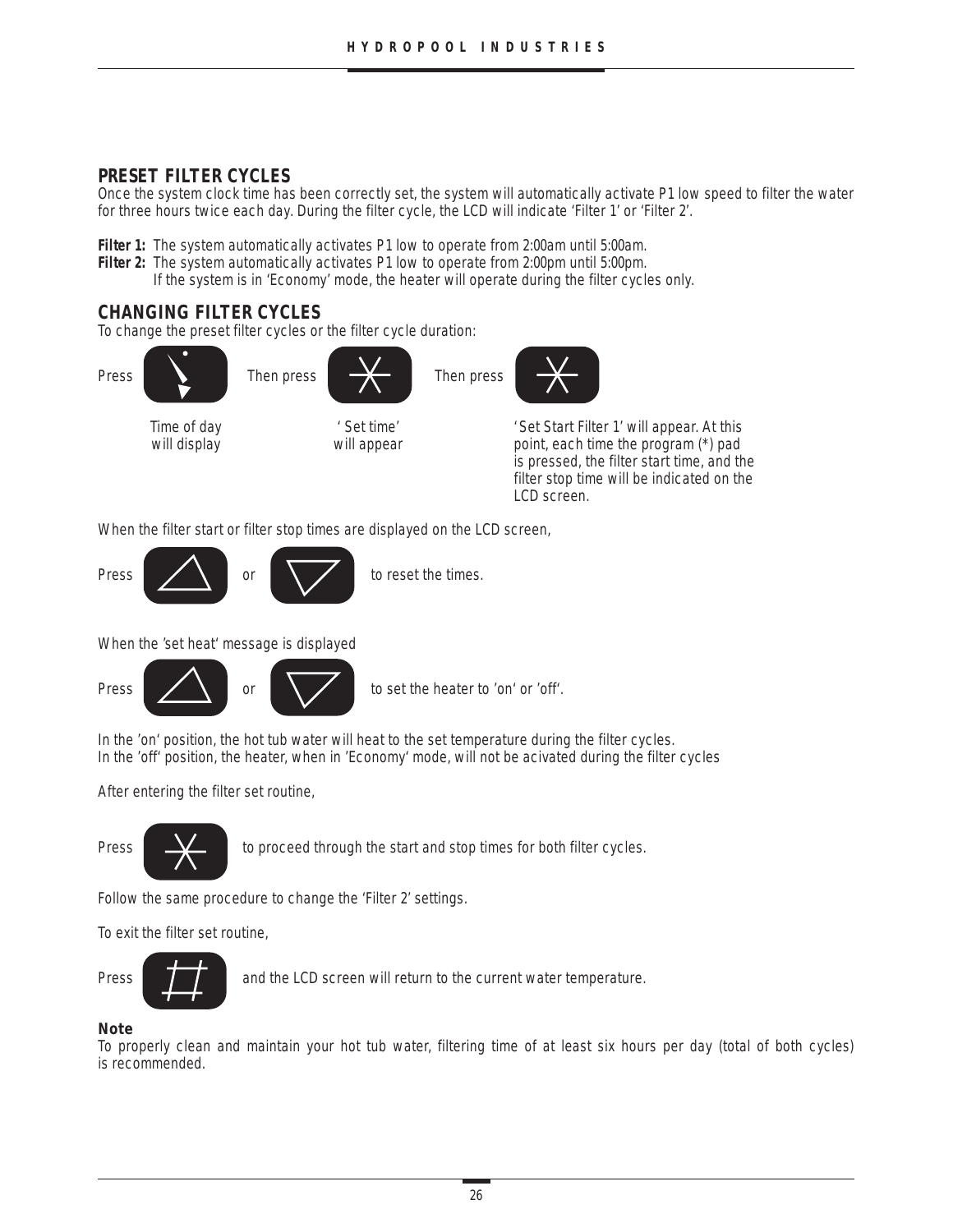# **PRESET FILTER CYCLES**

Once the system clock time has been correctly set, the system will automatically activate P1 low speed to filter the water for three hours twice each day. During the filter cycle, the LCD will indicate 'Filter 1' or 'Filter 2'.

**Filter 1:** The system automatically activates P1 low to operate from 2:00am until 5:00am.

- **Filter 2:** The system automatically activates P1 low to operate from 2:00pm until 5:00pm.
	- If the system is in 'Economy' mode, the heater will operate during the filter cycles only.

# **CHANGING FILTER CYCLES**

To change the preset filter cycles or the filter cycle duration:



is pressed, the filter start time, and the filter stop time will be indicated on the LCD screen.

When the filter start or filter stop times are displayed on the LCD screen,



When the 'set heat' message is displayed



In the 'on' position, the hot tub water will heat to the set temperature during the filter cycles. In the 'off' position, the heater, when in 'Economy' mode, will not be acivated during the filter cycles

After entering the filter set routine,



Press **the start and stop times for both filter cycles.** 

Follow the same procedure to change the 'Filter 2' settings.

To exit the filter set routine,



Press **and the LCD** screen will return to the current water temperature.

**Note**

To properly clean and maintain your hot tub water, filtering time of at least six hours per day (total of both cycles) is recommended.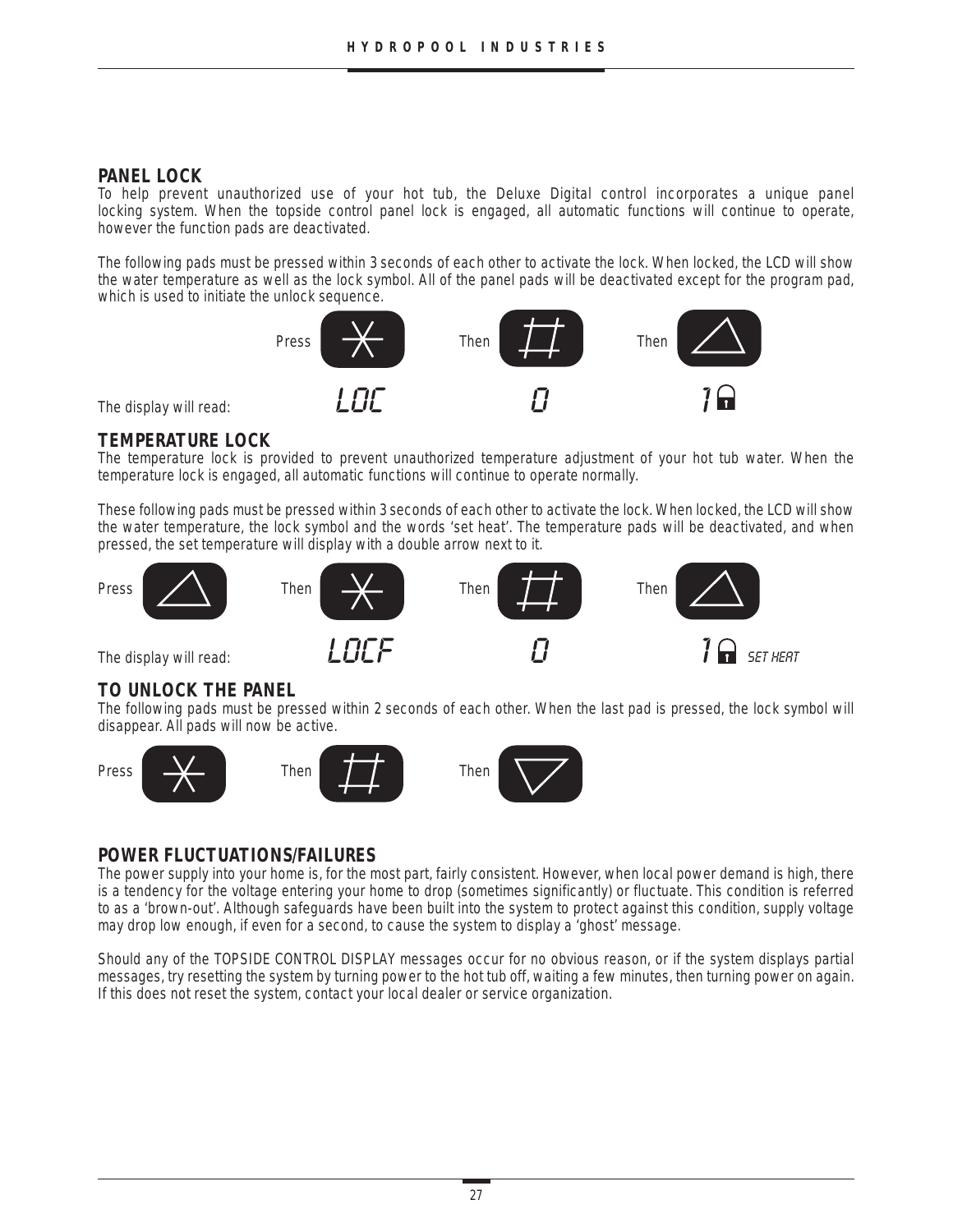# **PANEL LOCK**

To help prevent unauthorized use of your hot tub, the Deluxe Digital control incorporates a unique panel locking system. When the topside control panel lock is engaged, all automatic functions will continue to operate, however the function pads are deactivated.

The following pads must be pressed within 3 seconds of each other to activate the lock. When locked, the LCD will show the water temperature as well as the lock symbol. All of the panel pads will be deactivated except for the program pad, which is used to initiate the unlock sequence.



# **TEMPERATURE LOCK**

The temperature lock is provided to prevent unauthorized temperature adjustment of your hot tub water. When the temperature lock is engaged, all automatic functions will continue to operate normally.

These following pads must be pressed within 3 seconds of each other to activate the lock. When locked, the LCD will show the water temperature, the lock symbol and the words 'set heat'. The temperature pads will be deactivated, and when pressed, the set temperature will display with a double arrow next to it.



### **TO UNLOCK THE PANEL**

The following pads must be pressed within 2 seconds of each other. When the last pad is pressed, the lock symbol will disappear. All pads will now be active.









# **POWER FLUCTUATIONS/FAILURES**

The power supply into your home is, for the most part, fairly consistent. However, when local power demand is high, there is a tendency for the voltage entering your home to drop (sometimes significantly) or fluctuate. This condition is referred to as a 'brown-out'. Although safeguards have been built into the system to protect against this condition, supply voltage may drop low enough, if even for a second, to cause the system to display a 'ghost' message.

Should any of the TOPSIDE CONTROL DISPLAY messages occur for no obvious reason, or if the system displays partial messages, try resetting the system by turning power to the hot tub off, waiting a few minutes, then turning power on again. If this does not reset the system, contact your local dealer or service organization.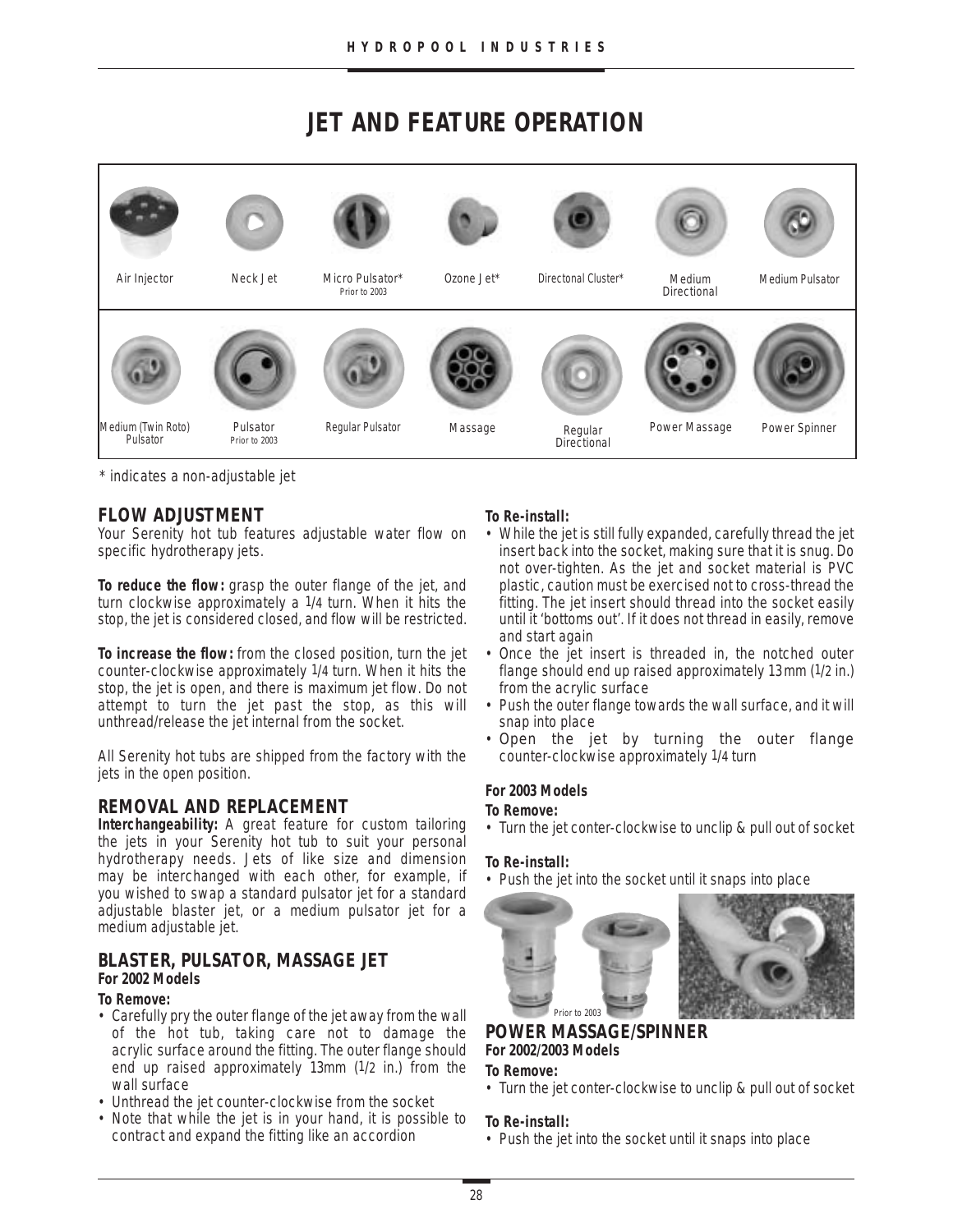# **JET AND FEATURE OPERATION**



\* indicates a non-adjustable jet

# **FLOW ADJUSTMENT**

Your Serenity hot tub features adjustable water flow on specific hydrotherapy jets.

**To reduce the flow:** grasp the outer flange of the jet, and turn clockwise approximately a 1/4 turn. When it hits the stop, the jet is considered closed, and flow will be restricted.

**To increase the flow:** from the closed position, turn the jet counter-clockwise approximately 1/4 turn. When it hits the stop, the jet is open, and there is maximum jet flow. Do not attempt to turn the jet past the stop, as this will unthread/release the jet internal from the socket.

All Serenity hot tubs are shipped from the factory with the jets in the open position.

# **REMOVAL AND REPLACEMENT**

**Interchangeability:** A great feature for custom tailoring the jets in your Serenity hot tub to suit your personal hydrotherapy needs. Jets of like size and dimension may be interchanged with each other, for example, if you wished to swap a standard pulsator jet for a standard adjustable blaster jet, or a medium pulsator jet for a medium adjustable jet.

# **BLASTER, PULSATOR, MASSAGE JET**

#### **For 2002 Models**

#### **To Remove:**

- Carefully pry the outer flange of the jet away from the wall of the hot tub, taking care not to damage the acrylic surface around the fitting. The outer flange should end up raised approximately 13mm (1/2 in.) from the wall surface
- Unthread the jet counter-clockwise from the socket
- Note that while the jet is in your hand, it is possible to contract and expand the fitting like an accordion

#### **To Re-install:**

- While the jet is still fully expanded, carefully thread the jet insert back into the socket, making sure that it is snug. Do not over-tighten. As the jet and socket material is PVC plastic, caution must be exercised not to cross-thread the fitting. The jet insert should thread into the socket easily until it 'bottoms out'. If it does not thread in easily, remove and start again
- Once the jet insert is threaded in, the notched outer flange should end up raised approximately 13 mm (1/2 in.) from the acrylic surface
- Push the outer flange towards the wall surface, and it will snap into place
- Open the jet by turning the outer flange counter-clockwise approximately 1/4 turn

#### **For 2003 Models**

#### **To Remove:**

• Turn the jet conter-clockwise to unclip & pull out of socket

#### **To Re-install:**

• Push the jet into the socket until it snaps into place



# **POWER MASSAGE/SPINNER For 2002/2003 Models**

#### **To Remove:**

• Turn the jet conter-clockwise to unclip & pull out of socket

### **To Re-install:**

• Push the jet into the socket until it snaps into place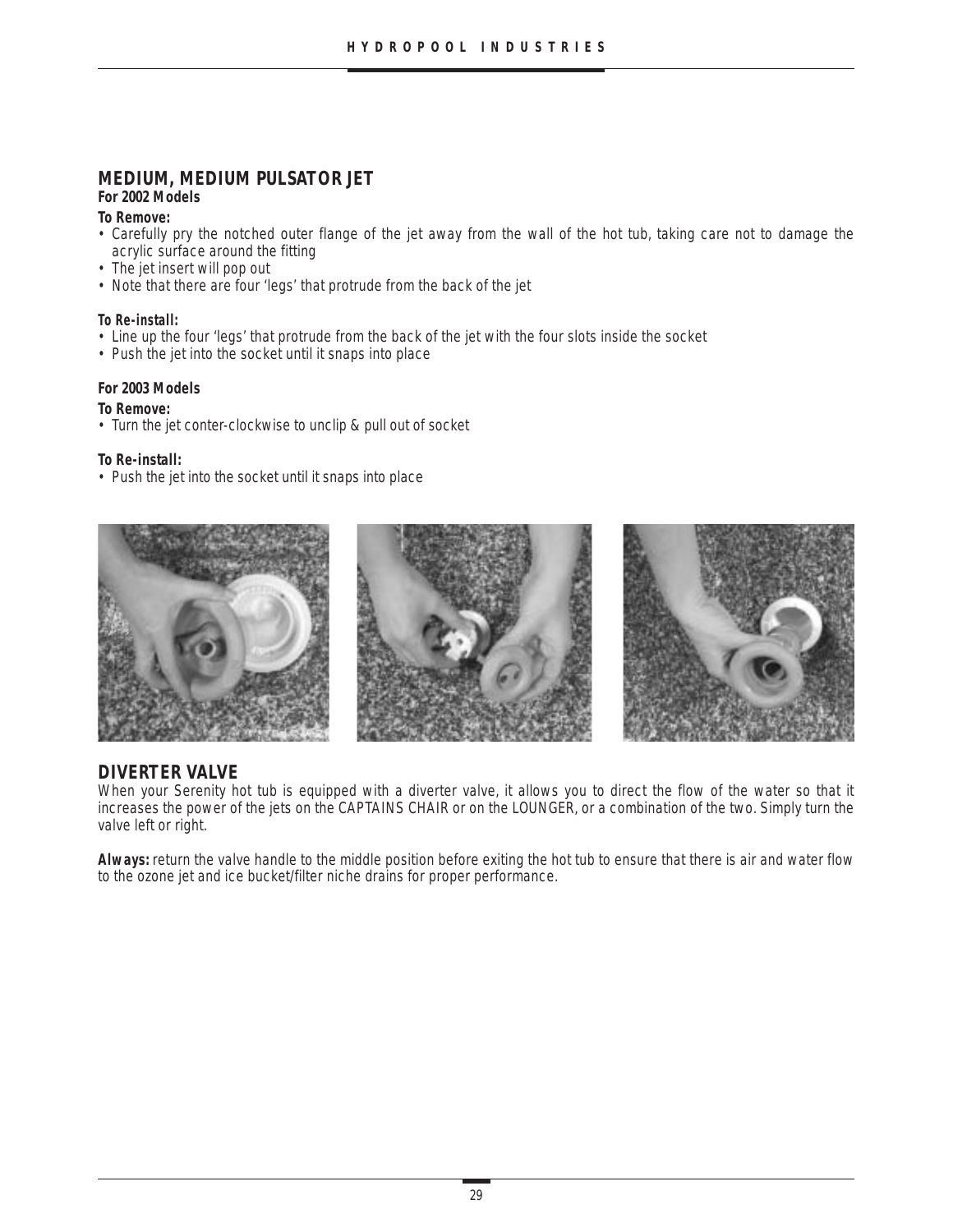# **MEDIUM, MEDIUM PULSATOR JET**

#### **For 2002 Models**

#### **To Remove:**

- Carefully pry the notched outer flange of the jet away from the wall of the hot tub, taking care not to damage the acrylic surface around the fitting
- The jet insert will pop out
- Note that there are four 'legs' that protrude from the back of the jet

#### **To Re-install:**

- Line up the four 'legs' that protrude from the back of the jet with the four slots inside the socket
- Push the jet into the socket until it snaps into place

#### **For 2003 Models**

#### **To Remove:**

• Turn the jet conter-clockwise to unclip & pull out of socket

#### **To Re-install:**

• Push the jet into the socket until it snaps into place



# **DIVERTER VALVE**

When your Serenity hot tub is equipped with a diverter valve, it allows you to direct the flow of the water so that it increases the power of the jets on the CAPTAINS CHAIR or on the LOUNGER, or a combination of the two. Simply turn the valve left or right.

**Always:** return the valve handle to the middle position before exiting the hot tub to ensure that there is air and water flow to the ozone jet and ice bucket/filter niche drains for proper performance.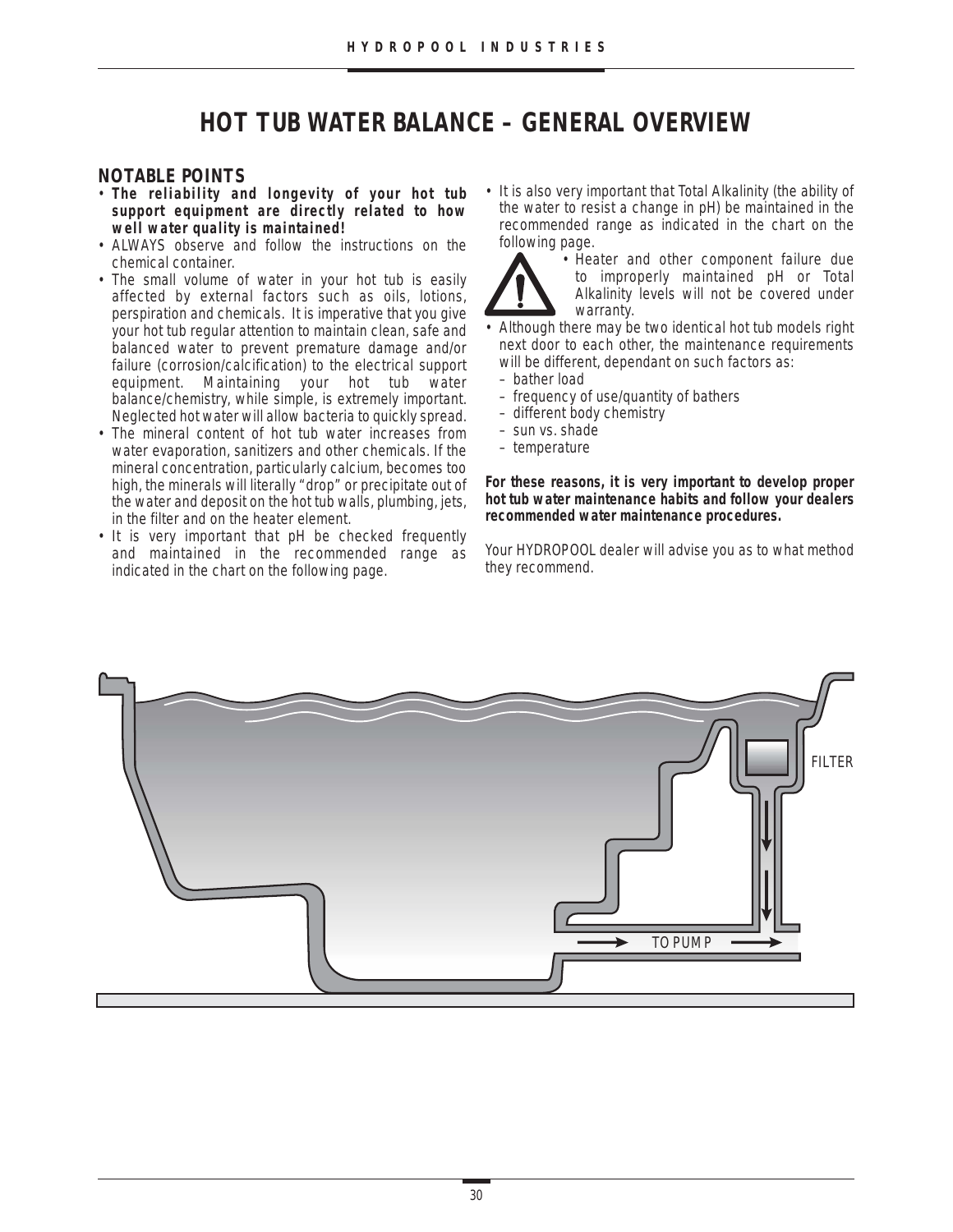# **HOT TUB WATER BALANCE – GENERAL OVERVIEW**

#### **NOTABLE POINTS**

- **The reliability and longevity of your hot tub support equipment are directly related to how well water quality is maintained!**
- ALWAYS observe and follow the instructions on the chemical container.
- The small volume of water in your hot tub is easily affected by external factors such as oils, lotions, perspiration and chemicals. It is imperative that you give your hot tub regular attention to maintain clean, safe and balanced water to prevent premature damage and/or failure (corrosion/calcification) to the electrical support equipment. Maintaining your hot tub water balance/chemistry, while simple, is extremely important. Neglected hot water will allow bacteria to quickly spread.
- The mineral content of hot tub water increases from water evaporation, sanitizers and other chemicals. If the mineral concentration, particularly calcium, becomes too high, the minerals will literally "drop" or precipitate out of the water and deposit on the hot tub walls, plumbing, jets, in the filter and on the heater element.
- It is very important that pH be checked frequently and maintained in the recommended range as indicated in the chart on the following page.

• It is also very important that Total Alkalinity (the ability of the water to resist a change in pH) be maintained in the recommended range as indicated in the chart on the following page.



• Heater and other component failure due to improperly maintained pH or Total Alkalinity levels will not be covered under warranty.

- Although there may be two identical hot tub models right next door to each other, the maintenance requirements will be different, dependant on such factors as:
	- bather load
	- frequency of use/quantity of bathers
	- different body chemistry
	- sun vs. shade
	- temperature

**For these reasons, it is very important to develop proper hot tub water maintenance habits and follow your dealers recommended water maintenance procedures.**

Your HYDROPOOL dealer will advise you as to what method they recommend.

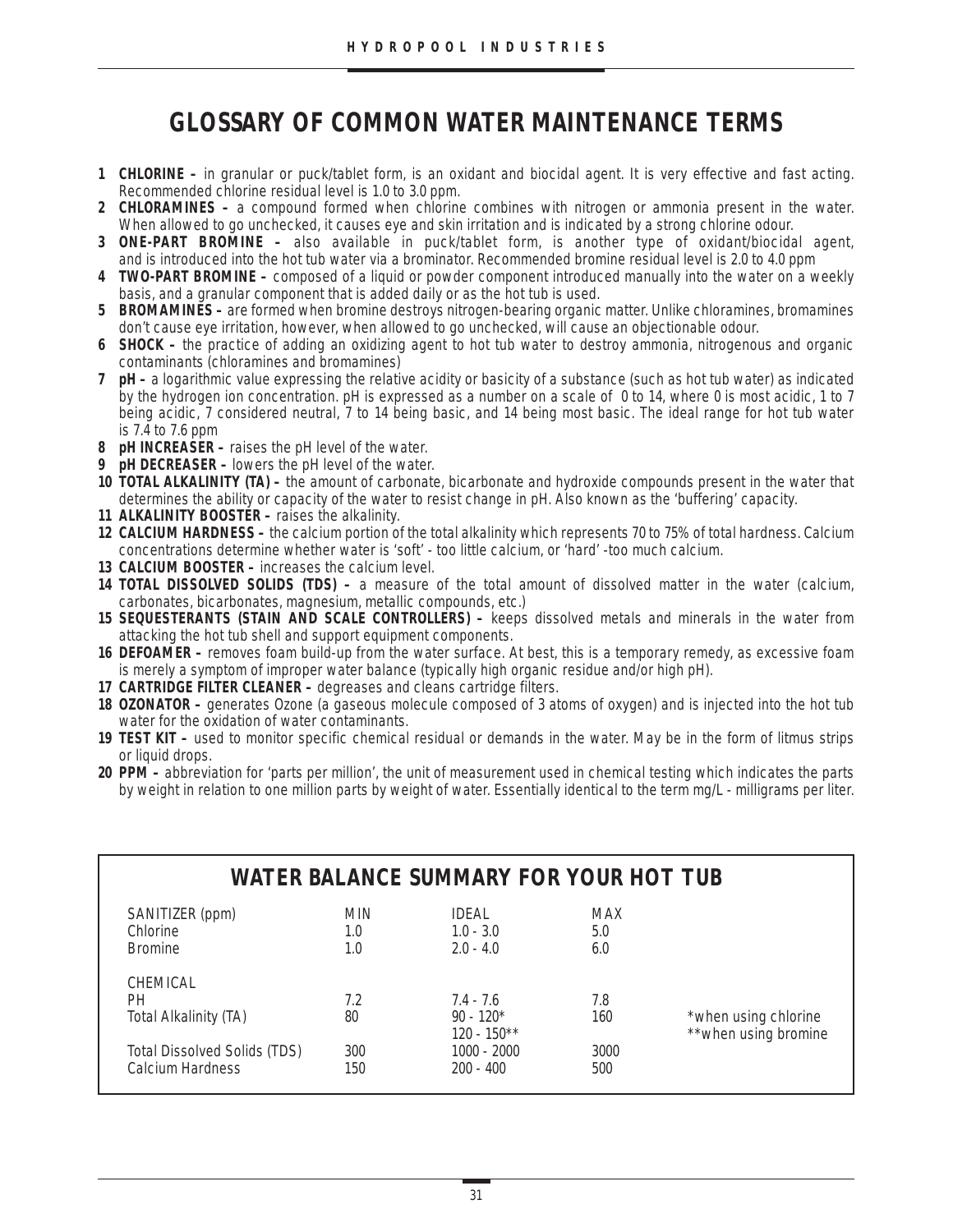# **GLOSSARY OF COMMON WATER MAINTENANCE TERMS**

- **1 CHLORINE –** in granular or puck/tablet form, is an oxidant and biocidal agent. It is very effective and fast acting. Recommended chlorine residual level is 1.0 to 3.0 ppm.
- **2 CHLORAMINES –** a compound formed when chlorine combines with nitrogen or ammonia present in the water. When allowed to go unchecked, it causes eye and skin irritation and is indicated by a strong chlorine odour.
- **3 ONE-PART BROMINE –** also available in puck/tablet form, is another type of oxidant/biocidal agent, and is introduced into the hot tub water via a brominator. Recommended bromine residual level is 2.0 to 4.0 ppm
- **4 TWO-PART BROMINE –** composed of a liquid or powder component introduced manually into the water on a weekly basis, and a granular component that is added daily or as the hot tub is used.
- **5 BROMAMINES** are formed when bromine destroys nitrogen-bearing organic matter. Unlike chloramines, bromamines don't cause eye irritation, however, when allowed to go unchecked, will cause an objectionable odour.
- **6 SHOCK –** the practice of adding an oxidizing agent to hot tub water to destroy ammonia, nitrogenous and organic contaminants (chloramines and bromamines)
- **7 pH –** a logarithmic value expressing the relative acidity or basicity of a substance (such as hot tub water) as indicated by the hydrogen ion concentration. pH is expressed as a number on a scale of 0 to 14, where 0 is most acidic, 1 to 7 being acidic, 7 considered neutral, 7 to 14 being basic, and 14 being most basic. The ideal range for hot tub water is 7.4 to 7.6 ppm
- **8 pH INCREASER** raises the pH level of the water.
- **9 pH DECREASER –** lowers the pH level of the water.
- **10 TOTAL ALKALINITY (TA) –** the amount of carbonate, bicarbonate and hydroxide compounds present in the water that determines the ability or capacity of the water to resist change in pH. Also known as the 'buffering' capacity.
- **11 ALKALINITY BOOSTER –** raises the alkalinity.
- **12 CALCIUM HARDNESS –** the calcium portion of the total alkalinity which represents 70 to 75% of total hardness. Calcium concentrations determine whether water is 'soft' - too little calcium, or 'hard' -too much calcium.
- **13 CALCIUM BOOSTER –** increases the calcium level.
- **14 TOTAL DISSOLVED SOLIDS (TDS) –** a measure of the total amount of dissolved matter in the water (calcium, carbonates, bicarbonates, magnesium, metallic compounds, etc.)
- **15 SEQUESTERANTS (STAIN AND SCALE CONTROLLERS) –** keeps dissolved metals and minerals in the water from attacking the hot tub shell and support equipment components.
- **16 DEFOAMER –** removes foam build-up from the water surface. At best, this is a temporary remedy, as excessive foam is merely a symptom of improper water balance (typically high organic residue and/or high pH).
- **17 CARTRIDGE FILTER CLEANER –** degreases and cleans cartridge filters.
- **18 OZONATOR –** generates Ozone (a gaseous molecule composed of 3 atoms of oxygen) and is injected into the hot tub water for the oxidation of water contaminants.
- **19 TEST KIT –** used to monitor specific chemical residual or demands in the water. May be in the form of litmus strips or liquid drops.
- **20 PPM –** abbreviation for 'parts per million', the unit of measurement used in chemical testing which indicates the parts by weight in relation to one million parts by weight of water. Essentially identical to the term mg/L - milligrams per liter.

|                                                         |                          | WATER BALANCE SUMMARY FOR YOUR HOT TUB        |                   |                       |
|---------------------------------------------------------|--------------------------|-----------------------------------------------|-------------------|-----------------------|
| SANITIZER (ppm)<br>Chlorine<br><b>Bromine</b>           | <b>MIN</b><br>1.0<br>1.0 | <b>IDFAI</b><br>$1.0 - 3.0$<br>$2.0 - 4.0$    | MAX<br>5.0<br>6.0 |                       |
| CHEMICAL<br>PН<br>Total Alkalinity (TA)                 | 7.2<br>80                | $7.4 - 7.6$<br>$90 - 120*$                    | 7.8<br>160        | *when using chlorine  |
| <b>Total Dissolved Solids (TDS)</b><br>Calcium Hardness | 300<br>150               | $120 - 150**$<br>$1000 - 2000$<br>$200 - 400$ | 3000<br>500       | ** when using bromine |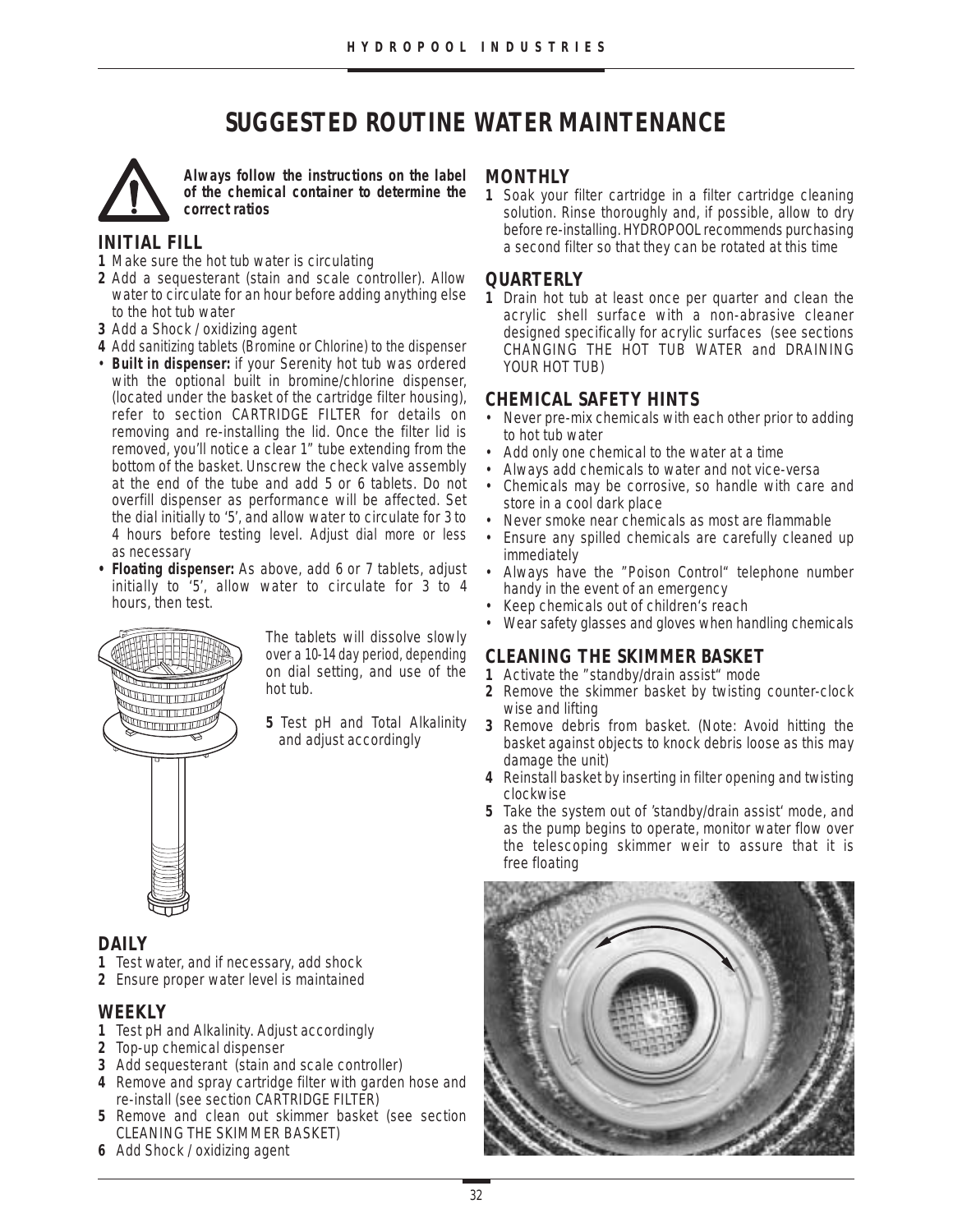# **SUGGESTED ROUTINE WATER MAINTENANCE**



**Always follow the instructions on the label of the chemical container to determine the correct ratios**

# **INITIAL FILL**

- **1** Make sure the hot tub water is circulating
- **2** Add a sequesterant (stain and scale controller). Allow water to circulate for an hour before adding anything else to the hot tub water
- **3** Add a Shock / oxidizing agent
- **4** Add sanitizing tablets (Bromine or Chlorine) to the dispenser
- **Built in dispenser:** if your Serenity hot tub was ordered with the optional built in bromine/chlorine dispenser, (located under the basket of the cartridge filter housing), refer to section CARTRIDGE FILTER for details on removing and re-installing the lid. Once the filter lid is removed, you'll notice a clear 1" tube extending from the bottom of the basket. Unscrew the check valve assembly at the end of the tube and add 5 or 6 tablets. Do not overfill dispenser as performance will be affected. Set the dial initially to '5', and allow water to circulate for 3 to 4 hours before testing level. Adjust dial more or less as necessary
- **• Floating dispenser:** As above, add 6 or 7 tablets, adjust initially to '5', allow water to circulate for 3 to 4 hours, then test.



The tablets will dissolve slowly over a 10-14 day period, depending on dial setting, and use of the hot tub.

**5** Test pH and Total Alkalinity and adjust accordingly

# **DAILY**

- **1** Test water, and if necessary, add shock
- **2** Ensure proper water level is maintained

# **WEEKLY**

- **1** Test pH and Alkalinity. Adjust accordingly
- **2** Top-up chemical dispenser
- **3** Add sequesterant (stain and scale controller)
- **4** Remove and spray cartridge filter with garden hose and re-install (see section CARTRIDGE FILTER)
- **5** Remove and clean out skimmer basket (see section CLEANING THE SKIMMER BASKET)
- **6** Add Shock / oxidizing agent

#### **MONTHLY**

**1** Soak your filter cartridge in a filter cartridge cleaning solution. Rinse thoroughly and, if possible, allow to dry before re-installing. HYDROPOOL recommends purchasing a second filter so that they can be rotated at this time

# **QUARTERLY**

**1** Drain hot tub at least once per quarter and clean the acrylic shell surface with a non-abrasive cleaner designed specifically for acrylic surfaces (see sections CHANGING THE HOT TUB WATER and DRAINING YOUR HOT TUB)

# **CHEMICAL SAFETY HINTS**

- Never pre-mix chemicals with each other prior to adding to hot tub water
- Add only one chemical to the water at a time<br>• Always add chemicals to water and not vice-
- Always add chemicals to water and not vice-versa
- Chemicals may be corrosive, so handle with care and store in a cool dark place
- Never smoke near chemicals as most are flammable
- Ensure any spilled chemicals are carefully cleaned up immediately
- Always have the "Poison Control" telephone number handy in the event of an emergency
- Keep chemicals out of children's reach
- Wear safety glasses and gloves when handling chemicals

# **CLEANING THE SKIMMER BASKET**

- **1** Activate the "standby/drain assist" mode
- **2** Remove the skimmer basket by twisting counter-clock wise and lifting
- **3** Remove debris from basket. (Note: Avoid hitting the basket against objects to knock debris loose as this may damage the unit)
- **4** Reinstall basket by inserting in filter opening and twisting clockwise
- **5** Take the system out of 'standby/drain assist' mode, and as the pump begins to operate, monitor water flow over the telescoping skimmer weir to assure that it is free floating

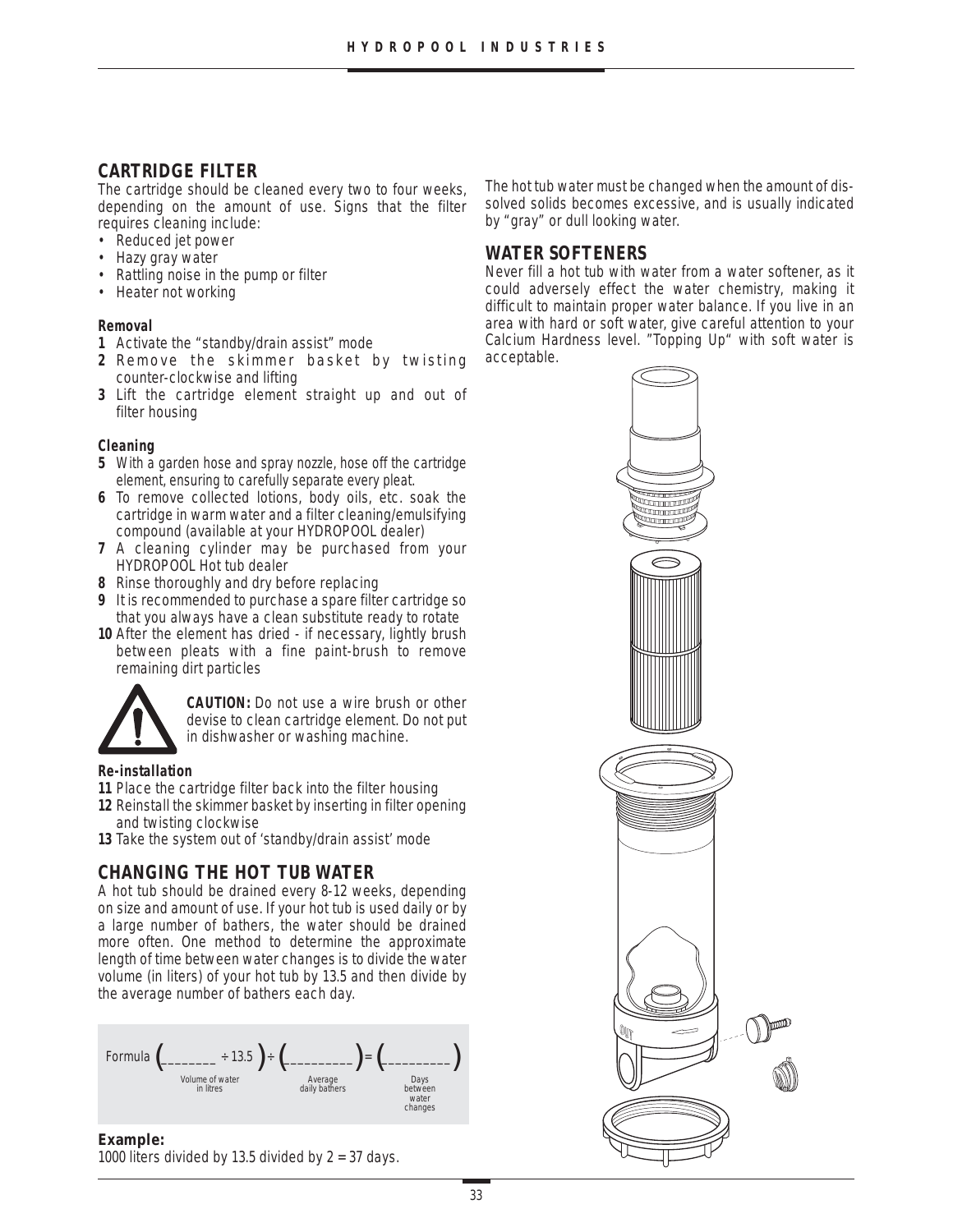# **CARTRIDGE FILTER**

The cartridge should be cleaned every two to four weeks, depending on the amount of use. Signs that the filter requires cleaning include:

- Reduced jet power
- Hazy gray water
- Rattling noise in the pump or filter
- Heater not working

#### **Removal**

- **1** Activate the "standby/drain assist" mode
- **2** Remove the skimmer basket by twisting counter-clockwise and lifting
- **3** Lift the cartridge element straight up and out of filter housing

#### **Cleaning**

- **5** With a garden hose and spray nozzle, hose off the cartridge element, ensuring to carefully separate every pleat.
- **6** To remove collected lotions, body oils, etc. soak the cartridge in warm water and a filter cleaning/emulsifying compound (available at your HYDROPOOL dealer)
- **7** A cleaning cylinder may be purchased from your HYDROPOOL Hot tub dealer
- **8** Rinse thoroughly and dry before replacing
- **9** It is recommended to purchase a spare filter cartridge so that you always have a clean substitute ready to rotate
- **10** After the element has dried if necessary, lightly brush between pleats with a fine paint-brush to remove remaining dirt particles



**CAUTION:** Do not use a wire brush or other devise to clean cartridge element. Do not put in dishwasher or washing machine.

#### **Re-installation**

**11** Place the cartridge filter back into the filter housing

- **12** Reinstall the skimmer basket by inserting in filter opening and twisting clockwise
- **13** Take the system out of 'standby/drain assist' mode

# **CHANGING THE HOT TUB WATER**

A hot tub should be drained every 8-12 weeks, depending on size and amount of use. If your hot tub is used daily or by a large number of bathers, the water should be drained more often. One method to determine the approximate length of time between water changes is to divide the water volume (in liters) of your hot tub by 13.5 and then divide by the average number of bathers each day.



#### **Example:**

1000 liters divided by 13.5 divided by  $2 = 37$  days.

The hot tub water must be changed when the amount of dissolved solids becomes excessive, and is usually indicated by "gray" or dull looking water.

# **WATER SOFTENERS**

Never fill a hot tub with water from a water softener, as it could adversely effect the water chemistry, making it difficult to maintain proper water balance. If you live in an area with hard or soft water, give careful attention to your Calcium Hardness level. "Topping Up" with soft water is acceptable.

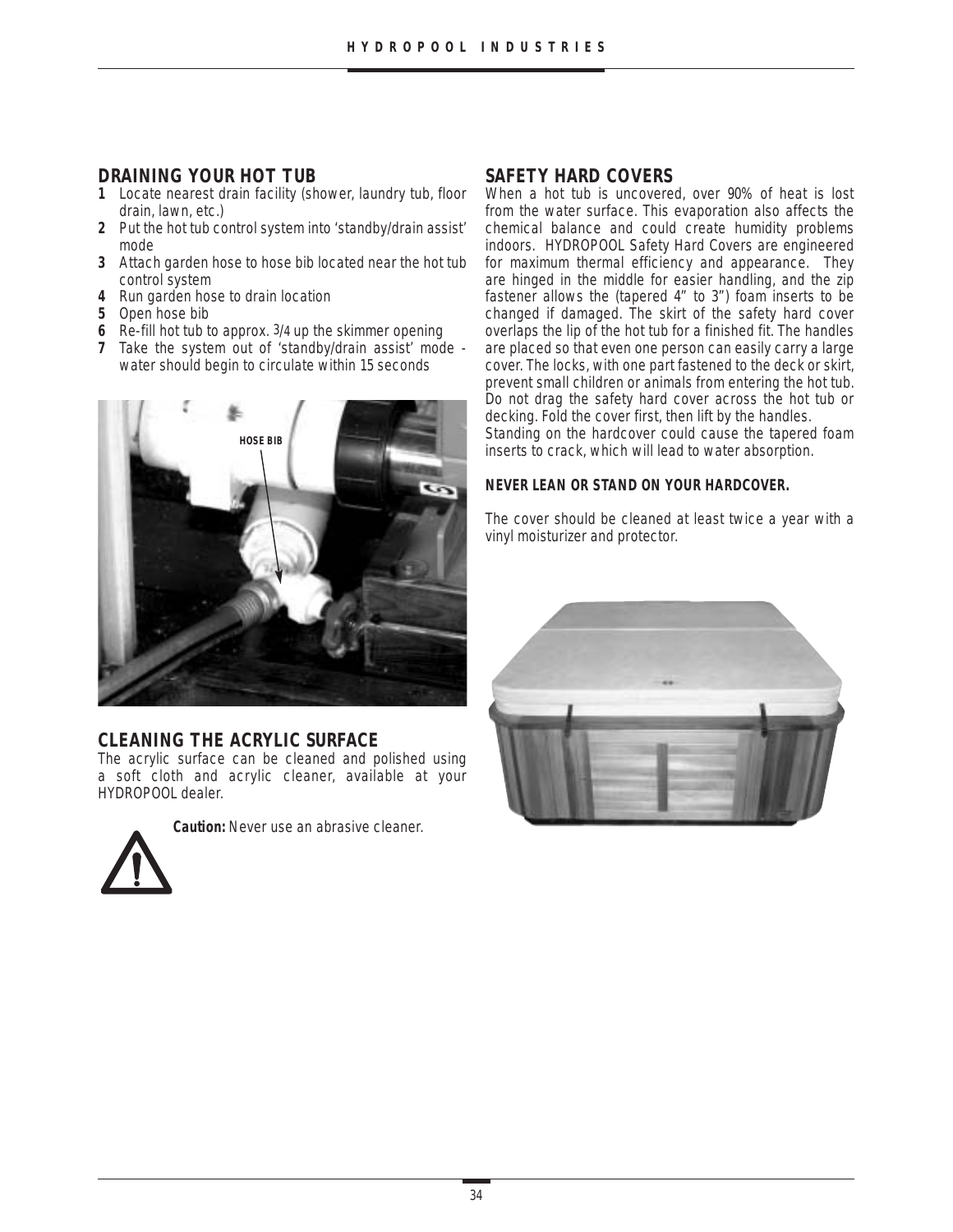# **DRAINING YOUR HOT TUB**

- **1** Locate nearest drain facility (shower, laundry tub, floor drain, lawn, etc.)
- **2** Put the hot tub control system into 'standby/drain assist' mode
- **3** Attach garden hose to hose bib located near the hot tub control system
- **4** Run garden hose to drain location
- **5** Open hose bib
- **6** Re-fill hot tub to approx. 3/4 up the skimmer opening
- **7** Take the system out of 'standby/drain assist' mode water should begin to circulate within 15 seconds



### **CLEANING THE ACRYLIC SURFACE**

The acrylic surface can be cleaned and polished using a soft cloth and acrylic cleaner, available at your HYDROPOOL dealer.



**Caution:** Never use an abrasive cleaner.

# **SAFETY HARD COVERS**

When a hot tub is uncovered, over 90% of heat is lost from the water surface. This evaporation also affects the chemical balance and could create humidity problems indoors. HYDROPOOL Safety Hard Covers are engineered for maximum thermal efficiency and appearance. They are hinged in the middle for easier handling, and the zip fastener allows the (tapered 4" to 3") foam inserts to be changed if damaged. The skirt of the safety hard cover overlaps the lip of the hot tub for a finished fit. The handles are placed so that even one person can easily carry a large cover. The locks, with one part fastened to the deck or skirt, prevent small children or animals from entering the hot tub. Do not drag the safety hard cover across the hot tub or decking. Fold the cover first, then lift by the handles. Standing on the hardcover could cause the tapered foam inserts to crack, which will lead to water absorption.

#### **NEVER LEAN OR STAND ON YOUR HARDCOVER.**

The cover should be cleaned at least twice a year with a vinyl moisturizer and protector.

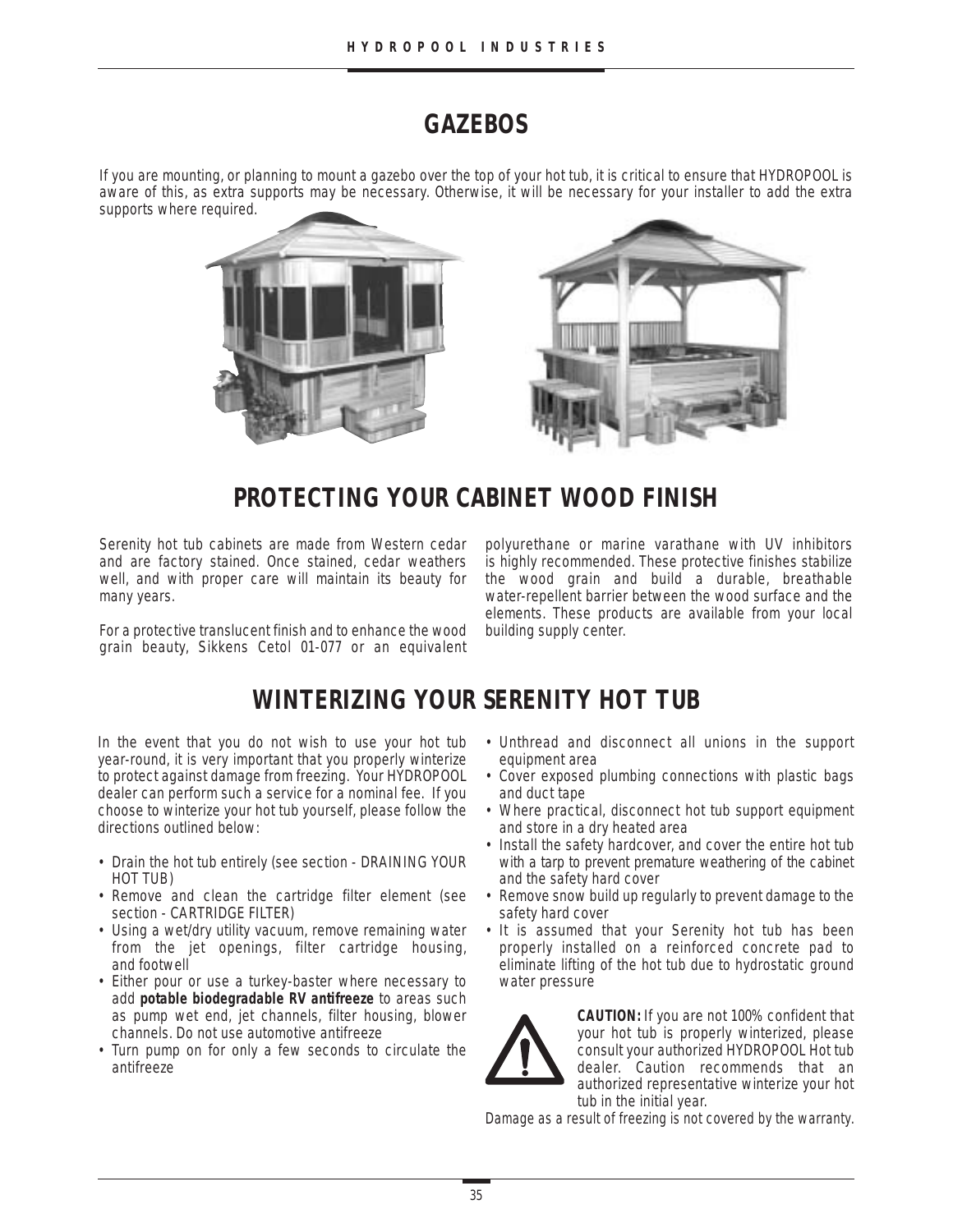# **GAZEBOS**

If you are mounting, or planning to mount a gazebo over the top of your hot tub, it is critical to ensure that HYDROPOOL is aware of this, as extra supports may be necessary. Otherwise, it will be necessary for your installer to add the extra supports where required.



# **PROTECTING YOUR CABINET WOOD FINISH**

Serenity hot tub cabinets are made from Western cedar and are factory stained. Once stained, cedar weathers well, and with proper care will maintain its beauty for many years.

For a protective translucent finish and to enhance the wood grain beauty, Sikkens Cetol 01-077 or an equivalent

polyurethane or marine varathane with UV inhibitors is highly recommended. These protective finishes stabilize the wood grain and build a durable, breathable water-repellent barrier between the wood surface and the elements. These products are available from your local building supply center.

# **WINTERIZING YOUR SERENITY HOT TUB**

In the event that you do not wish to use your hot tub year-round, it is very important that you properly winterize to protect against damage from freezing. Your HYDROPOOL dealer can perform such a service for a nominal fee. If you choose to winterize your hot tub yourself, please follow the directions outlined below:

- Drain the hot tub entirely (see section DRAINING YOUR HOT TUB)
- Remove and clean the cartridge filter element (see section - CARTRIDGE FILTER)
- Using a wet/dry utility vacuum, remove remaining water from the jet openings, filter cartridge housing, and footwell
- Either pour or use a turkey-baster where necessary to add **potable biodegradable RV antifreeze** to areas such as pump wet end, jet channels, filter housing, blower channels. Do not use automotive antifreeze
- Turn pump on for only a few seconds to circulate the antifreeze
- Unthread and disconnect all unions in the support equipment area
- Cover exposed plumbing connections with plastic bags and duct tape
- Where practical, disconnect hot tub support equipment and store in a dry heated area
- Install the safety hardcover, and cover the entire hot tub with a tarp to prevent premature weathering of the cabinet and the safety hard cover
- Remove snow build up regularly to prevent damage to the safety hard cover
- It is assumed that your Serenity hot tub has been properly installed on a reinforced concrete pad to eliminate lifting of the hot tub due to hydrostatic ground water pressure



**CAUTION:** If you are not 100% confident that your hot tub is properly winterized, please consult your authorized HYDROPOOL Hot tub dealer. Caution recommends that an authorized representative winterize your hot tub in the initial year.

Damage as a result of freezing is not covered by the warranty.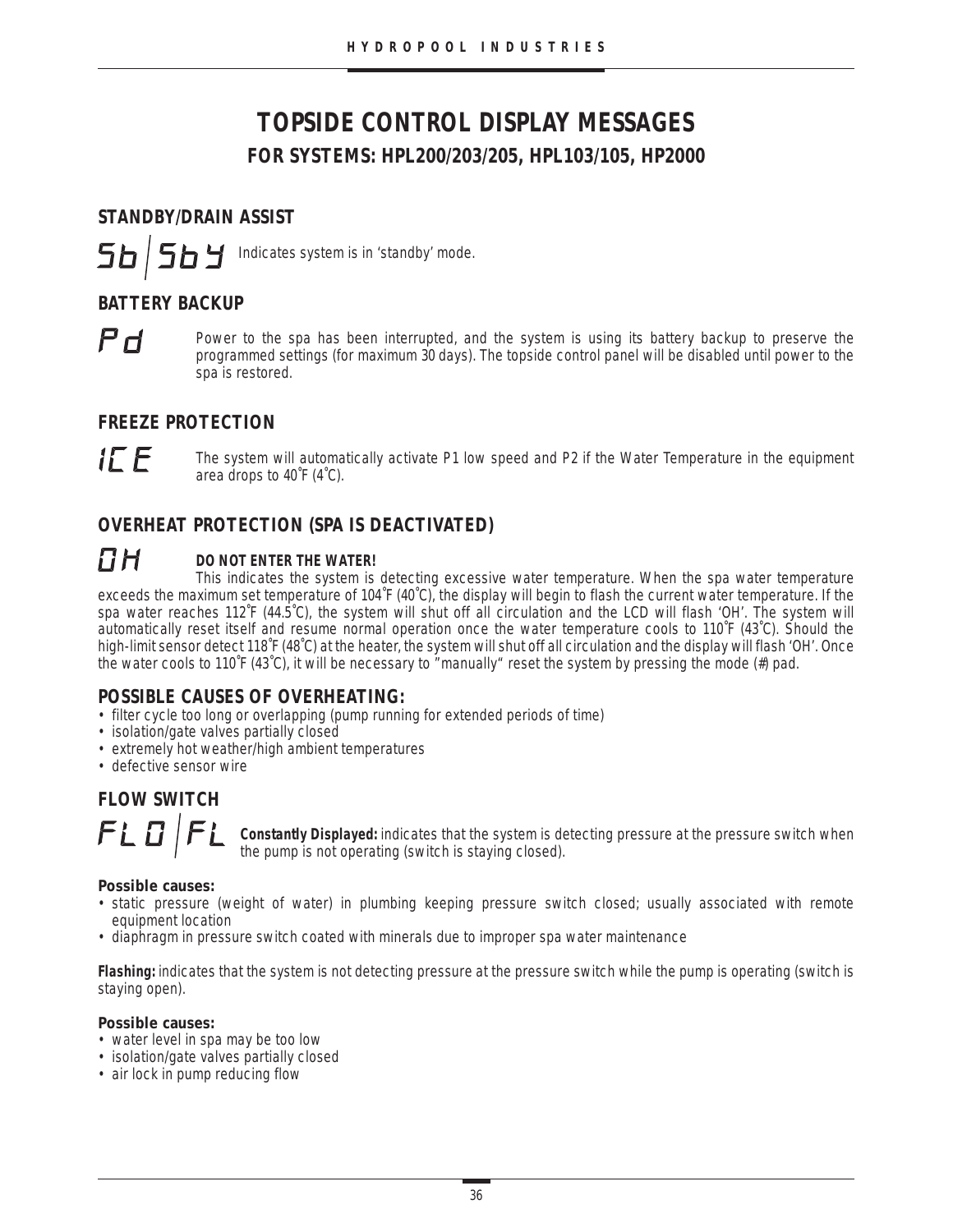# **TOPSIDE CONTROL DISPLAY MESSAGES FOR SYSTEMS: HPL200/203/205, HPL103/105, HP2000**

# **STANDBY/DRAIN ASSIST**

564 Indicates system is in 'standby' mode.

# **BATTERY BACKUP**

 $Pf$ 

 $5b$ 

Power to the spa has been interrupted, and the system is using its battery backup to preserve the programmed settings (for maximum 30 days). The topside control panel will be disabled until power to the spa is restored.

# **FREEZE PROTECTION**

IE E

The system will automatically activate P1 low speed and P2 if the Water Temperature in the equipment area drops to 40˚F (4˚C).

# **OVERHEAT PROTECTION (SPA IS DEACTIVATED)**

#### ПН **DO NOT ENTER THE WATER!**

This indicates the system is detecting excessive water temperature. When the spa water temperature exceeds the maximum set temperature of 104˚F (40˚C), the display will begin to flash the current water temperature. If the spa water reaches 112˚F (44.5˚C), the system will shut off all circulation and the LCD will flash 'OH'. The system will automatically reset itself and resume normal operation once the water temperature cools to 110˚F (43˚C). Should the high-limit sensor detect 118˚F (48˚C) at the heater, the system will shut off all circulation and the display will flash 'OH'. Once the water cools to 110˚F (43˚C), it will be necessary to "manually" reset the system by pressing the mode (#) pad.

# **POSSIBLE CAUSES OF OVERHEATING:**

- filter cycle too long or overlapping (pump running for extended periods of time)
- isolation/gate valves partially closed
- extremely hot weather/high ambient temperatures
- defective sensor wire

# **FLOW SWITCH**



**Constantly Displayed:** indicates that the system is detecting pressure at the pressure switch when the pump is not operating (switch is staying closed).

### **Possible causes:**

- static pressure (weight of water) in plumbing keeping pressure switch closed; usually associated with remote equipment location
- diaphragm in pressure switch coated with minerals due to improper spa water maintenance

**Flashing:** indicates that the system is not detecting pressure at the pressure switch while the pump is operating (switch is staying open).

#### **Possible causes:**

- water level in spa may be too low
- isolation/gate valves partially closed
- air lock in pump reducing flow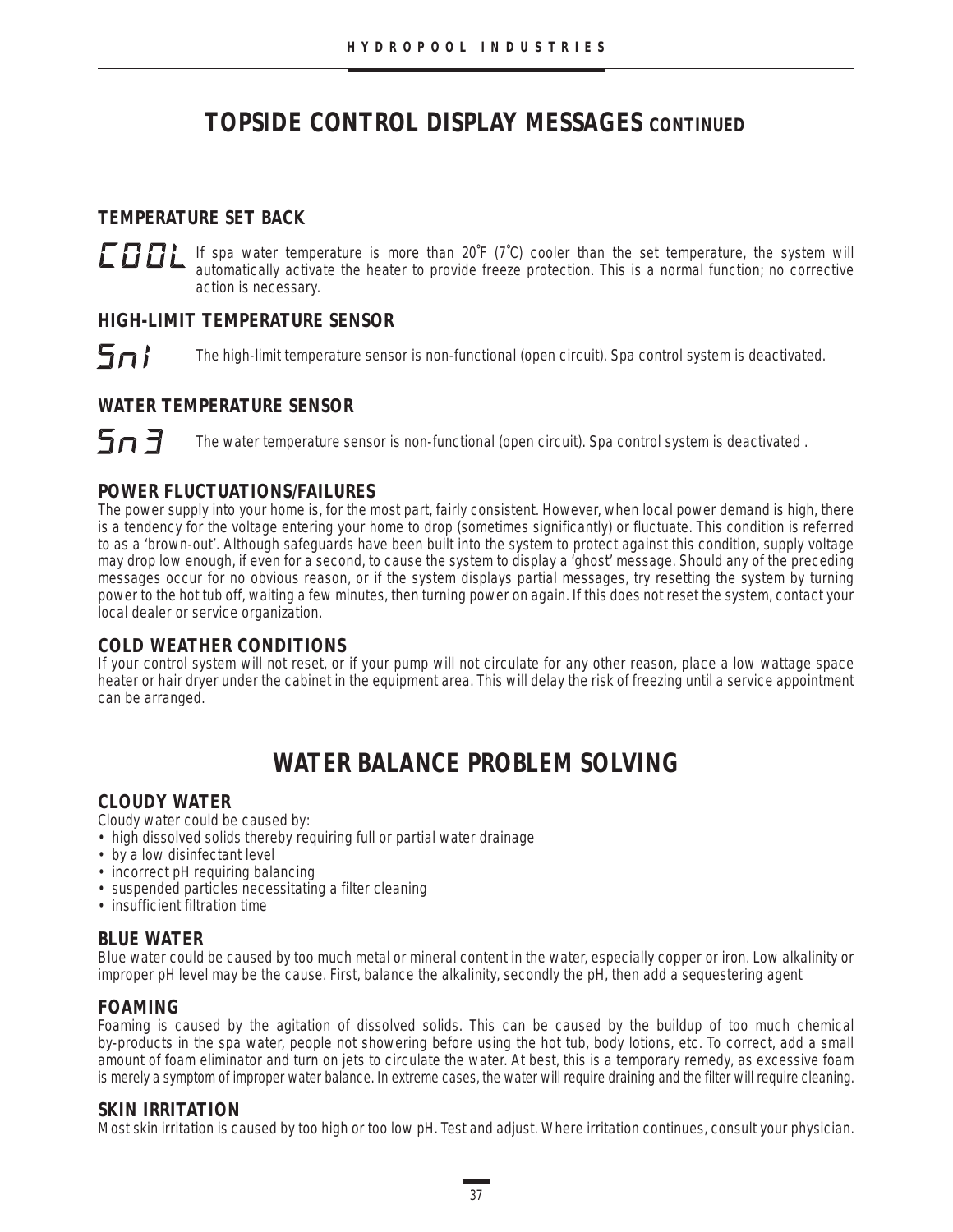# **TOPSIDE CONTROL DISPLAY MESSAGES CONTINUED**

# **TEMPERATURE SET BACK**

 $\Box$  If spa water temperature is more than 20°F (7°C) cooler than the set temperature, the system will activate the best to provide freeze protection. This is a permal function to corrective automatically activate the heater to provide freeze protection. This is a normal function; no corrective action is necessary.

# **HIGH-LIMIT TEMPERATURE SENSOR**

 $5n!$ The high-limit temperature sensor is non-functional (open circuit). Spa control system is deactivated.

# **WATER TEMPERATURE SENSOR**

 $5n7$ 

The water temperature sensor is non-functional (open circuit). Spa control system is deactivated .

# **POWER FLUCTUATIONS/FAILURES**

The power supply into your home is, for the most part, fairly consistent. However, when local power demand is high, there is a tendency for the voltage entering your home to drop (sometimes significantly) or fluctuate. This condition is referred to as a 'brown-out'. Although safeguards have been built into the system to protect against this condition, supply voltage may drop low enough, if even for a second, to cause the system to display a 'ghost' message. Should any of the preceding messages occur for no obvious reason, or if the system displays partial messages, try resetting the system by turning power to the hot tub off, waiting a few minutes, then turning power on again. If this does not reset the system, contact your local dealer or service organization.

# **COLD WEATHER CONDITIONS**

If your control system will not reset, or if your pump will not circulate for any other reason, place a low wattage space heater or hair dryer under the cabinet in the equipment area. This will delay the risk of freezing until a service appointment can be arranged.

# **WATER BALANCE PROBLEM SOLVING**

### **CLOUDY WATER**

Cloudy water could be caused by:

- high dissolved solids thereby requiring full or partial water drainage
- by a low disinfectant level
- incorrect pH requiring balancing
- suspended particles necessitating a filter cleaning
- insufficient filtration time

### **BLUE WATER**

Blue water could be caused by too much metal or mineral content in the water, especially copper or iron. Low alkalinity or improper pH level may be the cause. First, balance the alkalinity, secondly the pH, then add a sequestering agent

### **FOAMING**

Foaming is caused by the agitation of dissolved solids. This can be caused by the buildup of too much chemical by-products in the spa water, people not showering before using the hot tub, body lotions, etc. To correct, add a small amount of foam eliminator and turn on jets to circulate the water. At best, this is a temporary remedy, as excessive foam is merely a symptom of improper water balance. In extreme cases, the water will require draining and the filter will require cleaning.

### **SKIN IRRITATION**

Most skin irritation is caused by too high or too low pH. Test and adjust. Where irritation continues, consult your physician.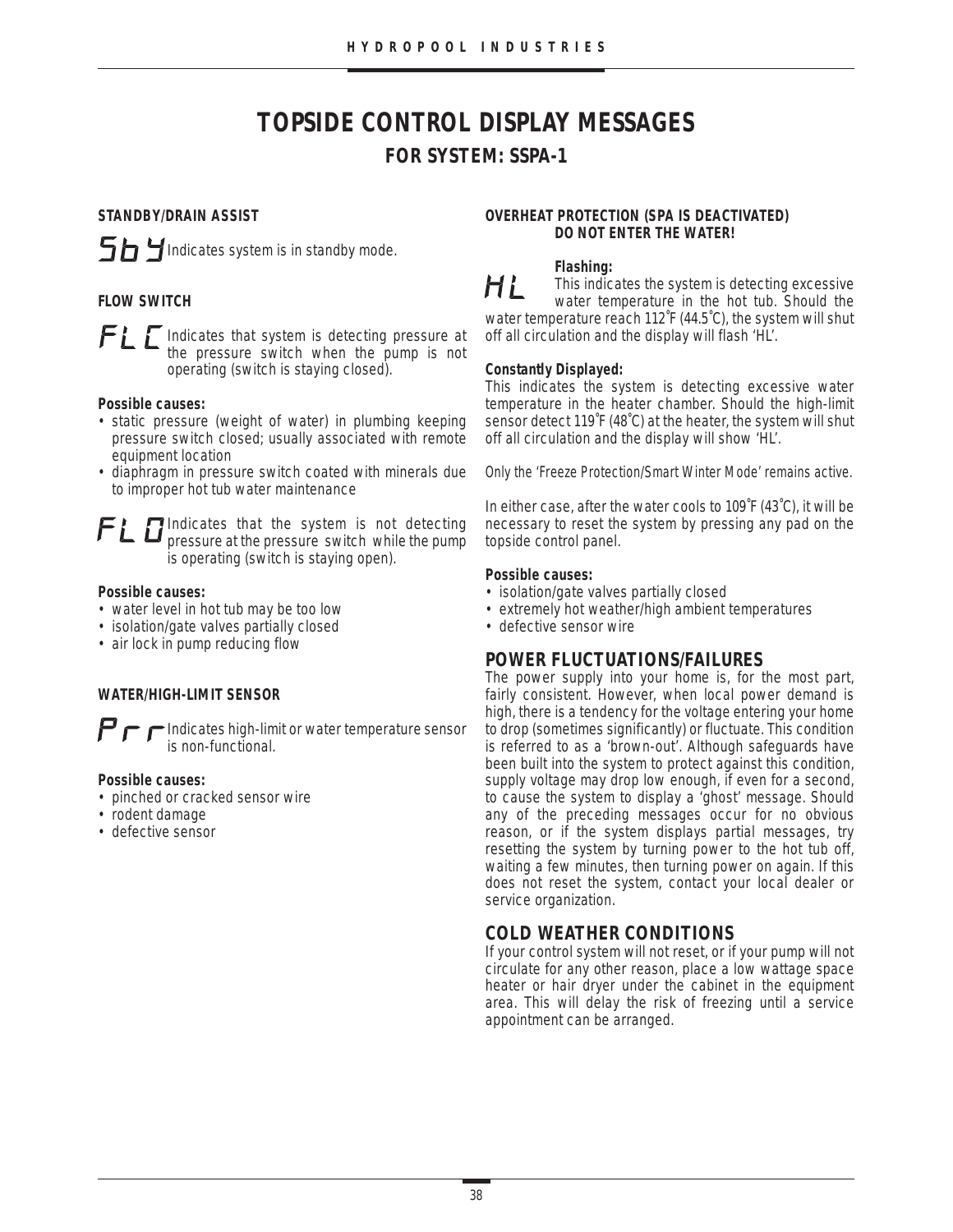# **TOPSIDE CONTROL DISPLAY MESSAGES FOR SYSTEM: SSPA-1**

#### **STANDBY/DRAIN ASSIST**



#### **FLOW SWITCH**

Indicates that system is detecting pressure at the pressure switch when the pump is not operating (switch is staying closed).

#### **Possible causes:**

- static pressure (weight of water) in plumbing keeping pressure switch closed; usually associated with remote equipment location
- diaphragm in pressure switch coated with minerals due to improper hot tub water maintenance

Indicates that the system is not detecting pressure at the pressure switch while the pump is operating (switch is staying open).

#### **Possible causes:**

- water level in hot tub may be too low
- isolation/gate valves partially closed
- air lock in pump reducing flow

#### **WATER/HIGH-LIMIT SENSOR**

 $\mathbf{P} \mathbf{r}$  Indicates high-limit or water temperature sensor is non-functional.

#### **Possible causes:**

- pinched or cracked sensor wire
- rodent damage
- defective sensor

#### **OVERHEAT PROTECTION (SPA IS DEACTIVATED) DO NOT ENTER THE WATER!**

#### **Flashing:**

H i This indicates the system is detecting excessive water temperature in the hot tub. Should the water temperature reach 112˚F (44.5˚C), the system will shut off all circulation and the display will flash 'HL'.

#### **Constantly Displayed:**

This indicates the system is detecting excessive water temperature in the heater chamber. Should the high-limit sensor detect 119˚F (48˚C) at the heater, the system will shut off all circulation and the display will show 'HL'.

Only the 'Freeze Protection/Smart Winter Mode' remains active.

In either case, after the water cools to 109˚F (43˚C), it will be necessary to reset the system by pressing any pad on the topside control panel.

#### **Possible causes:**

- isolation/gate valves partially closed
- extremely hot weather/high ambient temperatures
- defective sensor wire

### **POWER FLUCTUATIONS/FAILURES**

The power supply into your home is, for the most part, fairly consistent. However, when local power demand is high, there is a tendency for the voltage entering your home to drop (sometimes significantly) or fluctuate. This condition is referred to as a 'brown-out'. Although safeguards have been built into the system to protect against this condition, supply voltage may drop low enough, if even for a second, to cause the system to display a 'ghost' message. Should any of the preceding messages occur for no obvious reason, or if the system displays partial messages, try resetting the system by turning power to the hot tub off, waiting a few minutes, then turning power on again. If this does not reset the system, contact your local dealer or service organization.

### **COLD WEATHER CONDITIONS**

If your control system will not reset, or if your pump will not circulate for any other reason, place a low wattage space heater or hair dryer under the cabinet in the equipment area. This will delay the risk of freezing until a service appointment can be arranged.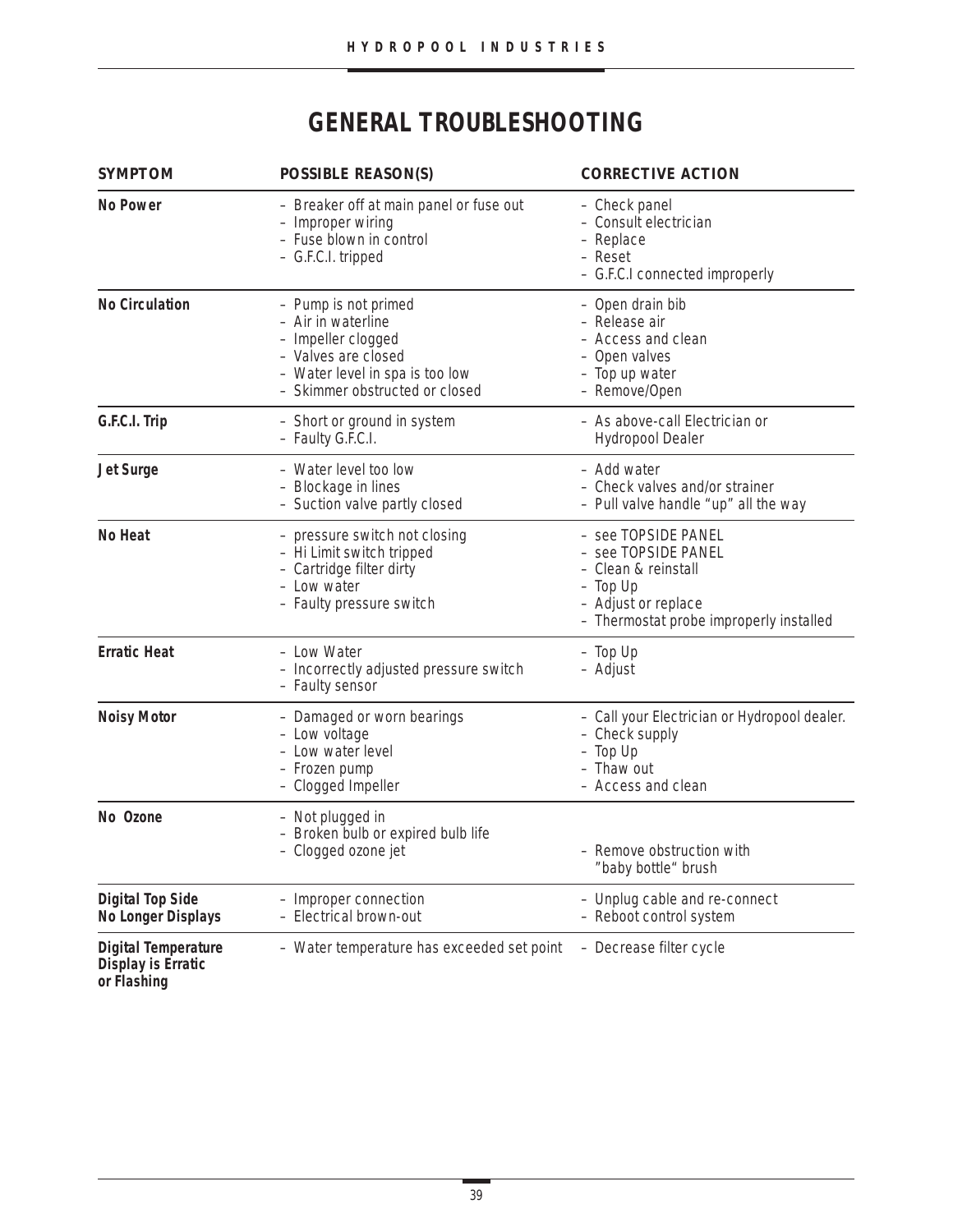# **GENERAL TROUBLESHOOTING**

| <b>SYMPTOM</b>                                                         | <b>POSSIBLE REASON(S)</b>                                                                                                                                    | <b>CORRECTIVE ACTION</b>                                                                                                                          |  |  |
|------------------------------------------------------------------------|--------------------------------------------------------------------------------------------------------------------------------------------------------------|---------------------------------------------------------------------------------------------------------------------------------------------------|--|--|
| <b>No Power</b>                                                        | - Breaker off at main panel or fuse out<br>- Improper wiring<br>- Fuse blown in control<br>- G.F.C.I. tripped                                                | - Check panel<br>- Consult electrician<br>- Replace<br>- Reset<br>- G.F.C.I connected improperly                                                  |  |  |
| <b>No Circulation</b>                                                  | - Pump is not primed<br>- Air in waterline<br>- Impeller clogged<br>- Valves are closed<br>- Water level in spa is too low<br>- Skimmer obstructed or closed | - Open drain bib<br>- Release air<br>- Access and clean<br>- Open valves<br>- Top up water<br>- Remove/Open                                       |  |  |
| G.F.C.I. Trip                                                          | - Short or ground in system<br>- Faulty G.F.C.I.                                                                                                             | - As above-call Electrician or<br><b>Hydropool Dealer</b>                                                                                         |  |  |
| <b>Jet Surge</b>                                                       | - Water level too low<br>- Blockage in lines<br>- Suction valve partly closed                                                                                | - Add water<br>- Check valves and/or strainer<br>- Pull valve handle "up" all the way                                                             |  |  |
| No Heat                                                                | - pressure switch not closing<br>- Hi Limit switch tripped<br>- Cartridge filter dirty<br>- Low water<br>- Faulty pressure switch                            | - see TOPSIDE PANEL<br>- see TOPSIDE PANEL<br>- Clean & reinstall<br>$-$ Top Up<br>- Adjust or replace<br>- Thermostat probe improperly installed |  |  |
| <b>Erratic Heat</b>                                                    | - Low Water<br>- Incorrectly adjusted pressure switch<br>- Faulty sensor                                                                                     | $-$ Top Up<br>- Adjust                                                                                                                            |  |  |
| <b>Noisy Motor</b>                                                     | - Damaged or worn bearings<br>- Low voltage<br>- Low water level<br>- Frozen pump<br>- Clogged Impeller                                                      | - Call your Electrician or Hydropool dealer.<br>- Check supply<br>- Top Up<br>- Thaw out<br>- Access and clean                                    |  |  |
| No Ozone                                                               | - Not plugged in<br>- Broken bulb or expired bulb life<br>- Clogged ozone jet                                                                                | - Remove obstruction with<br>"baby bottle" brush                                                                                                  |  |  |
| <b>Digital Top Side</b><br><b>No Longer Displays</b>                   | - Improper connection<br>- Electrical brown-out                                                                                                              | - Unplug cable and re-connect<br>- Reboot control system                                                                                          |  |  |
| <b>Digital Temperature</b><br><b>Display is Erratic</b><br>or Flashing | - Water temperature has exceeded set point                                                                                                                   | - Decrease filter cycle                                                                                                                           |  |  |